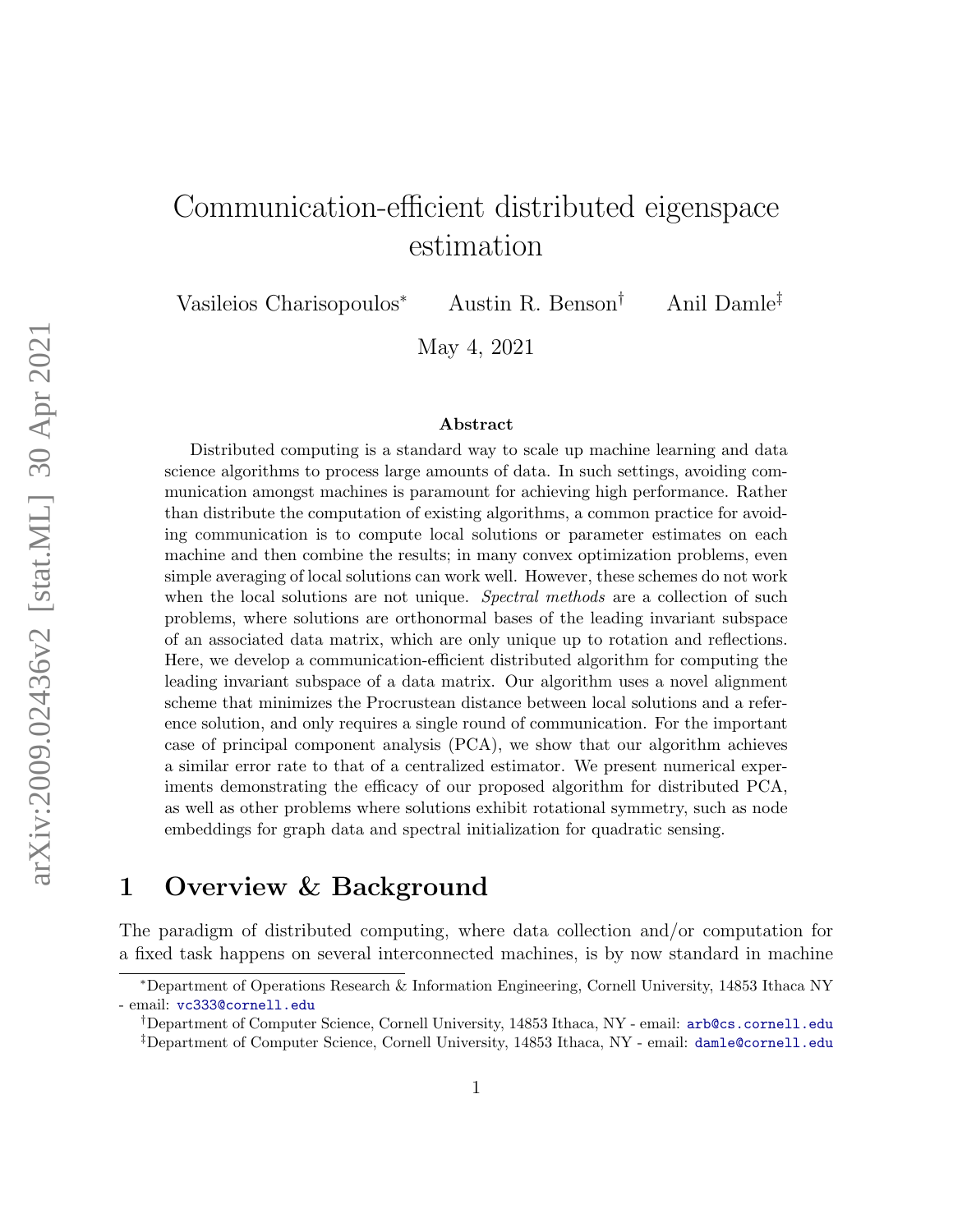# Communication-efficient distributed eigenspace estimation

Vasileios Charisopoulos<sup>∗</sup> Austin R. Benson† Anil Damle‡

May 4, 2021

#### Abstract

Distributed computing is a standard way to scale up machine learning and data science algorithms to process large amounts of data. In such settings, avoiding communication amongst machines is paramount for achieving high performance. Rather than distribute the computation of existing algorithms, a common practice for avoiding communication is to compute local solutions or parameter estimates on each machine and then combine the results; in many convex optimization problems, even simple averaging of local solutions can work well. However, these schemes do not work when the local solutions are not unique. *Spectral methods* are a collection of such problems, where solutions are orthonormal bases of the leading invariant subspace of an associated data matrix, which are only unique up to rotation and reflections. Here, we develop a communication-efficient distributed algorithm for computing the leading invariant subspace of a data matrix. Our algorithm uses a novel alignment scheme that minimizes the Procrustean distance between local solutions and a reference solution, and only requires a single round of communication. For the important case of principal component analysis (PCA), we show that our algorithm achieves a similar error rate to that of a centralized estimator. We present numerical experiments demonstrating the efficacy of our proposed algorithm for distributed PCA, as well as other problems where solutions exhibit rotational symmetry, such as node embeddings for graph data and spectral initialization for quadratic sensing.

### 1 Overview & Background

The paradigm of distributed computing, where data collection and/or computation for a fixed task happens on several interconnected machines, is by now standard in machine

<sup>∗</sup>Department of Operations Research & Information Engineering, Cornell University, 14853 Ithaca NY - email: <vc333@cornell.edu>

<sup>†</sup>Department of Computer Science, Cornell University, 14853 Ithaca, NY - email: <arb@cs.cornell.edu> ‡Department of Computer Science, Cornell University, 14853 Ithaca, NY - email: <damle@cornell.edu>

arXiv:2009.02436v2 [stat.ML] 30 Apr 2021 arXiv:2009.02436v2 [stat.ML] 30 Apr 2021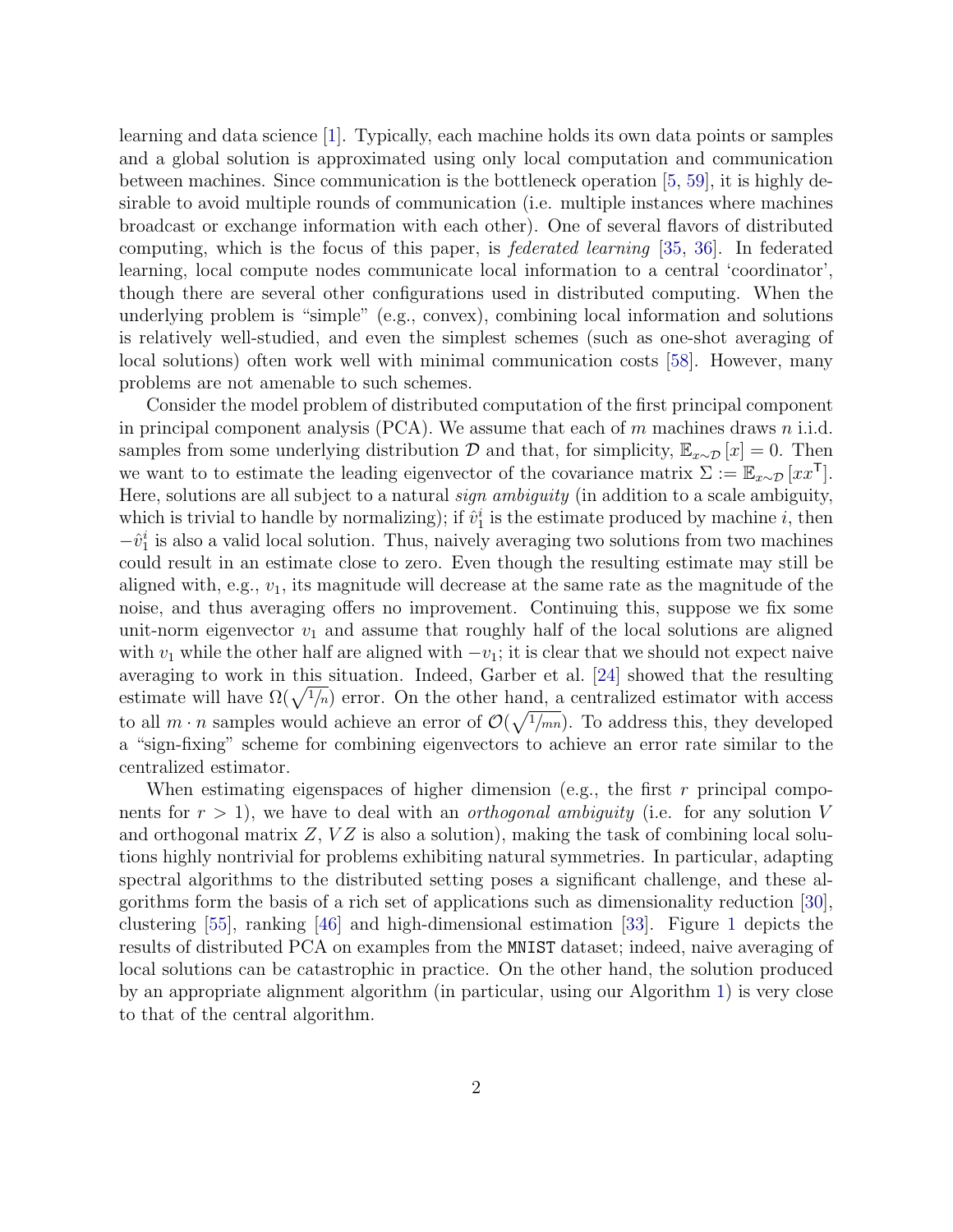learning and data science [\[1\]](#page-26-0). Typically, each machine holds its own data points or samples and a global solution is approximated using only local computation and communication between machines. Since communication is the bottleneck operation [\[5,](#page-27-0) [59\]](#page-31-0), it is highly desirable to avoid multiple rounds of communication (i.e. multiple instances where machines broadcast or exchange information with each other). One of several flavors of distributed computing, which is the focus of this paper, is federated learning [\[35,](#page-29-0) [36\]](#page-29-1). In federated learning, local compute nodes communicate local information to a central 'coordinator', though there are several other configurations used in distributed computing. When the underlying problem is "simple" (e.g., convex), combining local information and solutions is relatively well-studied, and even the simplest schemes (such as one-shot averaging of local solutions) often work well with minimal communication costs [\[58\]](#page-31-1). However, many problems are not amenable to such schemes.

Consider the model problem of distributed computation of the first principal component in principal component analysis (PCA). We assume that each of  $m$  machines draws  $n$  i.i.d. samples from some underlying distribution  $\mathcal D$  and that, for simplicity,  $\mathbb{E}_{x\sim\mathcal D}[x] = 0$ . Then we want to to estimate the leading eigenvector of the covariance matrix  $\Sigma := \mathbb{E}_{x \sim \mathcal{D}} [xx^{\mathsf{T}}].$ Here, solutions are all subject to a natural *sign ambiguity* (in addition to a scale ambiguity, which is trivial to handle by normalizing); if  $\hat{v}_1^i$  is the estimate produced by machine i, then  $-v_1^i$  is also a valid local solution. Thus, naively averaging two solutions from two machines could result in an estimate close to zero. Even though the resulting estimate may still be aligned with, e.g.,  $v_1$ , its magnitude will decrease at the same rate as the magnitude of the noise, and thus averaging offers no improvement. Continuing this, suppose we fix some unit-norm eigenvector  $v_1$  and assume that roughly half of the local solutions are aligned with  $v_1$  while the other half are aligned with  $-v_1$ ; it is clear that we should not expect naive averaging to work in this situation. Indeed, Garber et al. [\[24\]](#page-28-0) showed that the resulting estimate will have  $\Omega(\sqrt{1/n})$  error. On the other hand, a centralized estimator with access to all  $m \cdot n$  samples would achieve an error of  $\mathcal{O}(\sqrt{\frac{1}{mn}})$ . To address this, they developed a "sign-fixing" scheme for combining eigenvectors to achieve an error rate similar to the centralized estimator.

When estimating eigenspaces of higher dimension (e.g., the first  $r$  principal components for  $r > 1$ ), we have to deal with an *orthogonal ambiguity* (i.e. for any solution V and orthogonal matrix  $Z, VZ$  is also a solution), making the task of combining local solutions highly nontrivial for problems exhibiting natural symmetries. In particular, adapting spectral algorithms to the distributed setting poses a significant challenge, and these algorithms form the basis of a rich set of applications such as dimensionality reduction [\[30\]](#page-29-2), clustering [\[55\]](#page-31-2), ranking [\[46\]](#page-30-0) and high-dimensional estimation [\[33\]](#page-29-3). Figure [1](#page-2-0) depicts the results of distributed PCA on examples from the MNIST dataset; indeed, naive averaging of local solutions can be catastrophic in practice. On the other hand, the solution produced by an appropriate alignment algorithm (in particular, using our Algorithm [1\)](#page-7-0) is very close to that of the central algorithm.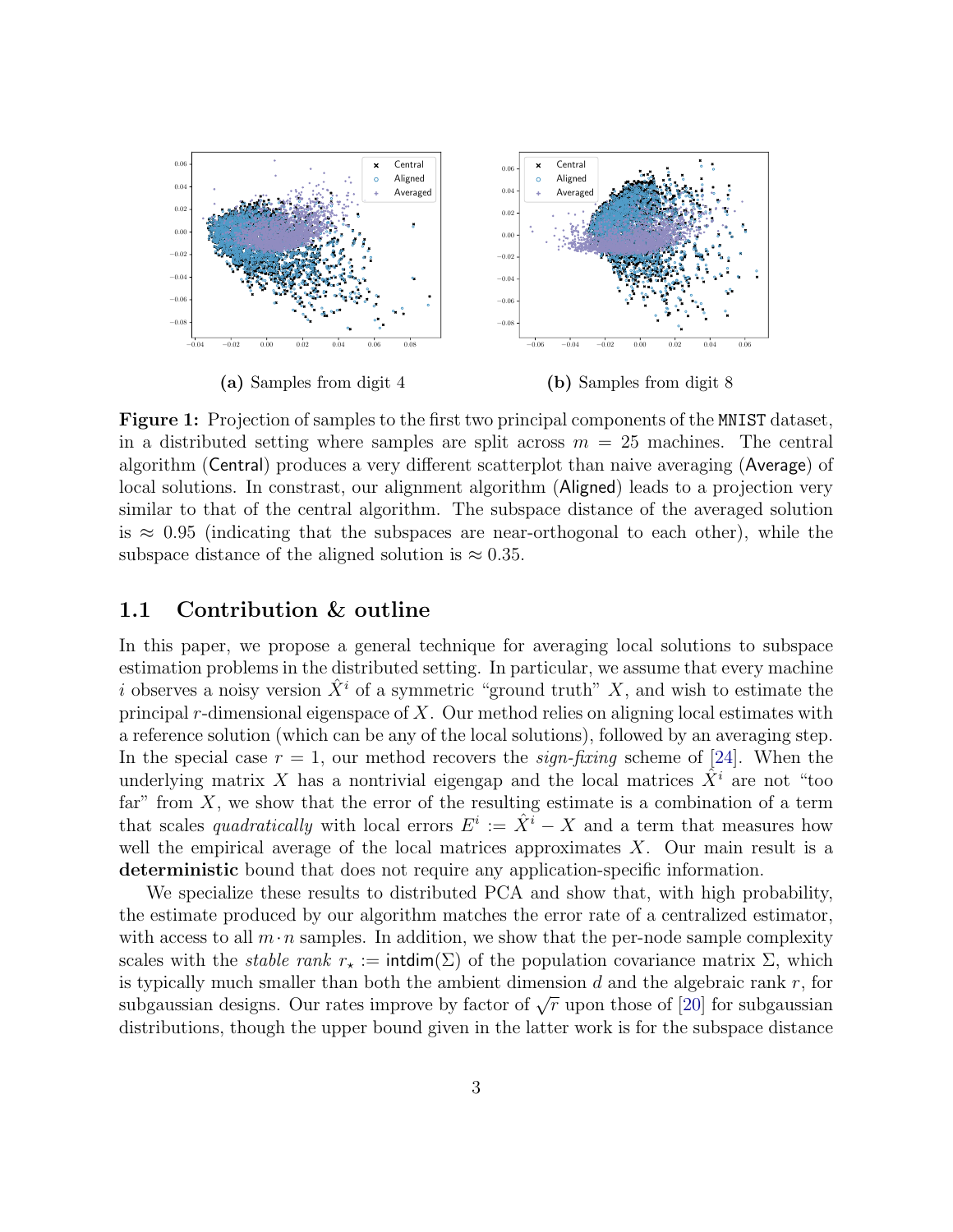<span id="page-2-0"></span>

Figure 1: Projection of samples to the first two principal components of the MNIST dataset, in a distributed setting where samples are split across  $m = 25$  machines. The central algorithm (Central) produces a very different scatterplot than naive averaging (Average) of local solutions. In constrast, our alignment algorithm (Aligned) leads to a projection very similar to that of the central algorithm. The subspace distance of the averaged solution is  $\approx 0.95$  (indicating that the subspaces are near-orthogonal to each other), while the subspace distance of the aligned solution is  $\approx 0.35$ .

#### 1.1 Contribution & outline

In this paper, we propose a general technique for averaging local solutions to subspace estimation problems in the distributed setting. In particular, we assume that every machine i observes a noisy version  $\hat{X}^i$  of a symmetric "ground truth" X, and wish to estimate the principal r-dimensional eigenspace of  $X$ . Our method relies on aligning local estimates with a reference solution (which can be any of the local solutions), followed by an averaging step. In the special case  $r = 1$ , our method recovers the *sign-fixing* scheme of [\[24\]](#page-28-0). When the underlying matrix X has a nontrivial eigengap and the local matrices  $\hat{X}^i$  are not "too far" from  $X$ , we show that the error of the resulting estimate is a combination of a term that scales *quadratically* with local errors  $E^i := \hat{X}^i - X$  and a term that measures how well the empirical average of the local matrices approximates  $X$ . Our main result is a deterministic bound that does not require any application-specific information.

We specialize these results to distributed PCA and show that, with high probability, the estimate produced by our algorithm matches the error rate of a centralized estimator, with access to all  $m \cdot n$  samples. In addition, we show that the per-node sample complexity scales with the *stable rank*  $r_{\star} := \text{intdim}(\Sigma)$  of the population covariance matrix  $\Sigma$ , which is typically much smaller than both the ambient dimension  $d$  and the algebraic rank  $r$ , for subgaussian designs. Our rates improve by factor of  $\sqrt{r}$  upon those of [\[20\]](#page-28-1) for subgaussian distributions, though the upper bound given in the latter work is for the subspace distance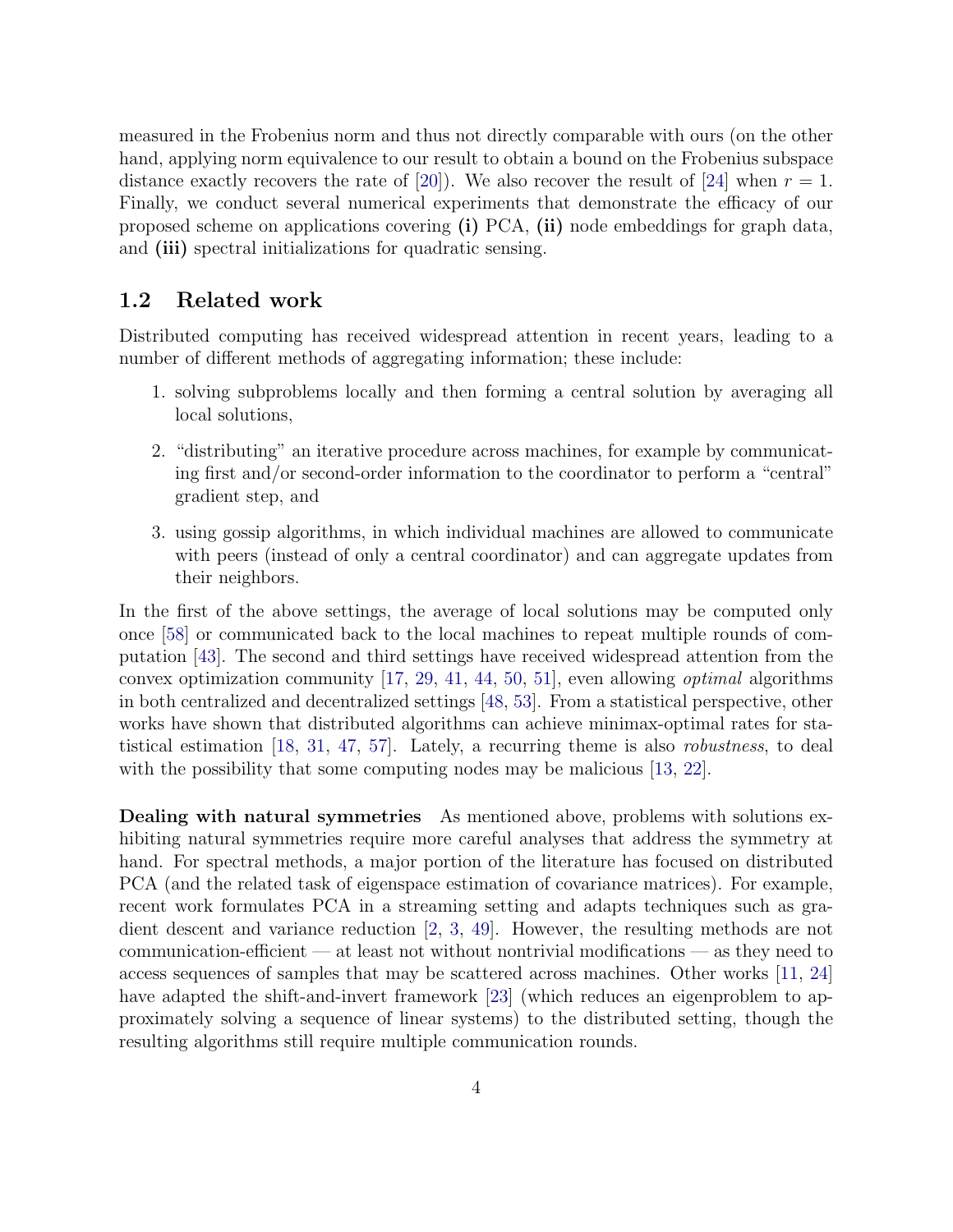measured in the Frobenius norm and thus not directly comparable with ours (on the other hand, applying norm equivalence to our result to obtain a bound on the Frobenius subspace distance exactly recovers the rate of [\[20\]](#page-28-1)). We also recover the result of [\[24\]](#page-28-0) when  $r = 1$ . Finally, we conduct several numerical experiments that demonstrate the efficacy of our proposed scheme on applications covering (i) PCA, (ii) node embeddings for graph data, and (iii) spectral initializations for quadratic sensing.

#### 1.2 Related work

Distributed computing has received widespread attention in recent years, leading to a number of different methods of aggregating information; these include:

- 1. solving subproblems locally and then forming a central solution by averaging all local solutions,
- 2. "distributing" an iterative procedure across machines, for example by communicating first and/or second-order information to the coordinator to perform a "central" gradient step, and
- 3. using gossip algorithms, in which individual machines are allowed to communicate with peers (instead of only a central coordinator) and can aggregate updates from their neighbors.

In the first of the above settings, the average of local solutions may be computed only once [\[58\]](#page-31-1) or communicated back to the local machines to repeat multiple rounds of computation [\[43\]](#page-30-1). The second and third settings have received widespread attention from the convex optimization community  $[17, 29, 41, 44, 50, 51]$  $[17, 29, 41, 44, 50, 51]$  $[17, 29, 41, 44, 50, 51]$  $[17, 29, 41, 44, 50, 51]$  $[17, 29, 41, 44, 50, 51]$  $[17, 29, 41, 44, 50, 51]$  $[17, 29, 41, 44, 50, 51]$  $[17, 29, 41, 44, 50, 51]$  $[17, 29, 41, 44, 50, 51]$  $[17, 29, 41, 44, 50, 51]$  $[17, 29, 41, 44, 50, 51]$ , even allowing *optimal* algorithms in both centralized and decentralized settings [\[48,](#page-30-4) [53\]](#page-31-5). From a statistical perspective, other works have shown that distributed algorithms can achieve minimax-optimal rates for statistical estimation [\[18,](#page-28-3) [31,](#page-29-5) [47,](#page-30-5) [57\]](#page-31-6). Lately, a recurring theme is also robustness, to deal with the possibility that some computing nodes may be malicious [\[13,](#page-27-1) [22\]](#page-28-4).

Dealing with natural symmetries As mentioned above, problems with solutions exhibiting natural symmetries require more careful analyses that address the symmetry at hand. For spectral methods, a major portion of the literature has focused on distributed PCA (and the related task of eigenspace estimation of covariance matrices). For example, recent work formulates PCA in a streaming setting and adapts techniques such as gradient descent and variance reduction [\[2,](#page-26-1) [3,](#page-26-2) [49\]](#page-30-6). However, the resulting methods are not communication-efficient — at least not without nontrivial modifications — as they need to access sequences of samples that may be scattered across machines. Other works [\[11,](#page-27-2) [24\]](#page-28-0) have adapted the shift-and-invert framework [\[23\]](#page-28-5) (which reduces an eigenproblem to approximately solving a sequence of linear systems) to the distributed setting, though the resulting algorithms still require multiple communication rounds.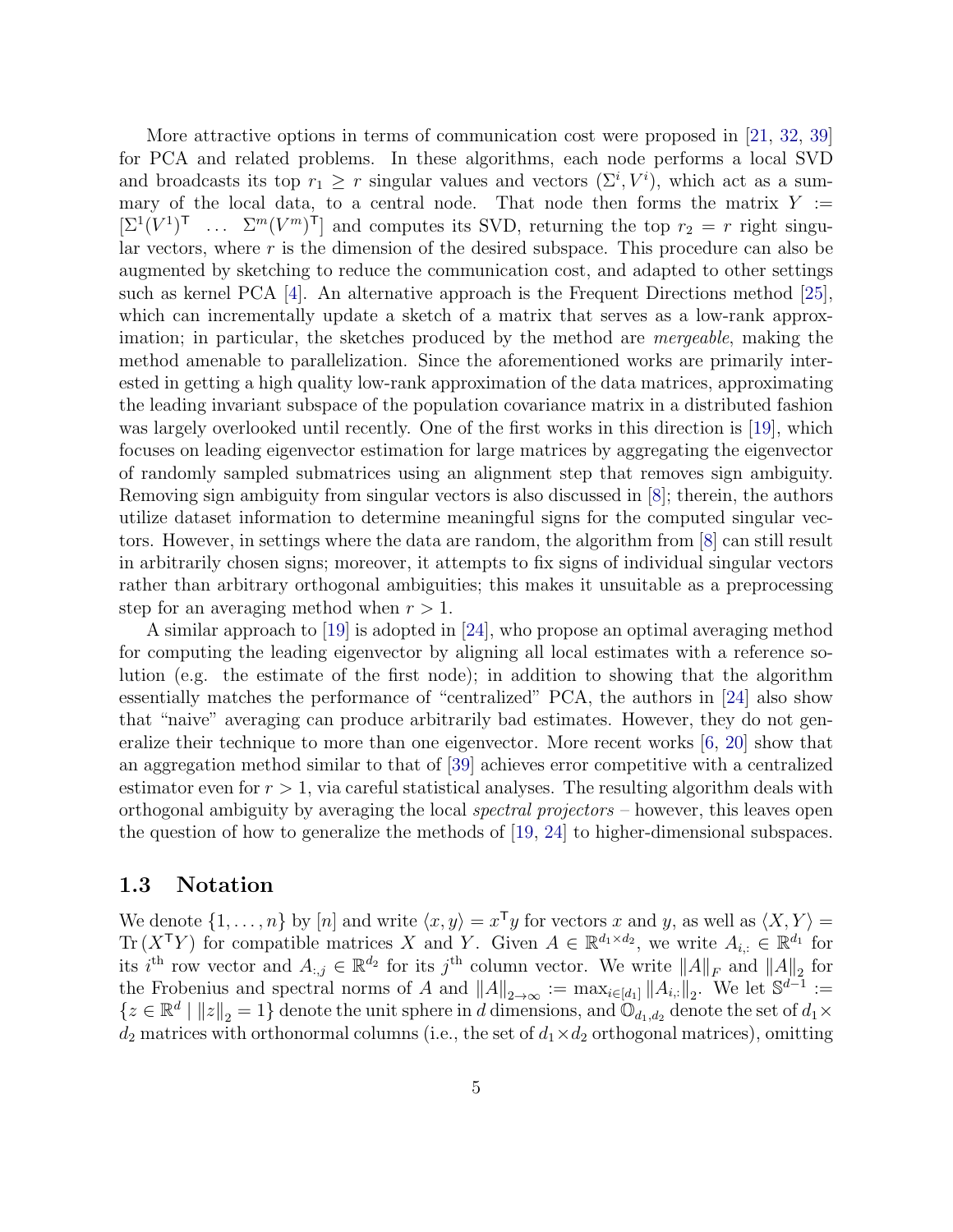More attractive options in terms of communication cost were proposed in [\[21,](#page-28-6) [32,](#page-29-6) [39\]](#page-30-7) for PCA and related problems. In these algorithms, each node performs a local SVD and broadcasts its top  $r_1 \geq r$  singular values and vectors  $(\Sigma^i, V^i)$ , which act as a summary of the local data, to a central node. That node then forms the matrix  $Y :=$  $[\Sigma^1(V^1)^{\mathsf{T}} \dots \Sigma^m(V^m)^{\mathsf{T}}]$  and computes its SVD, returning the top  $r_2 = r$  right singular vectors, where  $r$  is the dimension of the desired subspace. This procedure can also be augmented by sketching to reduce the communication cost, and adapted to other settings such as kernel PCA [\[4\]](#page-26-3). An alternative approach is the Frequent Directions method [\[25\]](#page-28-7), which can incrementally update a sketch of a matrix that serves as a low-rank approximation; in particular, the sketches produced by the method are mergeable, making the method amenable to parallelization. Since the aforementioned works are primarily interested in getting a high quality low-rank approximation of the data matrices, approximating the leading invariant subspace of the population covariance matrix in a distributed fashion was largely overlooked until recently. One of the first works in this direction is [\[19\]](#page-28-8), which focuses on leading eigenvector estimation for large matrices by aggregating the eigenvector of randomly sampled submatrices using an alignment step that removes sign ambiguity. Removing sign ambiguity from singular vectors is also discussed in [\[8\]](#page-27-3); therein, the authors utilize dataset information to determine meaningful signs for the computed singular vectors. However, in settings where the data are random, the algorithm from [\[8\]](#page-27-3) can still result in arbitrarily chosen signs; moreover, it attempts to fix signs of individual singular vectors rather than arbitrary orthogonal ambiguities; this makes it unsuitable as a preprocessing step for an averaging method when  $r > 1$ .

A similar approach to [\[19\]](#page-28-8) is adopted in [\[24\]](#page-28-0), who propose an optimal averaging method for computing the leading eigenvector by aligning all local estimates with a reference solution (e.g. the estimate of the first node); in addition to showing that the algorithm essentially matches the performance of "centralized" PCA, the authors in [\[24\]](#page-28-0) also show that "naive" averaging can produce arbitrarily bad estimates. However, they do not generalize their technique to more than one eigenvector. More recent works [\[6,](#page-27-4) [20\]](#page-28-1) show that an aggregation method similar to that of [\[39\]](#page-30-7) achieves error competitive with a centralized estimator even for  $r > 1$ , via careful statistical analyses. The resulting algorithm deals with orthogonal ambiguity by averaging the local spectral projectors – however, this leaves open the question of how to generalize the methods of [\[19,](#page-28-8) [24\]](#page-28-0) to higher-dimensional subspaces.

#### 1.3 Notation

We denote  $\{1, \ldots, n\}$  by  $[n]$  and write  $\langle x, y \rangle = x^{\mathsf{T}} y$  for vectors x and y, as well as  $\langle X, Y \rangle =$ Tr  $(X^{\mathsf{T}}Y)$  for compatible matrices X and Y. Given  $A \in \mathbb{R}^{d_1 \times d_2}$ , we write  $A_{i,:} \in \mathbb{R}^{d_1}$  for its i<sup>th</sup> row vector and  $A_{:,j} \in \mathbb{R}^{d_2}$  for its j<sup>th</sup> column vector. We write  $||A||_F$  and  $||A||_2$  for the Frobenius and spectral norms of A and  $||A||_{2\to\infty} := \max_{i\in[d_1]} ||A_{i,:}||_2$ . We let  $\mathbb{S}^{d-1} :=$  ${z \in \mathbb{R}^d \mid \|z\|_2 = 1}$  denote the unit sphere in d dimensions, and  $\mathbb{O}_{d_1,d_2}$  denote the set of  $d_1 \times$  $d_2$  matrices with orthonormal columns (i.e., the set of  $d_1 \times d_2$  orthogonal matrices), omitting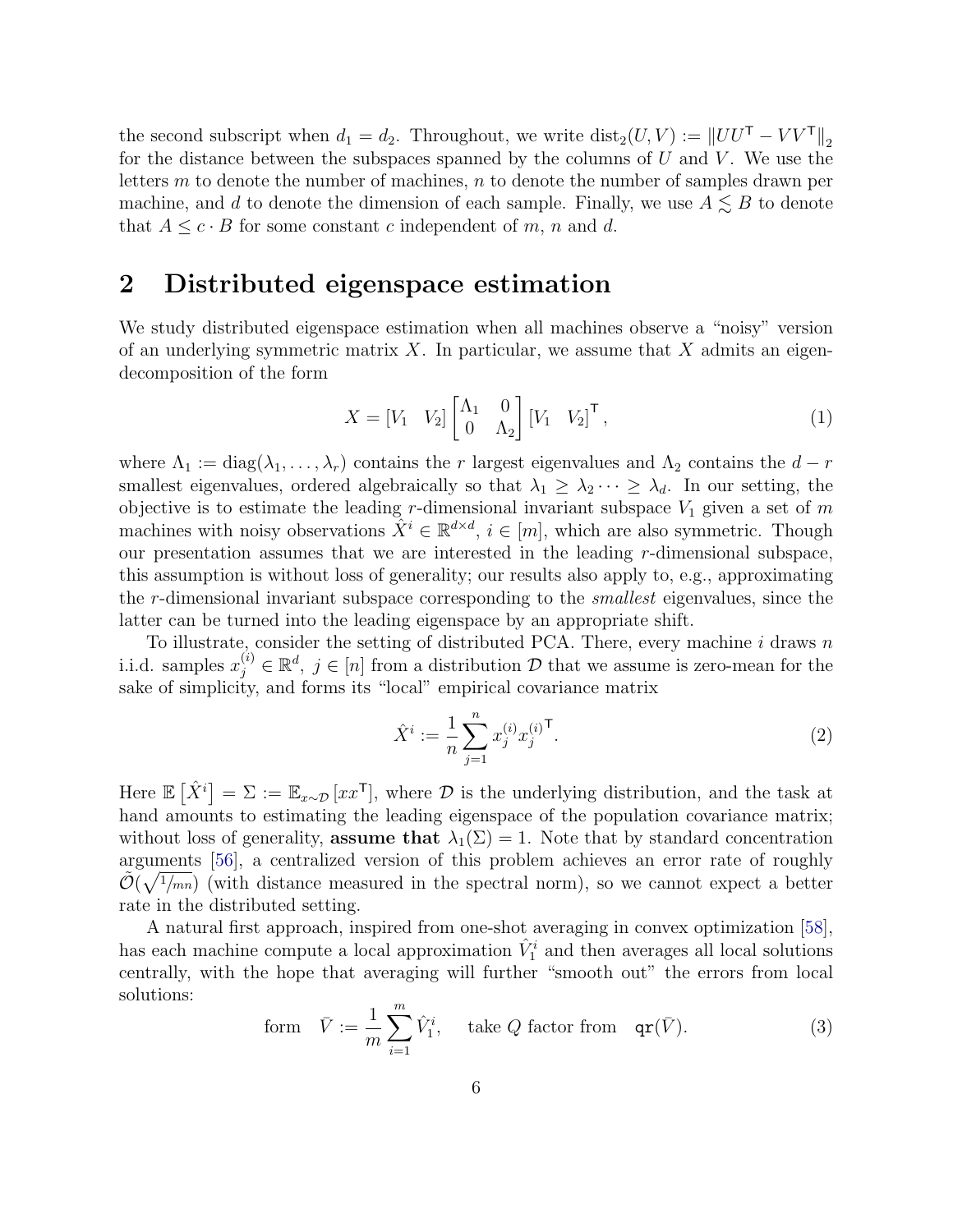the second subscript when  $d_1 = d_2$ . Throughout, we write  $dist_2(U, V) := ||UU^{\mathsf{T}} - VV^{\mathsf{T}}||_2$ for the distance between the subspaces spanned by the columns of  $U$  and  $V$ . We use the letters  $m$  to denote the number of machines,  $n$  to denote the number of samples drawn per machine, and d to denote the dimension of each sample. Finally, we use  $A \lesssim B$  to denote that  $A \leq c \cdot B$  for some constant c independent of m, n and d.

# 2 Distributed eigenspace estimation

We study distributed eigenspace estimation when all machines observe a "noisy" version of an underlying symmetric matrix  $X$ . In particular, we assume that  $X$  admits an eigendecomposition of the form

<span id="page-5-1"></span>
$$
X = \begin{bmatrix} V_1 & V_2 \end{bmatrix} \begin{bmatrix} \Lambda_1 & 0 \\ 0 & \Lambda_2 \end{bmatrix} \begin{bmatrix} V_1 & V_2 \end{bmatrix}^\mathsf{T},\tag{1}
$$

where  $\Lambda_1 := \text{diag}(\lambda_1, \ldots, \lambda_r)$  contains the r largest eigenvalues and  $\Lambda_2$  contains the  $d-r$ smallest eigenvalues, ordered algebraically so that  $\lambda_1 \geq \lambda_2 \cdots \geq \lambda_d$ . In our setting, the objective is to estimate the leading r-dimensional invariant subspace  $V_1$  given a set of m machines with noisy observations  $\tilde{X}^i \in \mathbb{R}^{d \times d}$ ,  $i \in [m]$ , which are also symmetric. Though our presentation assumes that we are interested in the leading r-dimensional subspace, this assumption is without loss of generality; our results also apply to, e.g., approximating the r-dimensional invariant subspace corresponding to the smallest eigenvalues, since the latter can be turned into the leading eigenspace by an appropriate shift.

To illustrate, consider the setting of distributed PCA. There, every machine  $i$  draws  $n$ i.i.d. samples  $x_j^{(i)} \in \mathbb{R}^d$ ,  $j \in [n]$  from a distribution  $D$  that we assume is zero-mean for the sake of simplicity, and forms its "local" empirical covariance matrix

$$
\hat{X}^i := \frac{1}{n} \sum_{j=1}^n x_j^{(i)} x_j^{(i)^\mathsf{T}}.
$$
\n(2)

Here  $\mathbb{E}[\hat{X}^i] = \Sigma := \mathbb{E}_{x \sim \mathcal{D}}[xx^{\mathsf{T}}],$  where  $\mathcal{D}$  is the underlying distribution, and the task at hand amounts to estimating the leading eigenspace of the population covariance matrix; without loss of generality, **assume that**  $\lambda_1(\Sigma) = 1$ . Note that by standard concentration arguments [\[56\]](#page-31-7), a centralized version of this problem achieves an error rate of roughly  $\tilde{\mathcal{O}}(\sqrt{\frac{1}{m_n}})$  (with distance measured in the spectral norm), so we cannot expect a better rate in the distributed setting.

A natural first approach, inspired from one-shot averaging in convex optimization [\[58\]](#page-31-1), has each machine compute a local approximation  $\hat{V}_1^i$  and then averages all local solutions centrally, with the hope that averaging will further "smooth out" the errors from local solutions:

<span id="page-5-0"></span>form 
$$
\bar{V} := \frac{1}{m} \sum_{i=1}^{m} \hat{V}_1^i
$$
, take *Q* factor from  $\mathbf{qr}(\bar{V})$ . (3)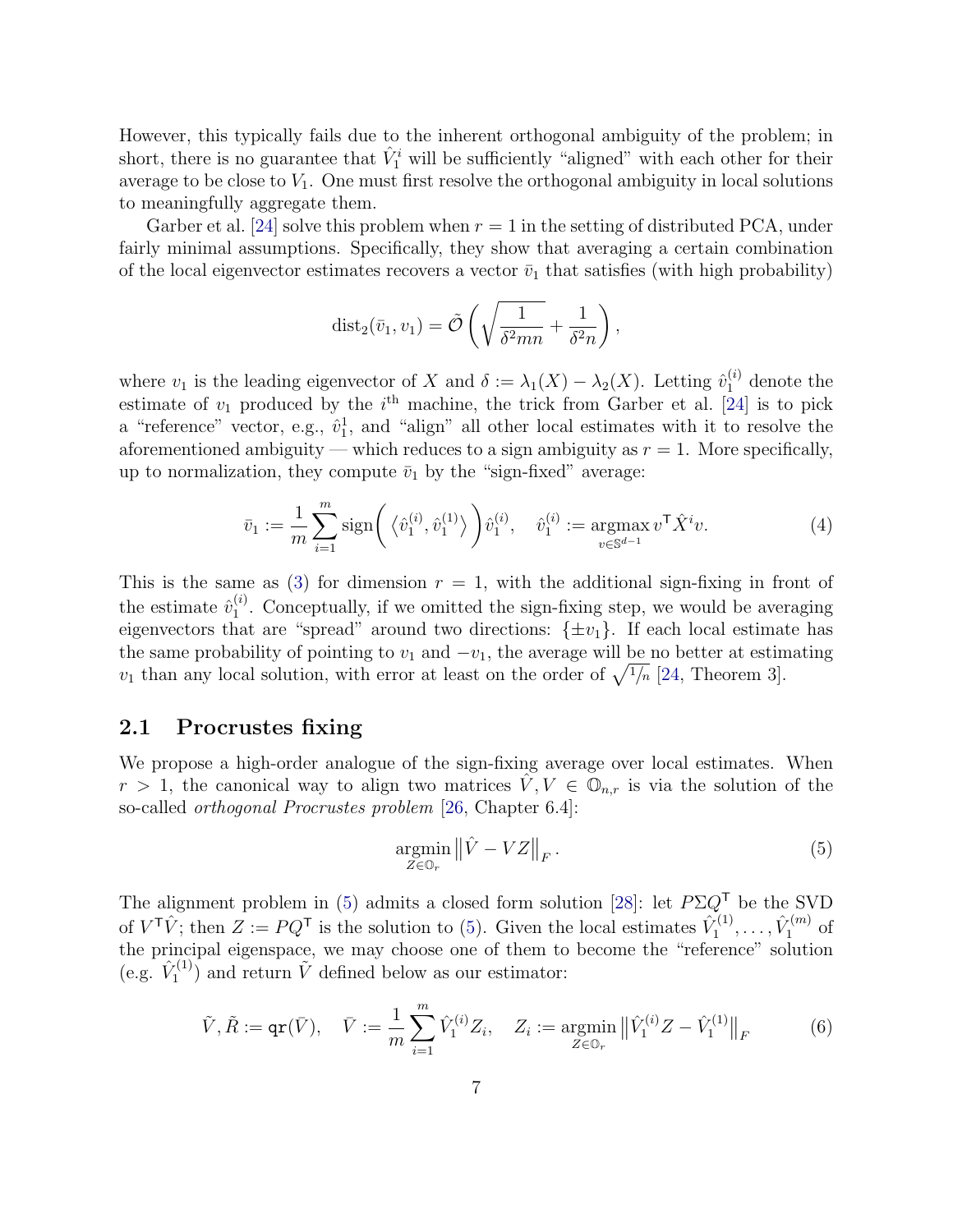However, this typically fails due to the inherent orthogonal ambiguity of the problem; in short, there is no guarantee that  $\hat{V}_1^i$  will be sufficiently "aligned" with each other for their average to be close to  $V_1$ . One must first resolve the orthogonal ambiguity in local solutions to meaningfully aggregate them.

Garber et al. [\[24\]](#page-28-0) solve this problem when  $r = 1$  in the setting of distributed PCA, under fairly minimal assumptions. Specifically, they show that averaging a certain combination of the local eigenvector estimates recovers a vector  $\bar{v}_1$  that satisfies (with high probability)

$$
dist_2(\bar{v}_1, v_1) = \tilde{\mathcal{O}}\left(\sqrt{\frac{1}{\delta^2 mn}} + \frac{1}{\delta^2 n}\right),\,
$$

where  $v_1$  is the leading eigenvector of X and  $\delta := \lambda_1(X) - \lambda_2(X)$ . Letting  $\hat{v}_1^{(i)}$  denote the estimate of  $v_1$  produced by the  $i<sup>th</sup>$  machine, the trick from Garber et al. [\[24\]](#page-28-0) is to pick a "reference" vector, e.g.,  $\hat{v}_1^1$ , and "align" all other local estimates with it to resolve the aforementioned ambiguity — which reduces to a sign ambiguity as  $r = 1$ . More specifically, up to normalization, they compute  $\bar{v}_1$  by the "sign-fixed" average:

<span id="page-6-2"></span>
$$
\bar{v}_1 := \frac{1}{m} \sum_{i=1}^m \text{sign}\bigg(\langle \hat{v}_1^{(i)}, \hat{v}_1^{(1)} \rangle \bigg) \hat{v}_1^{(i)}, \quad \hat{v}_1^{(i)} := \underset{v \in \mathbb{S}^{d-1}}{\text{argmax}} \, v^{\mathsf{T}} \hat{X}^i v. \tag{4}
$$

This is the same as [\(3\)](#page-5-0) for dimension  $r = 1$ , with the additional sign-fixing in front of the estimate  $\hat{v}_1^{(i)}$  $1<sup>(1)</sup>$ . Conceptually, if we omitted the sign-fixing step, we would be averaging eigenvectors that are "spread" around two directions:  $\{\pm v_1\}$ . If each local estimate has the same probability of pointing to  $v_1$  and  $-v_1$ , the average will be no better at estimating  $v_1$  than any local solution, with error at least on the order of  $\sqrt{\frac{1}{n}}$  [\[24,](#page-28-0) Theorem 3].

#### 2.1 Procrustes fixing

We propose a high-order analogue of the sign-fixing average over local estimates. When  $r > 1$ , the canonical way to align two matrices  $V, V \in \mathbb{O}_{n,r}$  is via the solution of the so-called orthogonal Procrustes problem [\[26,](#page-28-9) Chapter 6.4]:

<span id="page-6-0"></span>
$$
\underset{Z \in \mathbb{O}_r}{\text{argmin}} \left\| \hat{V} - VZ \right\|_F. \tag{5}
$$

The alignment problem in [\(5\)](#page-6-0) admits a closed form solution [\[28\]](#page-29-7): let  $P\Sigma Q^{\mathsf{T}}$  be the SVD of  $V^{\mathsf{T}}\hat{V}$ ; then  $Z := PQ^{\mathsf{T}}$  is the solution to [\(5\)](#page-6-0). Given the local estimates  $\hat{V}_1^{(1)}$  $\hat{V}^{(1)}_1, \ldots, \hat{V}^{(m)}_1$  $I_1^{(m)}$  of the principal eigenspace, we may choose one of them to become the "reference" solution (e.g.  $\hat{V}_1^{(1)}$  $\tilde{V}_1^{(1)}$  and return  $\tilde{V}$  defined below as our estimator:

<span id="page-6-1"></span>
$$
\tilde{V}, \tilde{R} := \text{qr}(\bar{V}), \quad \bar{V} := \frac{1}{m} \sum_{i=1}^{m} \hat{V}_1^{(i)} Z_i, \quad Z_i := \underset{Z \in \mathbb{Q}_r}{\text{argmin}} \left\| \hat{V}_1^{(i)} Z - \hat{V}_1^{(1)} \right\|_F \tag{6}
$$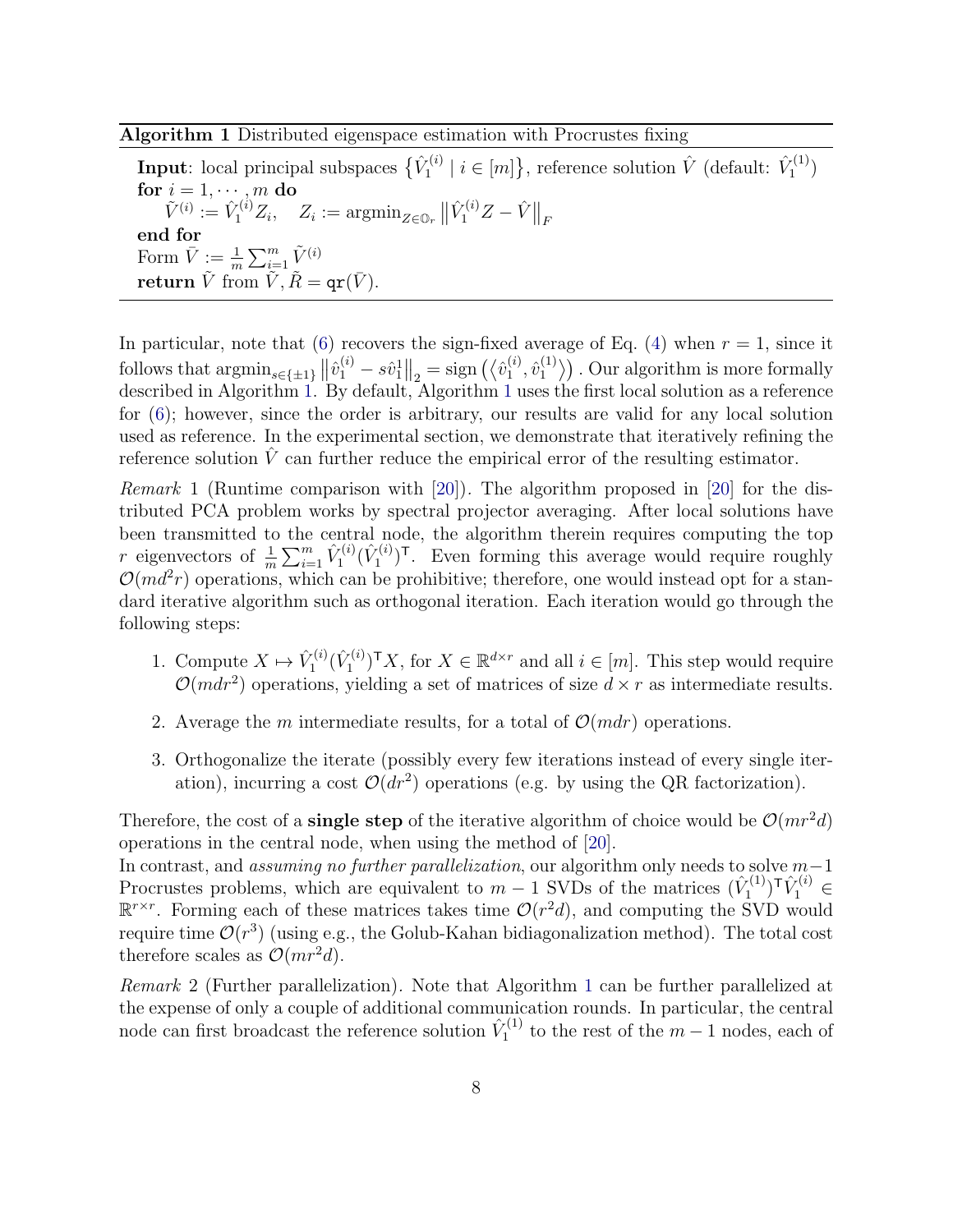<span id="page-7-0"></span>Algorithm 1 Distributed eigenspace estimation with Procrustes fixing

Input: local principal subspaces  $\{\hat{V}_1^{(i)}\}$  $\hat{V}_1^{(i)} \mid i \in [m]$ , reference solution  $\hat{V}$  (default:  $\hat{V}_1^{(1)}$ )  $\binom{r(1)}{1}$ for  $i = 1, \dots, m$  do  $\tilde{V}^{(i)}:=\hat{V}^{(i)}_1Z_i,\quad Z_i:=\mathop{\rm argmin}_{Z\in\mathbb{O}_r}\big\|\hat{V}^{(i)}_1Z-\hat{V}\big\|_F$ end for Form  $\overline{V} := \frac{1}{m} \sum_{i=1}^{m} \tilde{V}^{(i)}$ return  $\tilde{V}$  from  $\tilde{V}$ ,  $\tilde{R} = \text{qr}(\bar{V})$ .

In particular, note that [\(6\)](#page-6-1) recovers the sign-fixed average of Eq. [\(4\)](#page-6-2) when  $r = 1$ , since it follows that  $\operatorname{argmin}_{s \in \{\pm 1\}} ||\hat{v}_1^{(i)} - s\hat{v}_1^{1}||_2 = \operatorname{sign}(\langle \hat{v}_1^{(i)} \rangle)$  $\stackrel{(i)}{1},\stackrel{\hat{v}^{(1)}_1}{\,}$  $\binom{1}{1}$ . Our algorithm is more formally described in Algorithm [1.](#page-7-0) By default, Algorithm [1](#page-7-0) uses the first local solution as a reference for [\(6\)](#page-6-1); however, since the order is arbitrary, our results are valid for any local solution used as reference. In the experimental section, we demonstrate that iteratively refining the reference solution  $\hat{V}$  can further reduce the empirical error of the resulting estimator.

Remark 1 (Runtime comparison with [\[20\]](#page-28-1)). The algorithm proposed in [\[20\]](#page-28-1) for the distributed PCA problem works by spectral projector averaging. After local solutions have been transmitted to the central node, the algorithm therein requires computing the top r eigenvectors of  $\frac{1}{m} \sum_{i=1}^{m} \hat{V}_1^{(i)}$  $\hat{V}^{(i)}_1(\hat{V}^{(i)}_1)$  $\binom{r^{(i)}}{1}^T$ . Even forming this average would require roughly  $\mathcal{O}(md^2r)$  operations, which can be prohibitive; therefore, one would instead opt for a standard iterative algorithm such as orthogonal iteration. Each iteration would go through the following steps:

- 1. Compute  $X \mapsto \hat{V}_1^{(i)}$  $\hat{V}^{(i)}_1(\hat{V}^{(i)}_1)$  $\mathbf{I}_{1}^{(i)}$ , for  $X \in \mathbb{R}^{d \times r}$  and all  $i \in [m]$ . This step would require  $\mathcal{O}(mdr^2)$  operations, yielding a set of matrices of size  $d \times r$  as intermediate results.
- 2. Average the m intermediate results, for a total of  $\mathcal{O}(mdr)$  operations.
- 3. Orthogonalize the iterate (possibly every few iterations instead of every single iteration), incurring a cost  $\mathcal{O}(dr^2)$  operations (e.g. by using the QR factorization).

Therefore, the cost of a **single step** of the iterative algorithm of choice would be  $\mathcal{O}(mr^2d)$ operations in the central node, when using the method of [\[20\]](#page-28-1).

In contrast, and *assuming no further parallelization*, our algorithm only needs to solve  $m-1$ Procrustes problems, which are equivalent to  $m-1$  SVDs of the matrices  $(\hat{V}_1^{(1)})$  $(\vec{Y}_1^{(1)})^{\mathsf{T}} \hat{V}_1^{(i)} \in$  $\mathbb{R}^{r \times r}$ . Forming each of these matrices takes time  $\mathcal{O}(r^2d)$ , and computing the SVD would require time  $\mathcal{O}(r^3)$  (using e.g., the Golub-Kahan bidiagonalization method). The total cost therefore scales as  $\mathcal{O}(mr^2d)$ .

Remark 2 (Further parallelization). Note that Algorithm [1](#page-7-0) can be further parallelized at the expense of only a couple of additional communication rounds. In particular, the central node can first broadcast the reference solution  $\hat{V}_1^{(1)}$  $t_1^{(1)}$  to the rest of the  $m-1$  nodes, each of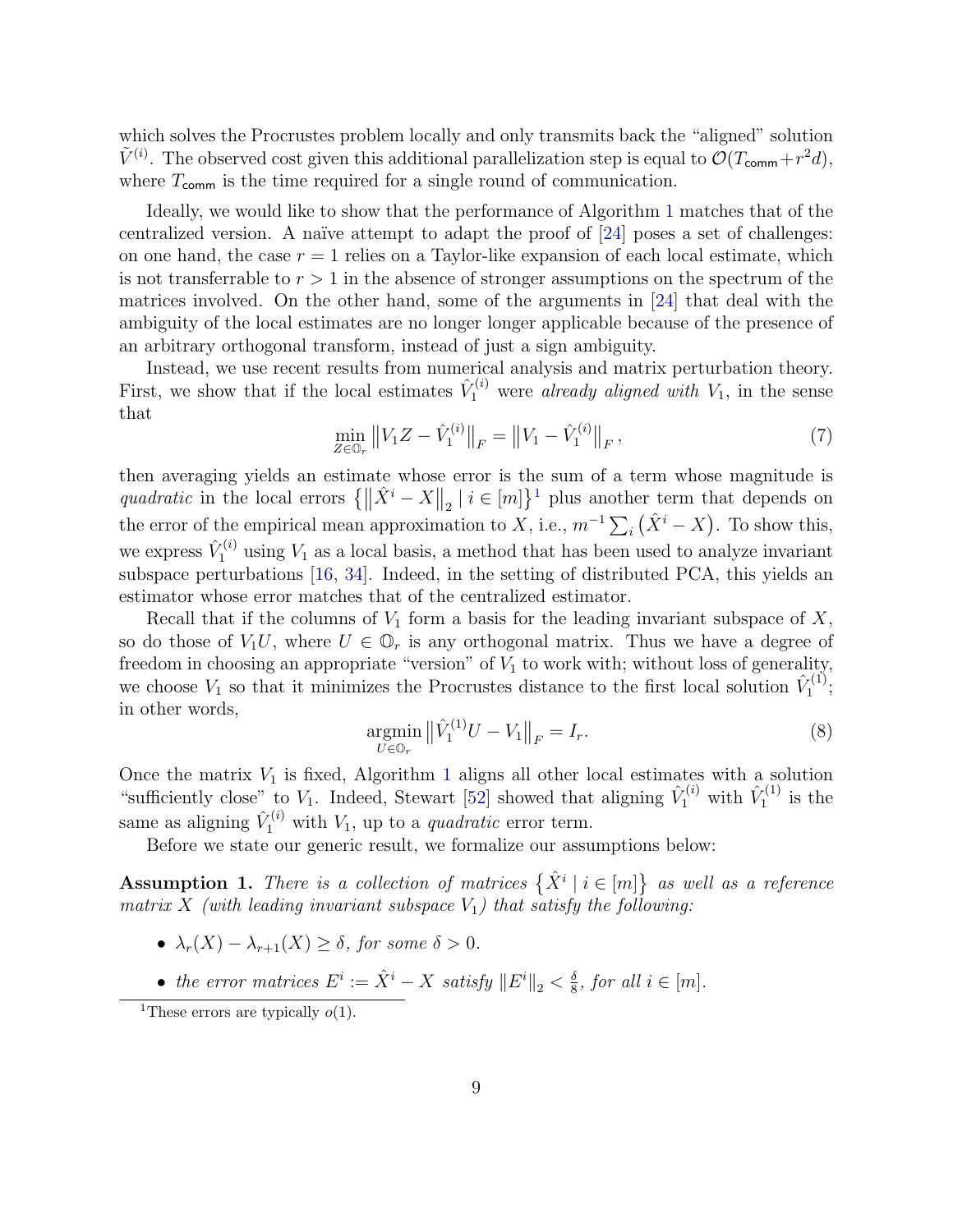which solves the Procrustes problem locally and only transmits back the "aligned" solution  $\tilde{V}^{(i)}$ . The observed cost given this additional parallelization step is equal to  $\mathcal{O}(T_{\text{comm}} + r^2d)$ , where  $T_{\text{comm}}$  is the time required for a single round of communication.

Ideally, we would like to show that the performance of Algorithm [1](#page-7-0) matches that of the centralized version. A naïve attempt to adapt the proof of  $[24]$  poses a set of challenges: on one hand, the case  $r = 1$  relies on a Taylor-like expansion of each local estimate, which is not transferrable to  $r > 1$  in the absence of stronger assumptions on the spectrum of the matrices involved. On the other hand, some of the arguments in [\[24\]](#page-28-0) that deal with the ambiguity of the local estimates are no longer longer applicable because of the presence of an arbitrary orthogonal transform, instead of just a sign ambiguity.

Instead, we use recent results from numerical analysis and matrix perturbation theory. First, we show that if the local estimates  $\hat{V}_1^{(i)}$  were already aligned with  $V_1$ , in the sense that

$$
\min_{Z \in \mathbb{O}_r} \left\| V_1 Z - \hat{V}_1^{(i)} \right\|_F = \left\| V_1 - \hat{V}_1^{(i)} \right\|_F, \tag{7}
$$

then averaging yields an estimate whose error is the sum of a term whose magnitude is quadratic in the local errors  $\{\|\hat{X}^i - X\|_2 \mid i \in [m]\}^1$  $\{\|\hat{X}^i - X\|_2 \mid i \in [m]\}^1$  plus another term that depends on the error of the empirical mean approximation to X, i.e.,  $m^{-1} \sum_i (\hat{X}^i - X)$ . To show this, we express  $\hat{V}_1^{(i)}$  using  $V_1$  as a local basis, a method that has been used to analyze invariant subspace perturbations [\[16,](#page-28-10) [34\]](#page-29-8). Indeed, in the setting of distributed PCA, this yields an estimator whose error matches that of the centralized estimator.

Recall that if the columns of  $V_1$  form a basis for the leading invariant subspace of  $X$ , so do those of  $V_1U$ , where  $U \in \mathbb{O}_r$  is any orthogonal matrix. Thus we have a degree of freedom in choosing an appropriate "version" of  $V_1$  to work with; without loss of generality, we choose  $V_1$  so that it minimizes the Procrustes distance to the first local solution  $\hat{V}_1^{(1)}$ <sup>r(1)</sup>;<br>1 in other words,

<span id="page-8-2"></span>
$$
\underset{U \in \mathbb{O}_r}{\text{argmin}} \left\| \hat{V}_1^{(1)} U - V_1 \right\|_F = I_r. \tag{8}
$$

Once the matrix  $V_1$  $V_1$  is fixed, Algorithm 1 aligns all other local estimates with a solution "sufficiently close" to  $V_1$ . Indeed, Stewart [\[52\]](#page-31-8) showed that aligning  $\hat{V}_1^{(i)}$  with  $\hat{V}_1^{(1)}$  $i_1^{\left(1\right)}$  is the same as aligning  $\hat{V}_1^{(i)}$  with  $V_1$ , up to a *quadratic* error term.

Before we state our generic result, we formalize our assumptions below:

<span id="page-8-1"></span>Assumption 1. There is a collection of matrices  $\{\hat{X}^i \mid i \in [m]\}$  as well as a reference matrix X (with leading invariant subspace  $V_1$ ) that satisfy the following:

- $\lambda_r(X) \lambda_{r+1}(X) \geq \delta$ , for some  $\delta > 0$ .
- the error matrices  $E^i := \hat{X}^i X$  satisfy  $||E^i||_2 < \frac{\delta}{8}$  $\frac{\delta}{8}$ , for all  $i \in [m]$ .

<span id="page-8-0"></span><sup>&</sup>lt;sup>1</sup>These errors are typically  $o(1)$ .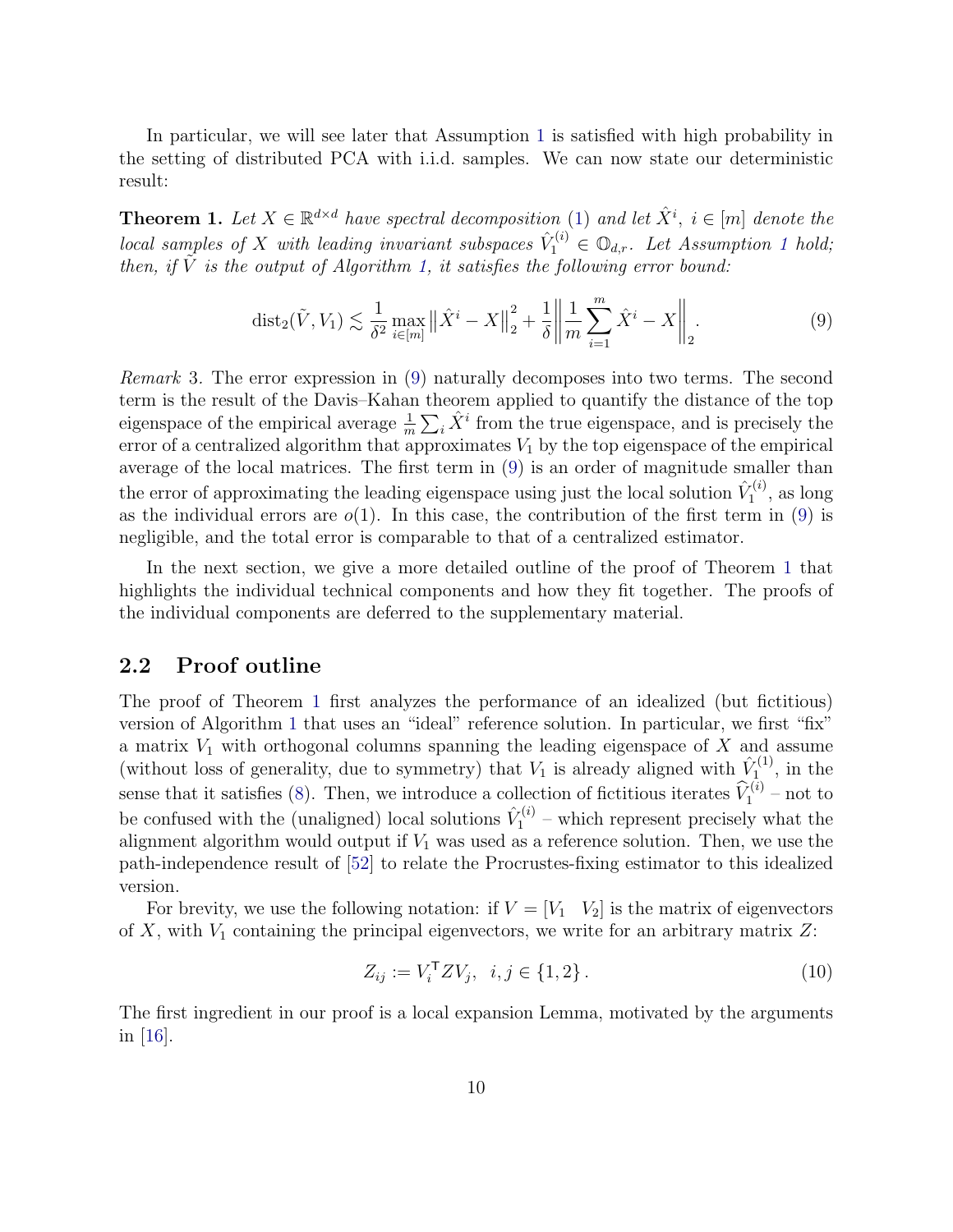In particular, we will see later that Assumption [1](#page-8-1) is satisfied with high probability in the setting of distributed PCA with i.i.d. samples. We can now state our deterministic result:

<span id="page-9-1"></span>**Theorem 1.** Let  $X \in \mathbb{R}^{d \times d}$  have spectral decomposition [\(1\)](#page-5-1) and let  $\hat{X}^i$ ,  $i \in [m]$  denote the local samples of X with leading invariant subspaces  $\hat{V}_1^{(i)} \in \mathbb{O}_{d,r}$  $\hat{V}_1^{(i)} \in \mathbb{O}_{d,r}$  $\hat{V}_1^{(i)} \in \mathbb{O}_{d,r}$ . Let Assumption 1 hold; then, if  $\tilde{V}$  is the output of Algorithm [1,](#page-7-0) it satisfies the following error bound:

<span id="page-9-0"></span>
$$
dist_2(\tilde{V}, V_1) \lesssim \frac{1}{\delta^2} \max_{i \in [m]} \left\| \hat{X}^i - X \right\|_2^2 + \frac{1}{\delta} \left\| \frac{1}{m} \sum_{i=1}^m \hat{X}^i - X \right\|_2.
$$
 (9)

Remark 3. The error expression in [\(9\)](#page-9-0) naturally decomposes into two terms. The second term is the result of the Davis–Kahan theorem applied to quantify the distance of the top eigenspace of the empirical average  $\frac{1}{m} \sum_i \hat{X}^i$  from the true eigenspace, and is precisely the error of a centralized algorithm that approximates  $V_1$  by the top eigenspace of the empirical average of the local matrices. The first term in [\(9\)](#page-9-0) is an order of magnitude smaller than the error of approximating the leading eigenspace using just the local solution  $\hat{V}_1^{(i)}$  $I_1^{(i)}$ , as long as the individual errors are  $o(1)$ . In this case, the contribution of the first term in [\(9\)](#page-9-0) is negligible, and the total error is comparable to that of a centralized estimator.

In the next section, we give a more detailed outline of the proof of Theorem [1](#page-9-1) that highlights the individual technical components and how they fit together. The proofs of the individual components are deferred to the supplementary material.

#### 2.2 Proof outline

The proof of Theorem [1](#page-9-1) first analyzes the performance of an idealized (but fictitious) version of Algorithm [1](#page-7-0) that uses an "ideal" reference solution. In particular, we first "fix" a matrix  $V_1$  with orthogonal columns spanning the leading eigenspace of  $X$  and assume (without loss of generality, due to symmetry) that  $V_1$  is already aligned with  $\hat{V}_1^{(1)}$  $\mathbf{I}_{1}^{\left(1\right)},$  in the sense that it satisfies [\(8\)](#page-8-2). Then, we introduce a collection of fictitious iterates  $\widehat{V}_1^{(i)}$  – not to be confused with the (unaligned) local solutions  $\hat{V}_1^{(i)}$  $I_1^{\prime(i)}$  – which represent precisely what the alignment algorithm would output if  $V_1$  was used as a reference solution. Then, we use the path-independence result of [\[52\]](#page-31-8) to relate the Procrustes-fixing estimator to this idealized version.

For brevity, we use the following notation: if  $V = [V_1 \ V_2]$  is the matrix of eigenvectors of  $X$ , with  $V_1$  containing the principal eigenvectors, we write for an arbitrary matrix  $Z$ :

$$
Z_{ij} := V_i^{\mathsf{T}} Z V_j, \ \ i, j \in \{1, 2\} \,. \tag{10}
$$

<span id="page-9-2"></span>The first ingredient in our proof is a local expansion Lemma, motivated by the arguments in [\[16\]](#page-28-10).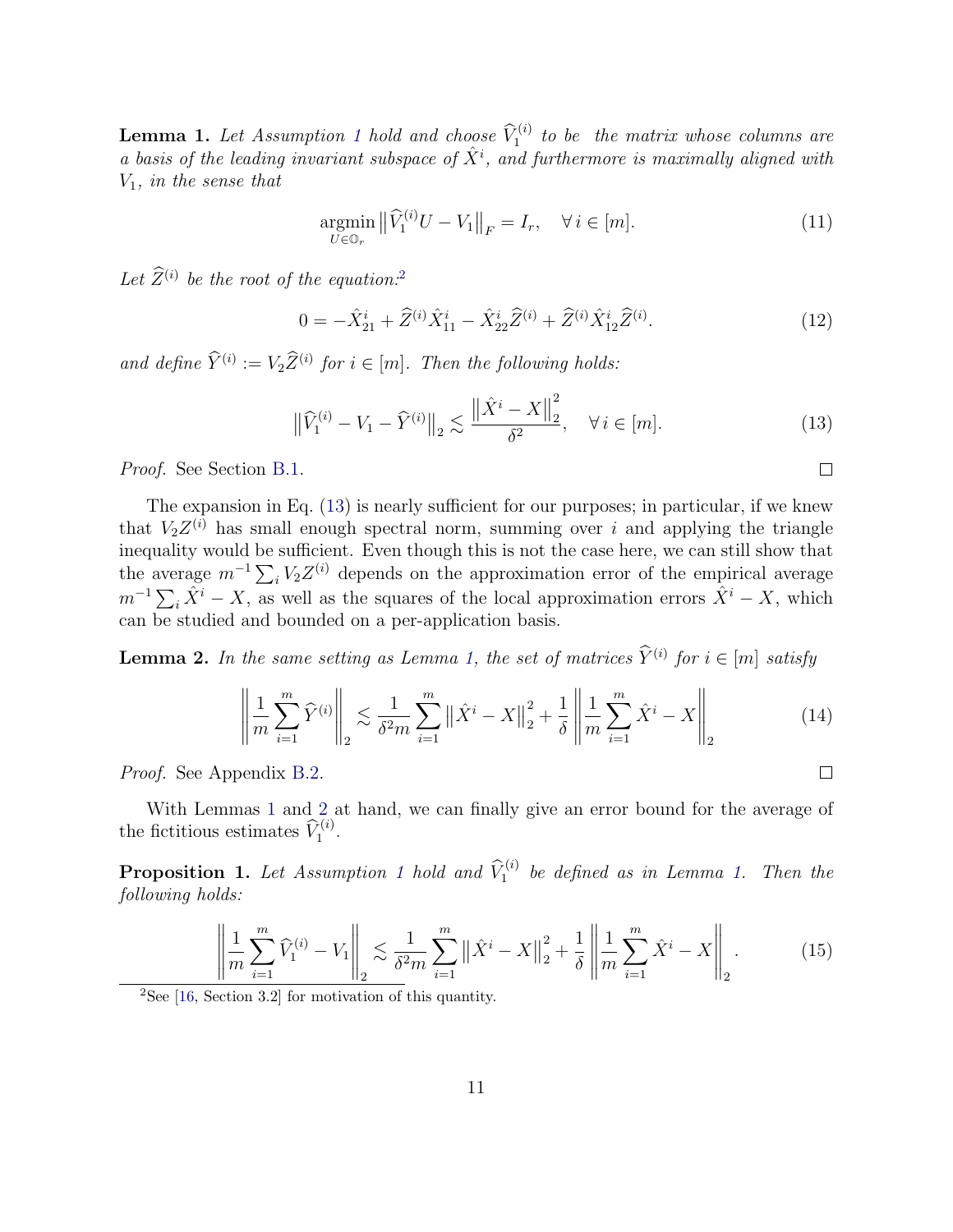**Lemma [1](#page-8-1).** Let Assumption 1 hold and choose  $\widehat{V}_1^{(i)}$  to be the matrix whose columns are a basis of the leading invariant subspace of  $\hat{X}^i$ , and furthermore is maximally aligned with  $V_1$ , in the sense that

<span id="page-10-5"></span>
$$
\underset{U \in \mathbb{O}_r}{\operatorname{argmin}} \left\| \widehat{V}_1^{(i)} U - V_1 \right\|_F = I_r, \quad \forall \, i \in [m]. \tag{11}
$$

Let  $Z^{(i)}$  be the root of the equation.<sup>[2](#page-10-0)</sup>

<span id="page-10-4"></span>
$$
0 = -\hat{X}_{21}^i + \hat{Z}^{(i)}\hat{X}_{11}^i - \hat{X}_{22}^i\hat{Z}^{(i)} + \hat{Z}^{(i)}\hat{X}_{12}^i\hat{Z}^{(i)}.
$$
 (12)

and define  $\hat{Y}^{(i)} := V_2 \hat{Z}^{(i)}$  for  $i \in [m]$ . Then the following holds:

<span id="page-10-1"></span>
$$
\left\|\hat{V}_{1}^{(i)} - V_{1} - \hat{Y}^{(i)}\right\|_{2} \lesssim \frac{\left\|\hat{X}^{i} - X\right\|_{2}^{2}}{\delta^{2}}, \quad \forall \, i \in [m].
$$
\n(13)

Proof. See Section [B.1.](#page-34-0)

The expansion in Eq. [\(13\)](#page-10-1) is nearly sufficient for our purposes; in particular, if we knew that  $V_2 Z^{(i)}$  has small enough spectral norm, summing over i and applying the triangle inequality would be sufficient. Even though this is not the case here, we can still show that the average  $m^{-1} \sum_i V_2 Z^{(i)}$  depends on the approximation error of the empirical average  $m^{-1}\sum_i \hat{X}^i - X$ , as well as the squares of the local approximation errors  $\hat{X}^i - X$ , which can be studied and bounded on a per-application basis.

<span id="page-10-2"></span>**Lemma 2.** In the same setting as Lemma [1,](#page-9-2) the set of matrices  $\hat{Y}^{(i)}$  for  $i \in [m]$  satisfy

$$
\left\| \frac{1}{m} \sum_{i=1}^{m} \hat{Y}^{(i)} \right\|_{2} \lesssim \frac{1}{\delta^{2} m} \sum_{i=1}^{m} \left\| \hat{X}^{i} - X \right\|_{2}^{2} + \frac{1}{\delta} \left\| \frac{1}{m} \sum_{i=1}^{m} \hat{X}^{i} - X \right\|_{2}
$$
(14)

Proof. See Appendix [B.2.](#page-35-0)

With Lemmas [1](#page-9-2) and [2](#page-10-2) at hand, we can finally give an error bound for the average of the fictitious estimates  $\hat{V}_1^{(i)}$ .

<span id="page-10-3"></span>**Proposition [1](#page-8-1).** Let Assumption 1 hold and  $\widehat{V}_1^{(i)}$  be defined as in Lemma [1.](#page-9-2) Then the following holds:

$$
\left\| \frac{1}{m} \sum_{i=1}^{m} \widehat{V}_{1}^{(i)} - V_{1} \right\|_{2} \lesssim \frac{1}{\delta^{2} m} \sum_{i=1}^{m} \left\| \widehat{X}^{i} - X \right\|_{2}^{2} + \frac{1}{\delta} \left\| \frac{1}{m} \sum_{i=1}^{m} \widehat{X}^{i} - X \right\|_{2}.
$$
 (15)

<span id="page-10-0"></span> $2$ See [\[16,](#page-28-10) Section 3.2] for motivation of this quantity.

 $\Box$ 

 $\Box$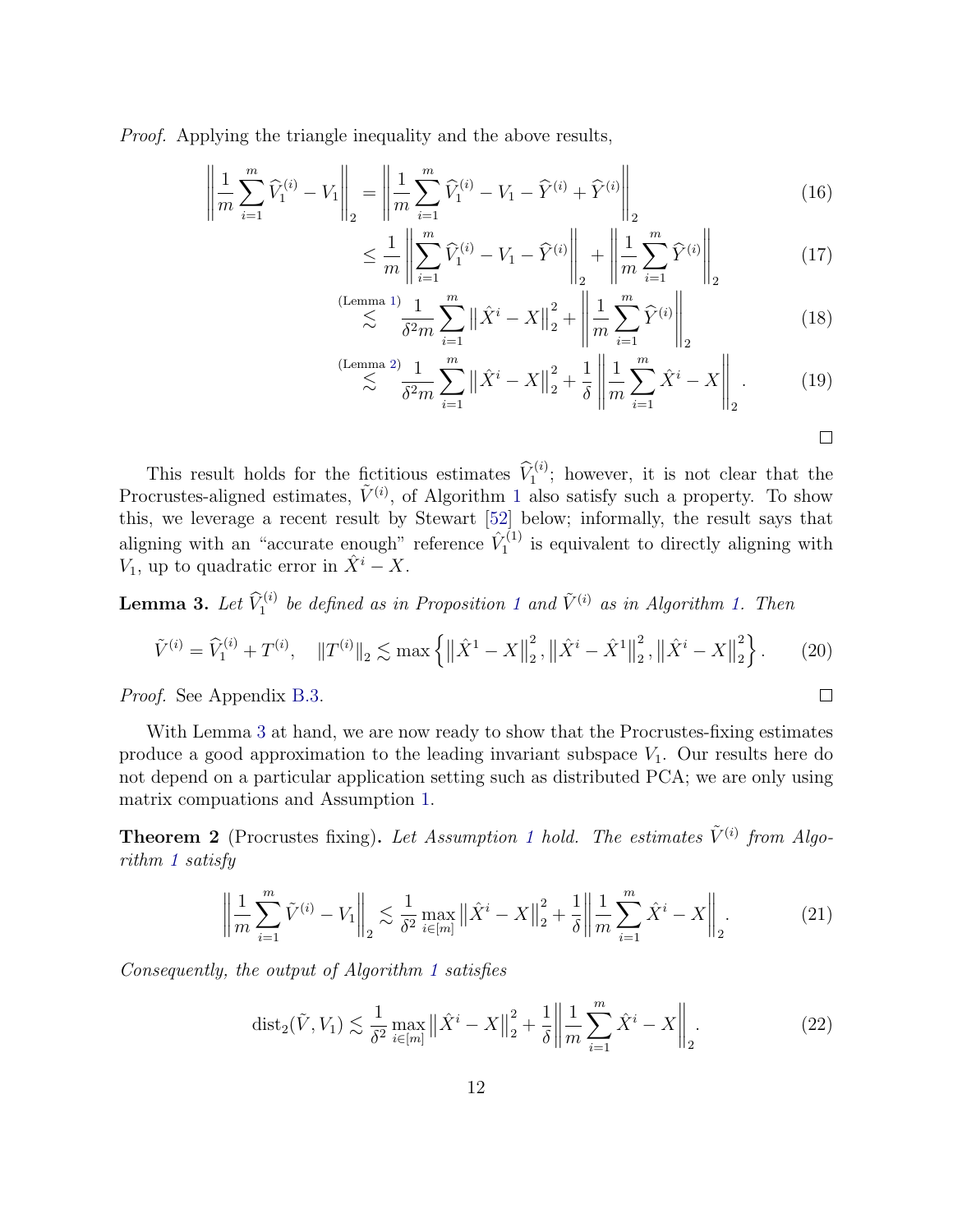Proof. Applying the triangle inequality and the above results,

$$
\left\| \frac{1}{m} \sum_{i=1}^{m} \widehat{V}_1^{(i)} - V_1 \right\|_2 = \left\| \frac{1}{m} \sum_{i=1}^{m} \widehat{V}_1^{(i)} - V_1 - \widehat{Y}^{(i)} + \widehat{Y}^{(i)} \right\|_2
$$
\n(16)

$$
\leq \frac{1}{m} \left\| \sum_{i=1}^{m} \widehat{V}_1^{(i)} - V_1 - \widehat{Y}^{(i)} \right\|_2 + \left\| \frac{1}{m} \sum_{i=1}^{m} \widehat{Y}^{(i)} \right\|_2
$$
(17)

$$
\lesssim \sum_{i=1}^{\text{(Lemma 1)}} \frac{1}{\delta^2 m} \sum_{i=1}^m \left\| \hat{X}^i - X \right\|_2^2 + \left\| \frac{1}{m} \sum_{i=1}^m \hat{Y}^{(i)} \right\|_2 \tag{18}
$$

$$
\lesssim \sum_{i=1}^{\text{(Lemma 2)}} \frac{1}{\delta^2 m} \sum_{i=1}^m \left\| \hat{X}^i - X \right\|_2^2 + \frac{1}{\delta} \left\| \frac{1}{m} \sum_{i=1}^m \hat{X}^i - X \right\|_2. \tag{19}
$$

$$
\Box
$$

 $\Box$ 

This result holds for the fictitious estimates  $\widehat{V}_1^{(i)}$ ; however, it is not clear that the Procrustes-aligned estimates,  $\tilde{V}^{(i)}$ , of Algorithm [1](#page-7-0) also satisfy such a property. To show this, we leverage a recent result by Stewart [\[52\]](#page-31-8) below; informally, the result says that aligning with an "accurate enough" reference  $\hat{V}_1^{(1)}$  $I_1^{\left(1\right)}$  is equivalent to directly aligning with  $V_1$ , up to quadratic error in  $\hat{X}^i - X$ .

<span id="page-11-0"></span>**Lemma 3.** Let  $\widehat{V}_1^{(i)}$  $\widehat{V}_1^{(i)}$  $\widehat{V}_1^{(i)}$  be defined as in Proposition 1 and  $\widetilde{V}^{(i)}$  as in Algorithm [1.](#page-7-0) Then

$$
\tilde{V}^{(i)} = \hat{V}_1^{(i)} + T^{(i)}, \quad ||T^{(i)}||_2 \lesssim \max\left\{ \left\| \hat{X}^1 - X \right\|_2^2, \left\| \hat{X}^i - \hat{X}^1 \right\|_2^2, \left\| \hat{X}^i - X \right\|_2^2 \right\}.
$$
 (20)

Proof. See Appendix [B.3.](#page-37-0)

With Lemma [3](#page-11-0) at hand, we are now ready to show that the Procrustes-fixing estimates produce a good approximation to the leading invariant subspace  $V_1$ . Our results here do not depend on a particular application setting such as distributed PCA; we are only using matrix compuations and Assumption [1.](#page-8-1)

<span id="page-11-1"></span>**Theorem 2** (Procrustes fixing). Let Assumption [1](#page-8-1) hold. The estimates  $\tilde{V}^{(i)}$  from Algorithm [1](#page-7-0) satisfy

$$
\left\| \frac{1}{m} \sum_{i=1}^{m} \tilde{V}^{(i)} - V_1 \right\|_2 \lesssim \frac{1}{\delta^2} \max_{i \in [m]} \left\| \hat{X}^i - X \right\|_2^2 + \frac{1}{\delta} \left\| \frac{1}{m} \sum_{i=1}^{m} \hat{X}^i - X \right\|_2.
$$
 (21)

Consequently, the output of Algorithm [1](#page-7-0) satisfies

$$
\text{dist}_2(\tilde{V}, V_1) \lesssim \frac{1}{\delta^2} \max_{i \in [m]} \left\| \hat{X}^i - X \right\|_2^2 + \frac{1}{\delta} \left\| \frac{1}{m} \sum_{i=1}^m \hat{X}^i - X \right\|_2. \tag{22}
$$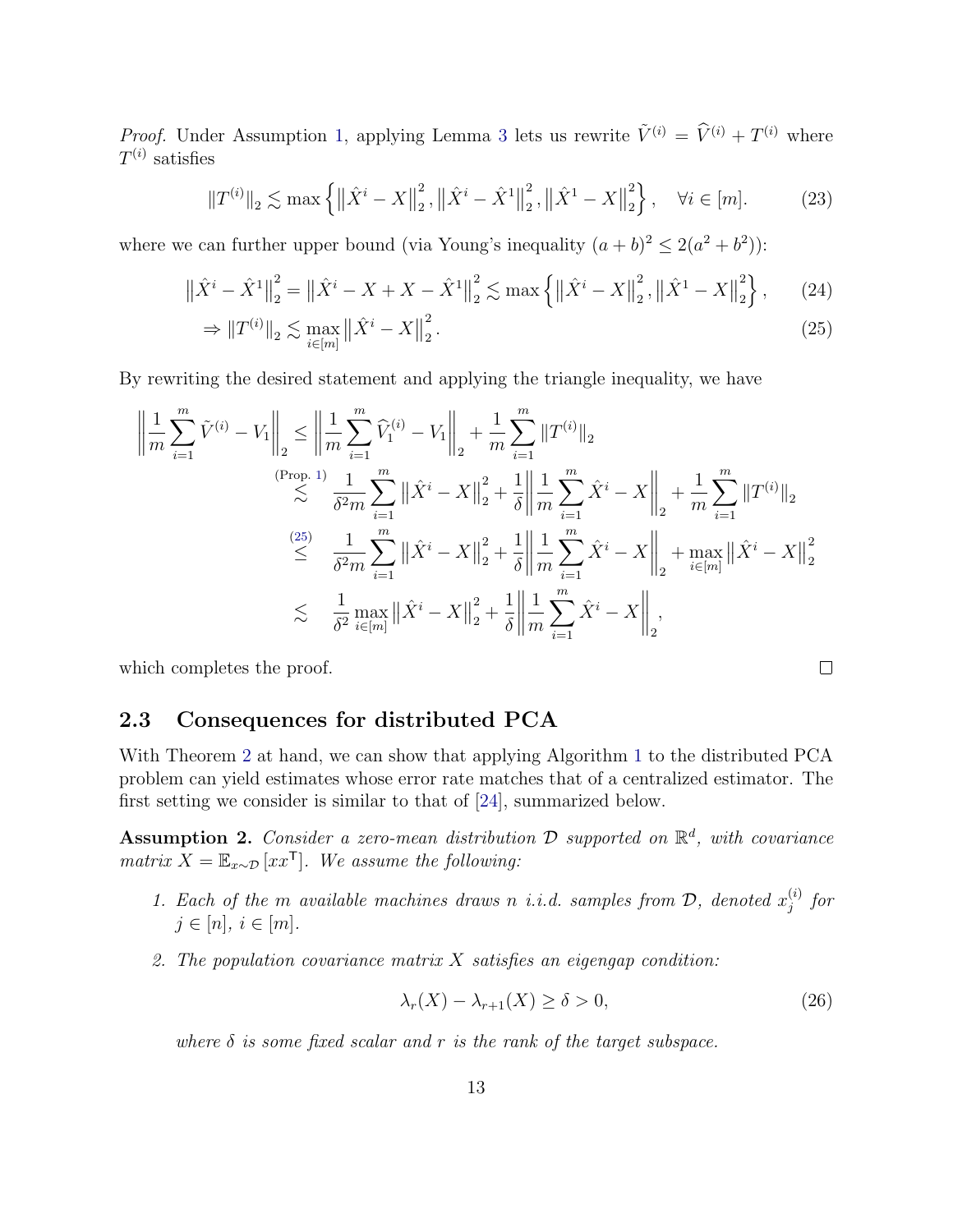*Proof.* Under Assumption [1,](#page-8-1) applying Lemma [3](#page-11-0) lets us rewrite  $\tilde{V}^{(i)} = \tilde{V}^{(i)} + T^{(i)}$  where  $T^{(i)}$  satisfies

$$
\|T^{(i)}\|_2 \lesssim \max\left\{ \left\|\hat{X}^i - X\right\|_2^2, \left\|\hat{X}^i - \hat{X}^1\right\|_2^2, \left\|\hat{X}^1 - X\right\|_2^2 \right\}, \quad \forall i \in [m]. \tag{23}
$$

where we can further upper bound (via Young's inequality  $(a + b)^2 \le 2(a^2 + b^2)$ ):

$$
\left\| \hat{X}^{i} - \hat{X}^{1} \right\|_{2}^{2} = \left\| \hat{X}^{i} - X + X - \hat{X}^{1} \right\|_{2}^{2} \lesssim \max \left\{ \left\| \hat{X}^{i} - X \right\|_{2}^{2}, \left\| \hat{X}^{1} - X \right\|_{2}^{2} \right\},\tag{24}
$$

$$
\Rightarrow \|T^{(i)}\|_2 \lesssim \max_{i \in [m]} \left\| \hat{X}^i - X \right\|_2^2. \tag{25}
$$

By rewriting the desired statement and applying the triangle inequality, we have

$$
\left\| \frac{1}{m} \sum_{i=1}^{m} \tilde{V}^{(i)} - V_1 \right\|_2 \leq \left\| \frac{1}{m} \sum_{i=1}^{m} \hat{V}_1^{(i)} - V_1 \right\|_2 + \frac{1}{m} \sum_{i=1}^{m} \|T^{(i)}\|_2
$$
\n
$$
\lesssim \frac{\left\| \sum_{i=1}^{m} \sum_{i=1}^{m} \left\| \hat{X}^i - X \right\|_2^2 + \frac{1}{\delta} \left\| \frac{1}{m} \sum_{i=1}^{m} \hat{X}^i - X \right\|_2 + \frac{1}{m} \sum_{i=1}^{m} \|T^{(i)}\|_2
$$
\n
$$
\leq \frac{\left(25\right)}{\delta^2 m} \sum_{i=1}^{m} \left\| \hat{X}^i - X \right\|_2^2 + \frac{1}{\delta} \left\| \frac{1}{m} \sum_{i=1}^{m} \hat{X}^i - X \right\|_2 + \max_{i \in [m]} \left\| \hat{X}^i - X \right\|_2^2
$$
\n
$$
\lesssim \frac{1}{\delta^2 \max_{i \in [m]} \| \hat{X}^i - X \|^2_2 + \frac{1}{\delta} \left\| \frac{1}{m} \sum_{i=1}^{m} \hat{X}^i - X \right\|_2,
$$

which completes the proof.

### 2.3 Consequences for distributed PCA

With Theorem [2](#page-11-1) at hand, we can show that applying Algorithm [1](#page-7-0) to the distributed PCA problem can yield estimates whose error rate matches that of a centralized estimator. The first setting we consider is similar to that of [\[24\]](#page-28-0), summarized below.

<span id="page-12-1"></span>Assumption 2. Consider a zero-mean distribution  $\mathcal D$  supported on  $\mathbb R^d$ , with covariance matrix  $X = \mathbb{E}_{x \sim \mathcal{D}}[xx^{\mathsf{T}}]$ . We assume the following:

- 1. Each of the m available machines draws n i.i.d. samples from  $D$ , denoted  $x_j^{(i)}$  $j^{(i)}$  for  $j \in [n], i \in [m].$
- 2. The population covariance matrix  $X$  satisfies an eigengap condition:

$$
\lambda_r(X) - \lambda_{r+1}(X) \ge \delta > 0,\tag{26}
$$

<span id="page-12-0"></span> $\Box$ 

where  $\delta$  is some fixed scalar and r is the rank of the target subspace.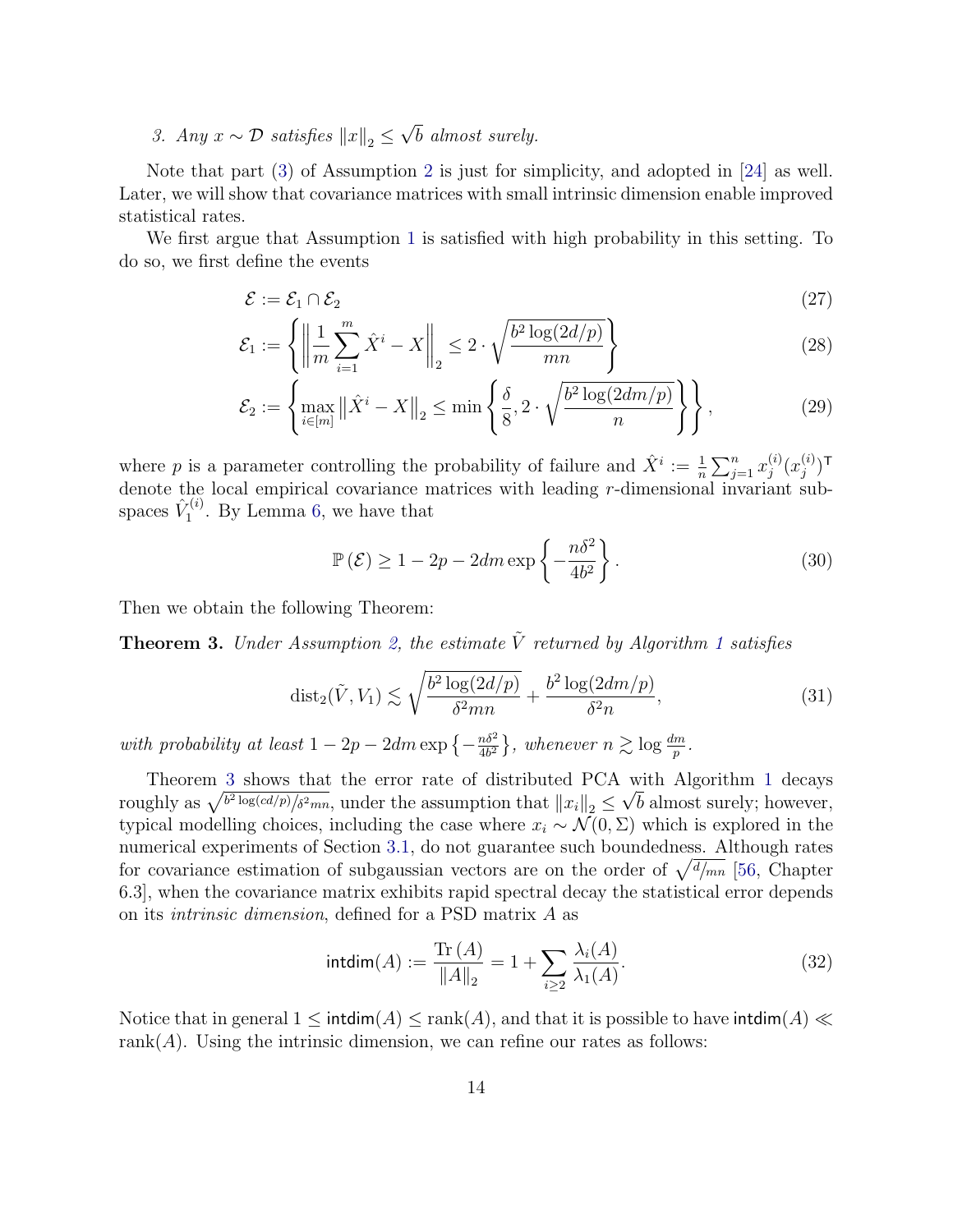<span id="page-13-0"></span>3. Any  $x \sim \mathcal{D}$  satisfies  $||x||_2 \leq \sqrt{b}$  almost surely.

Note that part [\(3\)](#page-13-0) of Assumption [2](#page-12-1) is just for simplicity, and adopted in [\[24\]](#page-28-0) as well. Later, we will show that covariance matrices with small intrinsic dimension enable improved statistical rates.

We first argue that Assumption [1](#page-8-1) is satisfied with high probability in this setting. To do so, we first define the events

$$
\mathcal{E} := \mathcal{E}_1 \cap \mathcal{E}_2 \tag{27}
$$

$$
\mathcal{E}_1 := \left\{ \left\| \frac{1}{m} \sum_{i=1}^m \hat{X}^i - X \right\|_2 \le 2 \cdot \sqrt{\frac{b^2 \log(2d/p)}{mn}} \right\} \tag{28}
$$

$$
\mathcal{E}_2 := \left\{ \max_{i \in [m]} \left\| \hat{X}^i - X \right\|_2 \le \min \left\{ \frac{\delta}{8}, 2 \cdot \sqrt{\frac{b^2 \log(2dm/p)}{n}} \right\} \right\},\tag{29}
$$

where p is a parameter controlling the probability of failure and  $\hat{X}^i := \frac{1}{n} \sum_{j=1}^n x_j^{(i)}$  $\displaystyle{ \stackrel{(i)}{j}}(x^{(i)}_j$  $\binom{i}{j}$ T denote the local empirical covariance matrices with leading r-dimensional invariant subspaces  $\hat{V}^{(i)}_1$  $\mathcal{I}_1^{(i)}$ . By Lemma [6,](#page-32-0) we have that

$$
\mathbb{P}\left(\mathcal{E}\right) \ge 1 - 2p - 2dm \exp\left\{-\frac{n\delta^2}{4b^2}\right\}.
$$
\n(30)

Then we obtain the following Theorem:

<span id="page-13-1"></span>**Theorem 3.** Under Assumption [2,](#page-12-1) the estimate  $\tilde{V}$  returned by Algorithm [1](#page-7-0) satisfies

$$
\text{dist}_2(\tilde{V}, V_1) \lesssim \sqrt{\frac{b^2 \log(2d/p)}{\delta^2 mn}} + \frac{b^2 \log(2dm/p)}{\delta^2 n},\tag{31}
$$

with probability at least  $1 - 2p - 2dm \exp \left(-\frac{n\delta^2}{4b^2}\right)$  $\frac{m\delta^2}{4b^2}$ , whenever  $n \gtrsim \log \frac{dm}{p}$ .

Theorem [3](#page-13-1) shows that the error rate of distributed PCA with Algorithm [1](#page-7-0) decays roughly as  $\sqrt{b^2 \log (cd/p)/\delta^2 mn}$ , under the assumption that  $||x_i||_2 \le \sqrt{b}$  almost surely; however, typical modelling choices, including the case where  $x_i \sim \mathcal{N}(0, \Sigma)$  which is explored in the numerical experiments of Section [3.1,](#page-15-0) do not guarantee such boundedness. Although rates for covariance estimation of subgaussian vectors are on the order of  $\sqrt{\frac{d}{mn}}$  [\[56,](#page-31-7) Chapter 6.3], when the covariance matrix exhibits rapid spectral decay the statistical error depends on its intrinsic dimension, defined for a PSD matrix A as

$$
intdim(A) := \frac{\text{Tr}(A)}{\|A\|_2} = 1 + \sum_{i \ge 2} \frac{\lambda_i(A)}{\lambda_1(A)}.
$$
 (32)

<span id="page-13-2"></span>Notice that in general  $1 \leq \text{intdim}(A) \leq \text{rank}(A)$ , and that it is possible to have integral  $\ll$ rank $(A)$ . Using the intrinsic dimension, we can refine our rates as follows: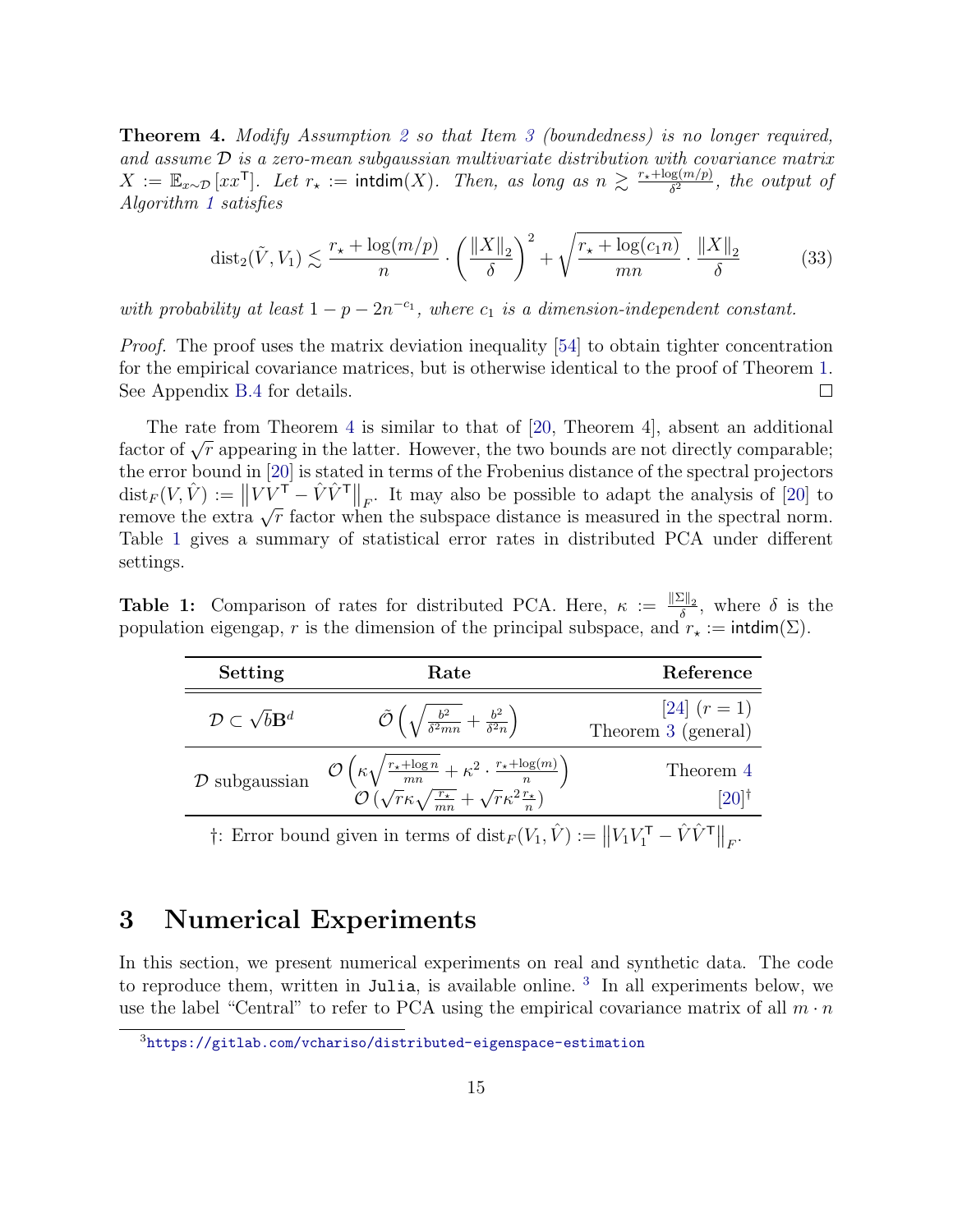Theorem 4. Modify Assumption [2](#page-12-1) so that Item [3](#page-13-0) (boundedness) is no longer required, and assume  $\mathcal{D}$  is a zero-mean subgaussian multivariate distribution with covariance matrix  $X := \mathbb{E}_{x \sim \mathcal{D}}[xx^{\mathsf{T}}]$ . Let  $r_{\star} := \text{intdim}(X)$ . Then, as long as  $n \gtrsim \frac{r_{\star} + \log(m/p)}{\delta^2}$  $\frac{\partial g(m/p)}{\partial q^2}$ , the output of Algorithm [1](#page-7-0) satisfies

$$
\text{dist}_2(\tilde{V}, V_1) \lesssim \frac{r_\star + \log(m/p)}{n} \cdot \left(\frac{\|X\|_2}{\delta}\right)^2 + \sqrt{\frac{r_\star + \log(c_1 n)}{mn}} \cdot \frac{\|X\|_2}{\delta} \tag{33}
$$

with probability at least  $1 - p - 2n^{-c_1}$ , where  $c_1$  is a dimension-independent constant.

*Proof.* The proof uses the matrix deviation inequality [\[54\]](#page-31-9) to obtain tighter concentration for the empirical covariance matrices, but is otherwise identical to the proof of Theorem [1.](#page-9-1) See Appendix [B.4](#page-38-0) for details.  $\Box$ 

The rate from Theorem [4](#page-13-2) is similar to that of [\[20,](#page-28-1) Theorem 4], absent an additional factor of  $\sqrt{r}$  appearing in the latter. However, the two bounds are not directly comparable; the error bound in [\[20\]](#page-28-1) is stated in terms of the Frobenius distance of the spectral projectors  $\text{dist}_F(V, \hat{V}) := ||V V^{\mathsf{T}} - \hat{V} \hat{V}^{\mathsf{T}}||_F$ . It may also be possible to adapt the analysis of [\[20\]](#page-28-1) to remove the extra  $\sqrt{r}$  factor when the subspace distance is measured in the spectral norm. Table [1](#page-14-0) gives a summary of statistical error rates in distributed PCA under different settings.

<span id="page-14-0"></span>**Table 1:** Comparison of rates for distributed PCA. Here,  $\kappa := \frac{\|\Sigma\|_2}{\delta}$  $\frac{\partial \Pi_2}{\partial \delta}$ , where  $\delta$  is the population eigengap, r is the dimension of the principal subspace, and  $r_* := \text{intdim}(\Sigma)$ .

| Setting                                     | Rate                                                                                                                                                                                                                   | Reference                             |
|---------------------------------------------|------------------------------------------------------------------------------------------------------------------------------------------------------------------------------------------------------------------------|---------------------------------------|
| $\mathcal{D} \subset \sqrt{b} \mathbf{B}^d$ | $\tilde{\mathcal{O}}\left(\sqrt{\frac{b^2}{\delta^2 mn}+\frac{b^2}{\delta^2 n}}\right)$                                                                                                                                | [24] $(r = 1)$<br>Theorem 3 (general) |
| $D$ subgaussian                             | $\mathcal{O}\left(\kappa\sqrt{\frac{r_{\star}+\log n}{mn}+\kappa^2\cdot\frac{r_{\star}+\log(m)}{n}}\right)$<br>$\mathcal{O}\left(\sqrt{r}\kappa\sqrt{\frac{r_{\star}}{mn}}+\sqrt{r}\kappa^2\frac{r_{\star}}{n}\right)$ | Theorem 4<br>$[20]$ <sup>†</sup>      |
|                                             | $\pm$ . From bound given in terms of dist $(V, \hat{V}) :=   V V \overline{V} - \hat{V} \hat{V} \hat{V} \overline{V}  $                                                                                                |                                       |

 $\dagger$ : Error bound given in terms of  $\text{dist}_F(V_1, \hat{V}) := ||V_1 V_1^{\mathsf{T}} - \hat{V} \hat{V}^{\mathsf{T}}||_F$ .

## 3 Numerical Experiments

In this section, we present numerical experiments on real and synthetic data. The code to reproduce them, written in Julia, is available online.<sup>[3](#page-14-1)</sup> In all experiments below, we use the label "Central" to refer to PCA using the empirical covariance matrix of all  $m \cdot n$ 

<span id="page-14-1"></span><sup>3</sup><https://gitlab.com/vchariso/distributed-eigenspace-estimation>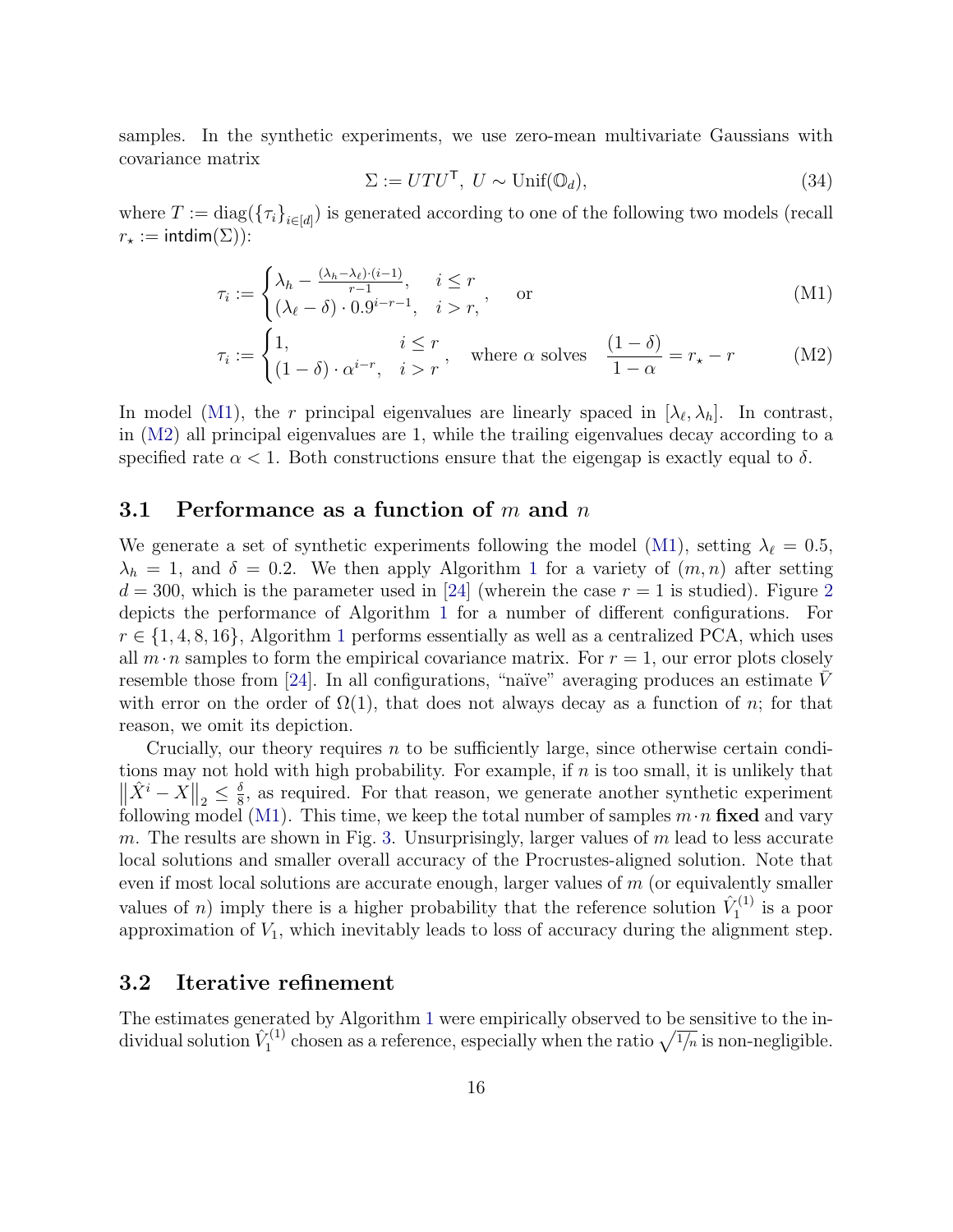samples. In the synthetic experiments, we use zero-mean multivariate Gaussians with covariance matrix

<span id="page-15-2"></span><span id="page-15-1"></span>
$$
\Sigma := U T U^{\mathsf{T}}, \ U \sim \text{Unif}(\mathbb{O}_d), \tag{34}
$$

where  $T := \text{diag}(\{\tau_i\}_{i \in [d]})$  is generated according to one of the following two models (recall  $r_{\star} := \text{intdim}(\Sigma)$ :

$$
\tau_i := \begin{cases} \lambda_h - \frac{(\lambda_h - \lambda_\ell) \cdot (i-1)}{r-1}, & i \le r \\ (\lambda_\ell - \delta) \cdot 0.9^{i-r-1}, & i > r \end{cases}, \quad \text{or} \tag{M1}
$$

$$
\tau_i := \begin{cases} 1, & i \le r \\ (1 - \delta) \cdot \alpha^{i - r}, & i > r \end{cases}
$$
, where  $\alpha$  solves 
$$
\frac{(1 - \delta)}{1 - \alpha} = r_* - r
$$
 (M2)

In model [\(M1\)](#page-15-1), the r principal eigenvalues are linearly spaced in  $[\lambda_{\ell}, \lambda_h]$ . In contrast, in [\(M2\)](#page-15-2) all principal eigenvalues are 1, while the trailing eigenvalues decay according to a specified rate  $\alpha < 1$ . Both constructions ensure that the eigengap is exactly equal to  $\delta$ .

#### <span id="page-15-0"></span>3.1 Performance as a function of  $m$  and  $n$

We generate a set of synthetic experiments following the model [\(M1\)](#page-15-1), setting  $\lambda_{\ell} = 0.5$ ,  $\lambda_h = 1$  $\lambda_h = 1$ , and  $\delta = 0.2$ . We then apply Algorithm 1 for a variety of  $(m, n)$  after setting  $d = 300$ , which is the parameter used in [\[24\]](#page-28-0) (wherein the case  $r = 1$  is studied). Figure [2](#page-16-0) depicts the performance of Algorithm [1](#page-7-0) for a number of different configurations. For  $r \in \{1, 4, 8, 16\}$  $r \in \{1, 4, 8, 16\}$  $r \in \{1, 4, 8, 16\}$ , Algorithm 1 performs essentially as well as a centralized PCA, which uses all  $m \cdot n$  samples to form the empirical covariance matrix. For  $r = 1$ , our error plots closely resemble those from [\[24\]](#page-28-0). In all configurations, "naïve" averaging produces an estimate V with error on the order of  $\Omega(1)$ , that does not always decay as a function of n; for that reason, we omit its depiction.

Crucially, our theory requires  $n$  to be sufficiently large, since otherwise certain conditions may not hold with high probability. For example, if  $n$  is too small, it is unlikely that  $\left\|\hat{X}^i - X\right\|_2 \leq \frac{\delta}{8}$  $\frac{\delta}{8}$ , as required. For that reason, we generate another synthetic experiment following model [\(M1\)](#page-15-1). This time, we keep the total number of samples  $m \cdot n$  fixed and vary m. The results are shown in Fig. [3.](#page-17-0) Unsurprisingly, larger values of  $m$  lead to less accurate local solutions and smaller overall accuracy of the Procrustes-aligned solution. Note that even if most local solutions are accurate enough, larger values of  $m$  (or equivalently smaller values of *n*) imply there is a higher probability that the reference solution  $\hat{V}_1^{(1)}$  $i_1^{(1)}$  is a poor approximation of  $V_1$ , which inevitably leads to loss of accuracy during the alignment step.

#### <span id="page-15-3"></span>3.2 Iterative refinement

The estimates generated by Algorithm [1](#page-7-0) were empirically observed to be sensitive to the individual solution  $\hat{V}_1^{(1)}$  $\gamma_1^{(1)}$  chosen as a reference, especially when the ratio  $\sqrt{1/n}$  is non-negligible.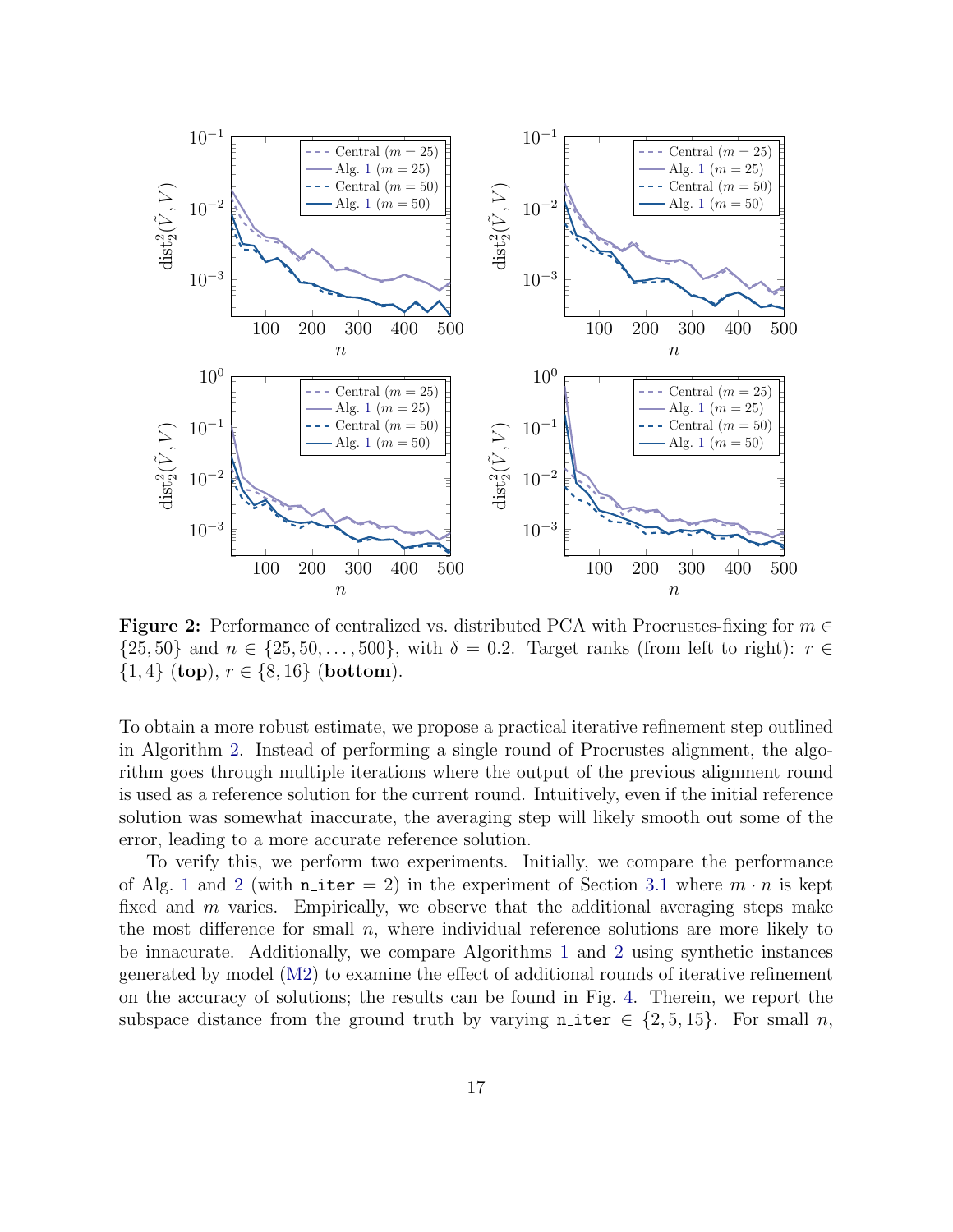<span id="page-16-0"></span>

Figure 2: Performance of centralized vs. distributed PCA with Procrustes-fixing for  $m \in$  $\{25, 50\}$  and  $n \in \{25, 50, \ldots, 500\}$ , with  $\delta = 0.2$ . Target ranks (from left to right):  $r \in$  $\{1,4\}$  (top),  $r \in \{8,16\}$  (bottom).

To obtain a more robust estimate, we propose a practical iterative refinement step outlined in Algorithm [2.](#page-17-1) Instead of performing a single round of Procrustes alignment, the algorithm goes through multiple iterations where the output of the previous alignment round is used as a reference solution for the current round. Intuitively, even if the initial reference solution was somewhat inaccurate, the averaging step will likely smooth out some of the error, leading to a more accurate reference solution.

To verify this, we perform two experiments. Initially, we compare the performance of Alg. [1](#page-7-0) and [2](#page-17-1) (with  $n$ **-iter** = 2) in the experiment of Section [3.1](#page-15-0) where  $m \cdot n$  is kept fixed and m varies. Empirically, we observe that the additional averaging steps make the most difference for small  $n$ , where individual reference solutions are more likely to be innacurate. Additionally, we compare Algorithms [1](#page-7-0) and [2](#page-17-1) using synthetic instances generated by model [\(M2\)](#page-15-2) to examine the effect of additional rounds of iterative refinement on the accuracy of solutions; the results can be found in Fig. [4.](#page-18-0) Therein, we report the subspace distance from the ground truth by varying  $n$ -iter  $\in \{2, 5, 15\}$ . For small n,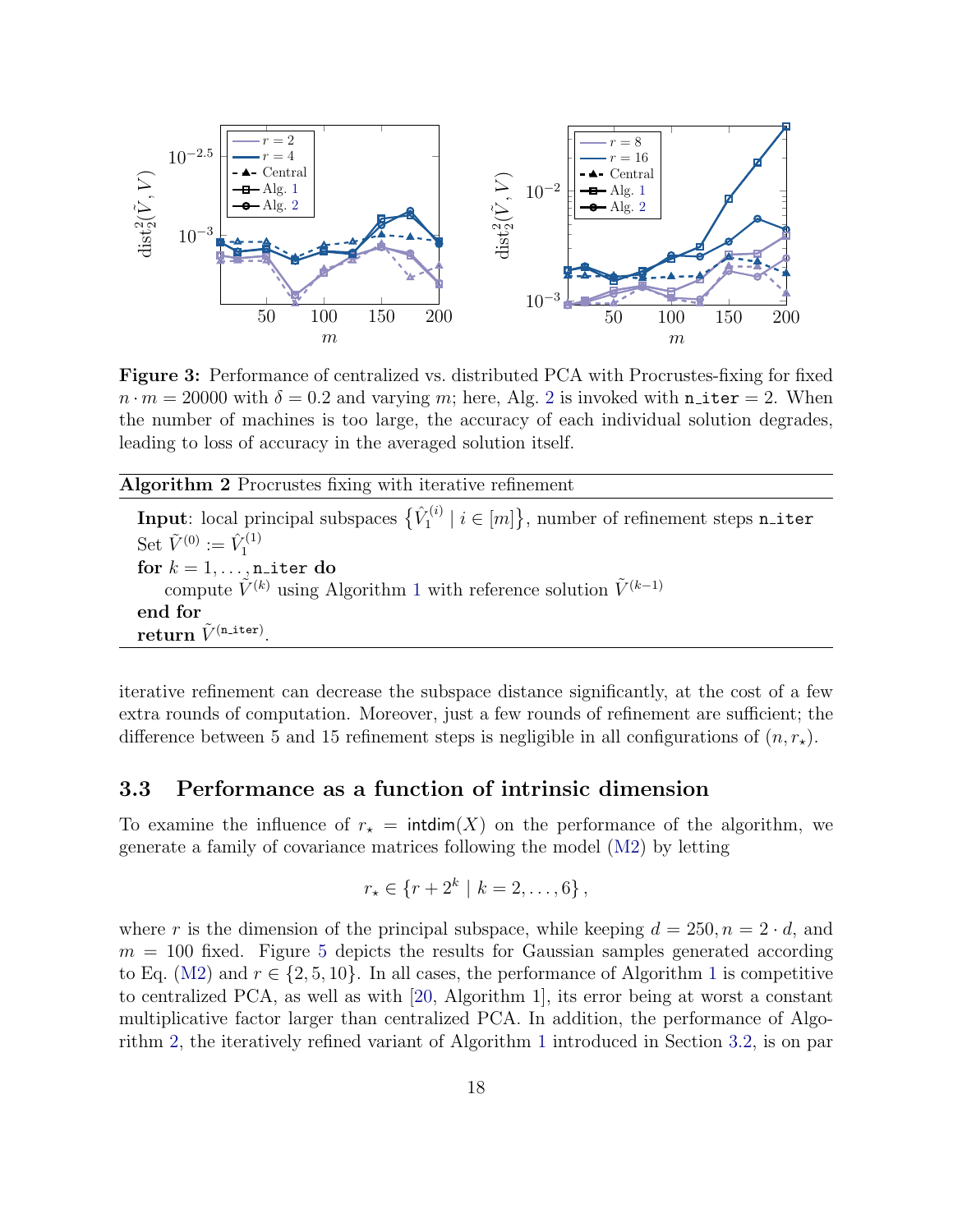<span id="page-17-0"></span>

Figure 3: Performance of centralized vs. distributed PCA with Procrustes-fixing for fixed  $n \cdot m = 20000$  $n \cdot m = 20000$  $n \cdot m = 20000$  with  $\delta = 0.2$  and varying m; here, Alg. 2 is invoked with n\_iter = 2. When the number of machines is too large, the accuracy of each individual solution degrades, leading to loss of accuracy in the averaged solution itself.

<span id="page-17-1"></span>Algorithm 2 Procrustes fixing with iterative refinement

Input: local principal subspaces  $\{\hat{V}_1^{(i)}\}$  $\{I_1^{(i)} \mid i \in [m]\},$  number of refinement steps  $\texttt{n\_iter}$ Set  $\tilde{V}^{(0)} := \hat{V}_1^{(1)}$ 1 for  $k = 1, \ldots, n$ <sub>iter</sub> do compute  $\tilde{V}^{(k)}$  using Algorithm [1](#page-7-0) with reference solution  $\tilde{V}^{(k-1)}$ end for  ${\bf return} \; \tilde{V}^{\texttt{(n\_iter)}}.$ 

iterative refinement can decrease the subspace distance significantly, at the cost of a few extra rounds of computation. Moreover, just a few rounds of refinement are sufficient; the difference between 5 and 15 refinement steps is negligible in all configurations of  $(n, r_*)$ .

#### 3.3 Performance as a function of intrinsic dimension

To examine the influence of  $r<sub>\star</sub> = \text{intdim}(X)$  on the performance of the algorithm, we generate a family of covariance matrices following the model [\(M2\)](#page-15-2) by letting

$$
r_{\star} \in \{r+2^{k} \mid k=2,\ldots,6\} \,,
$$

where r is the dimension of the principal subspace, while keeping  $d = 250, n = 2 \cdot d$ , and  $m = 100$  fixed. Figure [5](#page-19-0) depicts the results for Gaussian samples generated according to Eq. [\(M2\)](#page-15-2) and  $r \in \{2, 5, 10\}$  $r \in \{2, 5, 10\}$  $r \in \{2, 5, 10\}$ . In all cases, the performance of Algorithm 1 is competitive to centralized PCA, as well as with [\[20,](#page-28-1) Algorithm 1], its error being at worst a constant multiplicative factor larger than centralized PCA. In addition, the performance of Algorithm [2,](#page-17-1) the iteratively refined variant of Algorithm [1](#page-7-0) introduced in Section [3.2,](#page-15-3) is on par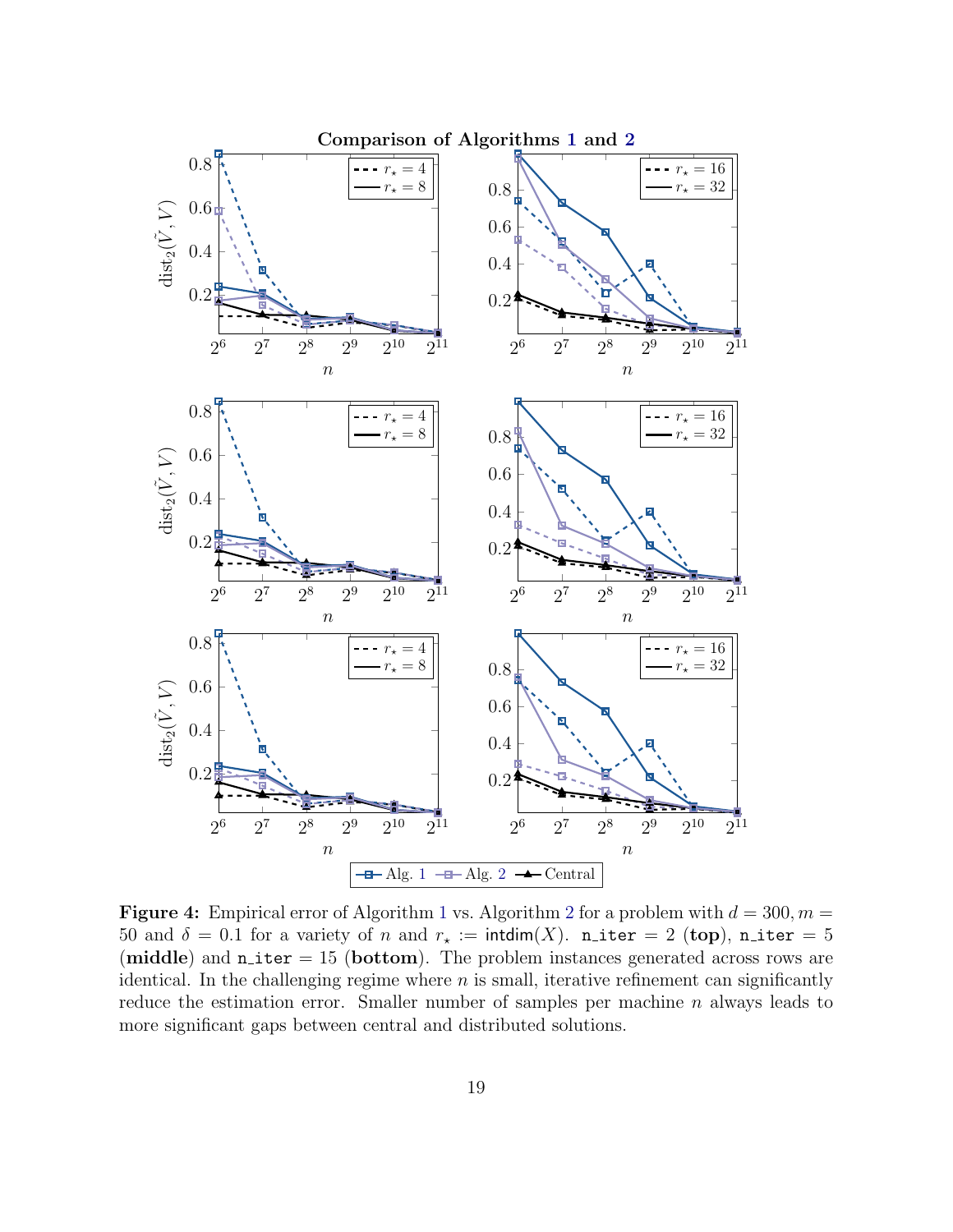<span id="page-18-0"></span>

**Figure 4:** Empirical error of Algorithm [1](#page-7-0) vs. Algorithm [2](#page-17-1) for a problem with  $d = 300, m =$ 50 and  $\delta = 0.1$  for a variety of n and  $r_* := \text{intdim}(X)$ . n\_iter = 2 (top), n\_iter = 5 (middle) and  $n$  iter = 15 (bottom). The problem instances generated across rows are identical. In the challenging regime where  $n$  is small, iterative refinement can significantly reduce the estimation error. Smaller number of samples per machine  $n$  always leads to more significant gaps between central and distributed solutions.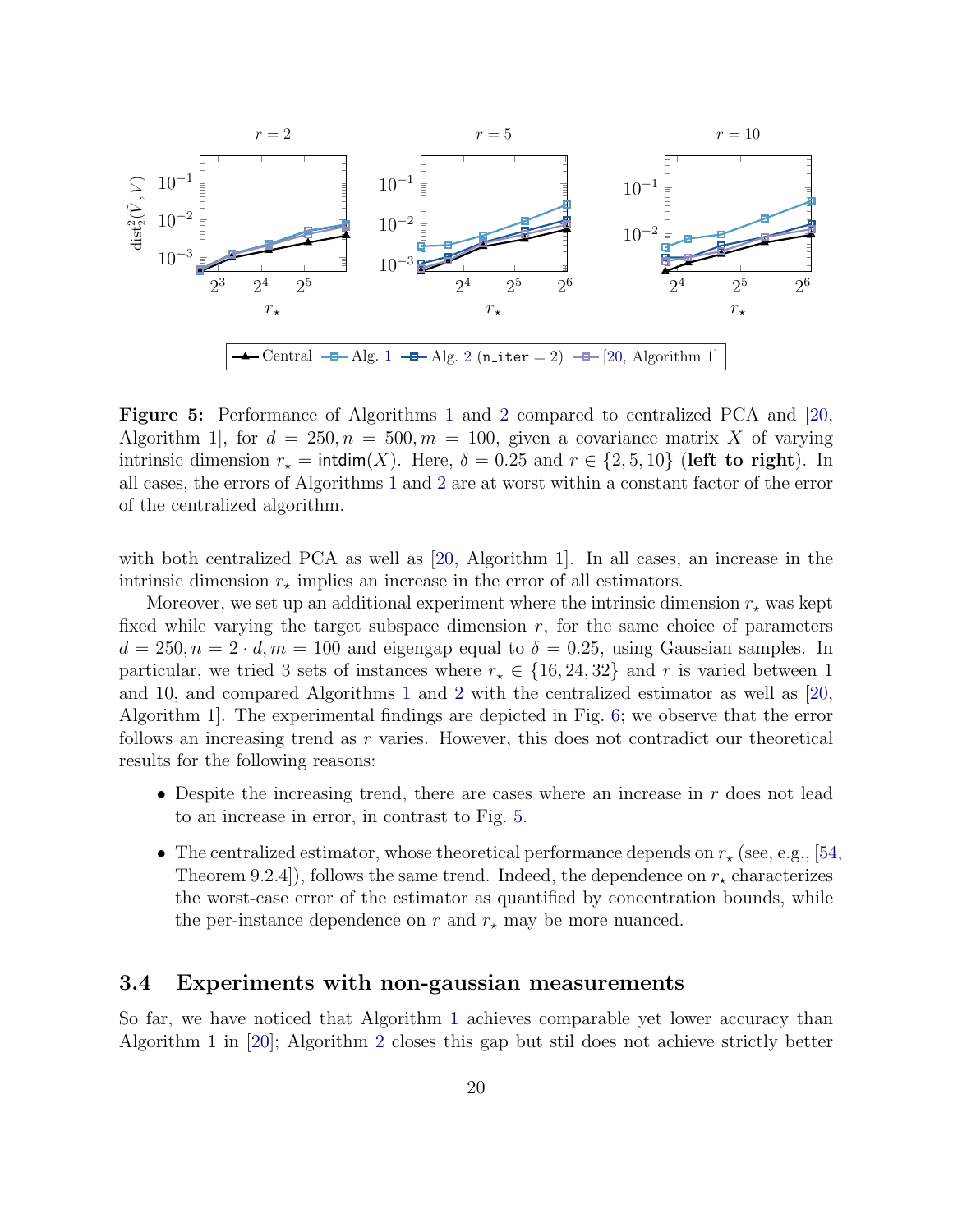<span id="page-19-0"></span>

Figure 5: Performance of Algorithms [1](#page-7-0) and [2](#page-17-1) compared to centralized PCA and [\[20,](#page-28-1) Algorithm 1, for  $d = 250, n = 500, m = 100$ , given a covariance matrix X of varying intrinsic dimension  $r_{\star} = \text{intdim}(X)$ . Here,  $\delta = 0.25$  and  $r \in \{2, 5, 10\}$  (left to right). In all cases, the errors of Algorithms [1](#page-7-0) and [2](#page-17-1) are at worst within a constant factor of the error of the centralized algorithm.

with both centralized PCA as well as [\[20,](#page-28-1) Algorithm 1]. In all cases, an increase in the intrinsic dimension  $r_{\star}$  implies an increase in the error of all estimators.

Moreover, we set up an additional experiment where the intrinsic dimension  $r_{\star}$  was kept fixed while varying the target subspace dimension  $r$ , for the same choice of parameters  $d = 250, n = 2 \cdot d, m = 100$  and eigengap equal to  $\delta = 0.25$ , using Gaussian samples. In particular, we tried 3 sets of instances where  $r_{\star} \in \{16, 24, 32\}$  and r is varied between 1 and 10, and compared Algorithms [1](#page-7-0) and [2](#page-17-1) with the centralized estimator as well as [\[20,](#page-28-1) Algorithm 1]. The experimental findings are depicted in Fig. [6;](#page-20-0) we observe that the error follows an increasing trend as r varies. However, this does not contradict our theoretical results for the following reasons:

- Despite the increasing trend, there are cases where an increase in  $r$  does not lead to an increase in error, in contrast to Fig. [5.](#page-19-0)
- The centralized estimator, whose theoretical performance depends on  $r_{\star}$  (see, e.g., [\[54,](#page-31-9) Theorem 9.2.4]), follows the same trend. Indeed, the dependence on  $r_{\star}$  characterizes the worst-case error of the estimator as quantified by concentration bounds, while the per-instance dependence on r and  $r_{\star}$  may be more nuanced.

#### 3.4 Experiments with non-gaussian measurements

So far, we have noticed that Algorithm [1](#page-7-0) achieves comparable yet lower accuracy than Algorithm 1 in [\[20\]](#page-28-1); Algorithm [2](#page-17-1) closes this gap but stil does not achieve strictly better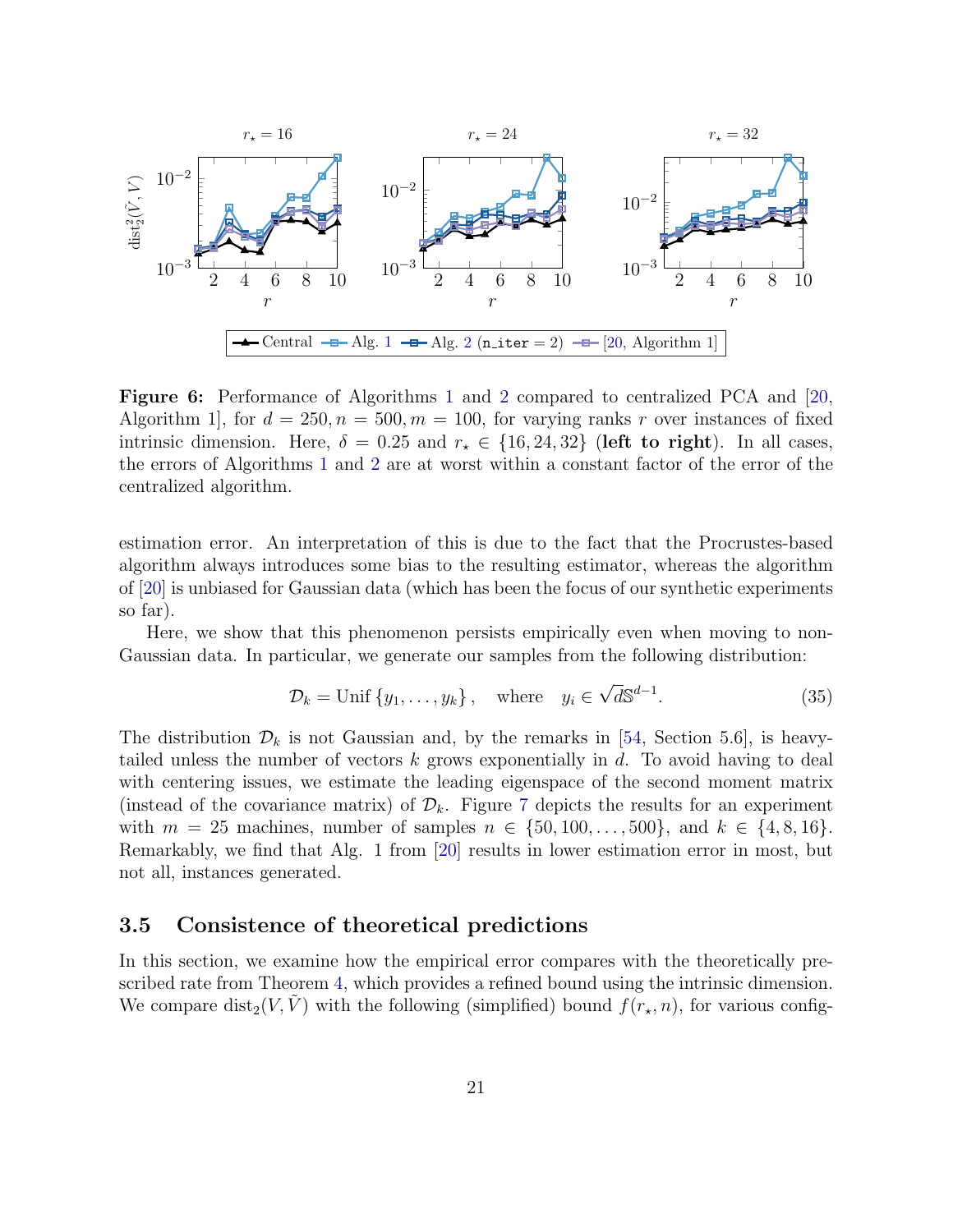<span id="page-20-0"></span>

Figure 6: Performance of Algorithms [1](#page-7-0) and [2](#page-17-1) compared to centralized PCA and [\[20,](#page-28-1) Algorithm 1, for  $d = 250, n = 500, m = 100$ , for varying ranks r over instances of fixed intrinsic dimension. Here,  $\delta = 0.25$  and  $r_* \in \{16, 24, 32\}$  (left to right). In all cases, the errors of Algorithms [1](#page-7-0) and [2](#page-17-1) are at worst within a constant factor of the error of the centralized algorithm.

estimation error. An interpretation of this is due to the fact that the Procrustes-based algorithm always introduces some bias to the resulting estimator, whereas the algorithm of [\[20\]](#page-28-1) is unbiased for Gaussian data (which has been the focus of our synthetic experiments so far).

Here, we show that this phenomenon persists empirically even when moving to non-Gaussian data. In particular, we generate our samples from the following distribution:

<span id="page-20-1"></span>
$$
\mathcal{D}_k = \text{Unif} \{y_1, \dots, y_k\}, \quad \text{where} \quad y_i \in \sqrt{d} \mathbb{S}^{d-1}.
$$
 (35)

The distribution  $\mathcal{D}_k$  is not Gaussian and, by the remarks in [\[54,](#page-31-9) Section 5.6], is heavytailed unless the number of vectors  $k$  grows exponentially in  $d$ . To avoid having to deal with centering issues, we estimate the leading eigenspace of the second moment matrix (instead of the covariance matrix) of  $\mathcal{D}_k$ . Figure [7](#page-21-0) depicts the results for an experiment with  $m = 25$  machines, number of samples  $n \in \{50, 100, \ldots, 500\}$ , and  $k \in \{4, 8, 16\}$ . Remarkably, we find that Alg. 1 from [\[20\]](#page-28-1) results in lower estimation error in most, but not all, instances generated.

#### 3.5 Consistence of theoretical predictions

In this section, we examine how the empirical error compares with the theoretically prescribed rate from Theorem [4,](#page-13-2) which provides a refined bound using the intrinsic dimension. We compare dist<sub>2</sub>(V, V) with the following (simplified) bound  $f(r_{\star}, n)$ , for various config-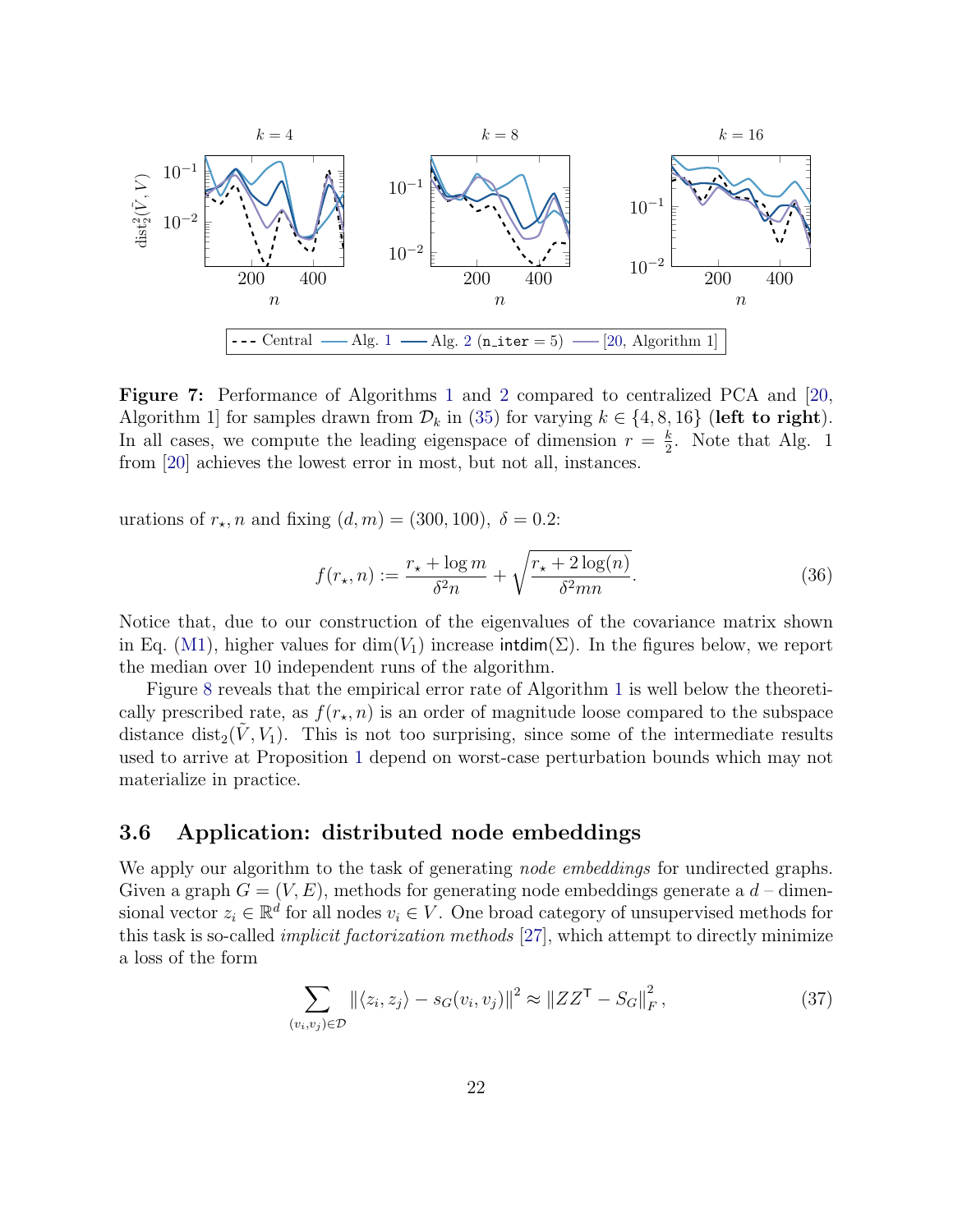<span id="page-21-0"></span>

Figure 7: Performance of Algorithms [1](#page-7-0) and [2](#page-17-1) compared to centralized PCA and [\[20,](#page-28-1) Algorithm 1 for samples drawn from  $\mathcal{D}_k$  in [\(35\)](#page-20-1) for varying  $k \in \{4, 8, 16\}$  (left to right). In all cases, we compute the leading eigenspace of dimension  $r = \frac{k}{2}$  $\frac{k}{2}$ . Note that Alg. 1 from [\[20\]](#page-28-1) achieves the lowest error in most, but not all, instances.

urations of  $r<sub>\star</sub>$ , n and fixing  $(d, m) = (300, 100)$ ,  $\delta = 0.2$ :

$$
f(r_{\star}, n) := \frac{r_{\star} + \log m}{\delta^2 n} + \sqrt{\frac{r_{\star} + 2\log(n)}{\delta^2 mn}}.
$$
 (36)

Notice that, due to our construction of the eigenvalues of the covariance matrix shown in Eq. [\(M1\)](#page-15-1), higher values for  $\dim(V_1)$  increase intdim( $\Sigma$ ). In the figures below, we report the median over 10 independent runs of the algorithm.

Figure [8](#page-22-0) reveals that the empirical error rate of Algorithm [1](#page-7-0) is well below the theoretically prescribed rate, as  $f(r_{\star}, n)$  is an order of magnitude loose compared to the subspace distance dist<sub>2</sub>( $\tilde{V}$ ,  $V_1$ ). This is not too surprising, since some of the intermediate results used to arrive at Proposition [1](#page-10-3) depend on worst-case perturbation bounds which may not materialize in practice.

#### 3.6 Application: distributed node embeddings

We apply our algorithm to the task of generating *node embeddings* for undirected graphs. Given a graph  $G = (V, E)$ , methods for generating node embeddings generate a  $d$  – dimensional vector  $z_i \in \mathbb{R}^d$  for all nodes  $v_i \in V$ . One broad category of unsupervised methods for this task is so-called implicit factorization methods [\[27\]](#page-29-9), which attempt to directly minimize a loss of the form

$$
\sum_{(v_i, v_j) \in \mathcal{D}} ||\langle z_i, z_j \rangle - s_G(v_i, v_j)||^2 \approx ||ZZ^{\mathsf{T}} - S_G||_F^2,
$$
\n(37)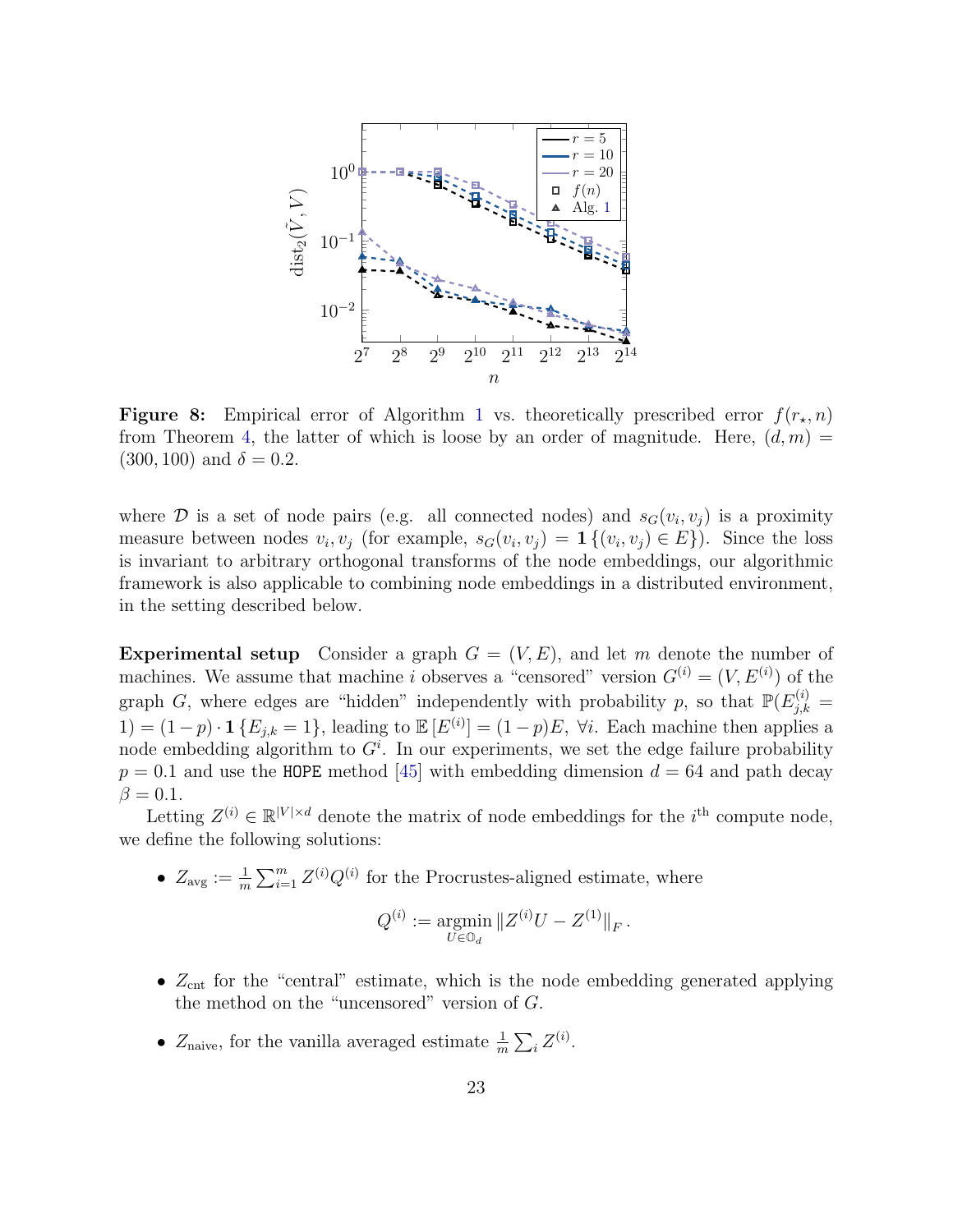<span id="page-22-0"></span>

Figure 8: Empirical error of Algorithm [1](#page-7-0) vs. theoretically prescribed error  $f(r_{\star}, n)$ from Theorem [4,](#page-13-2) the latter of which is loose by an order of magnitude. Here,  $(d, m)$  $(300, 100)$  and  $\delta = 0.2$ .

where  $\mathcal{D}$  is a set of node pairs (e.g. all connected nodes) and  $s_G(v_i, v_j)$  is a proximity measure between nodes  $v_i, v_j$  (for example,  $s_G(v_i, v_j) = \mathbf{1}\{(v_i, v_j) \in E\}$ ). Since the loss is invariant to arbitrary orthogonal transforms of the node embeddings, our algorithmic framework is also applicable to combining node embeddings in a distributed environment, in the setting described below.

**Experimental setup** Consider a graph  $G = (V, E)$ , and let m denote the number of machines. We assume that machine i observes a "censored" version  $G^{(i)} = (V, E^{(i)})$  of the graph G, where edges are "hidden" independently with probability p, so that  $\mathbb{P}(E_{j,k}^{(i)} =$ 1) =  $(1-p) \cdot \mathbf{1} \{ E_{j,k} = 1 \}$ , leading to  $\mathbb{E}[E^{(i)}] = (1-p)E$ ,  $\forall i$ . Each machine then applies a node embedding algorithm to  $G<sup>i</sup>$ . In our experiments, we set the edge failure probability  $p = 0.1$  and use the HOPE method [\[45\]](#page-30-8) with embedding dimension  $d = 64$  and path decay  $\beta = 0.1$ .

Letting  $Z^{(i)} \in \mathbb{R}^{|V| \times d}$  denote the matrix of node embeddings for the *i*<sup>th</sup> compute node, we define the following solutions:

•  $Z_{\text{avg}} := \frac{1}{m} \sum_{i=1}^{m} Z^{(i)} Q^{(i)}$  for the Procrustes-aligned estimate, where

$$
Q^{(i)} := \underset{U \in \mathbb{O}_d}{\text{argmin}} \|Z^{(i)}U - Z^{(1)}\|_F.
$$

- $Z_{\text{cnt}}$  for the "central" estimate, which is the node embedding generated applying the method on the "uncensored" version of G.
- $Z_{\text{naive}}$ , for the vanilla averaged estimate  $\frac{1}{m} \sum_i Z^{(i)}$ .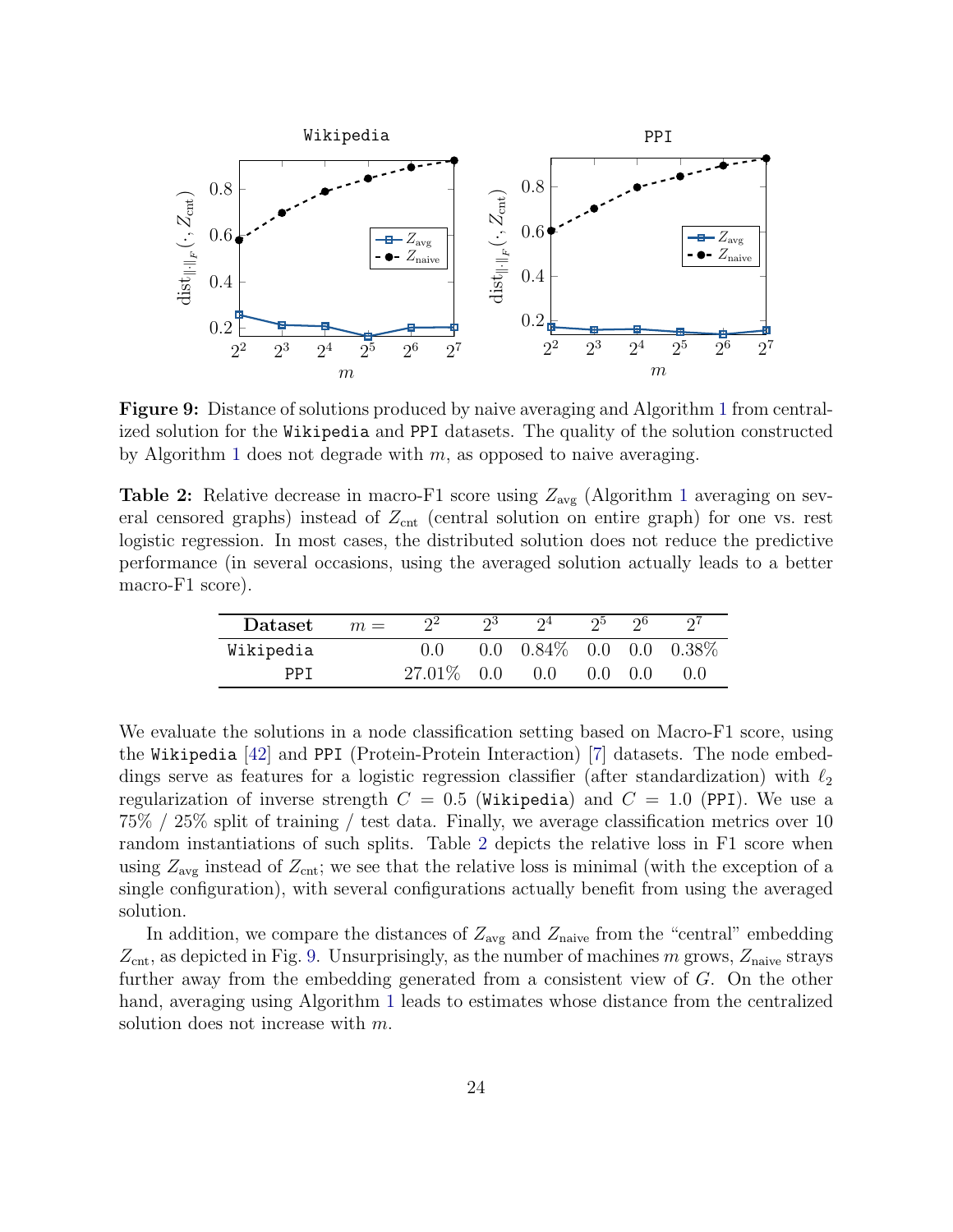<span id="page-23-1"></span>

Figure 9: Distance of solutions produced by naive averaging and Algorithm [1](#page-7-0) from centralized solution for the Wikipedia and PPI datasets. The quality of the solution constructed by Algorithm [1](#page-7-0) does not degrade with  $m$ , as opposed to naive averaging.

<span id="page-23-0"></span>**Table 2:** Relative decrease in macro-F[1](#page-7-0) score using  $Z_{\text{avg}}$  (Algorithm 1 averaging on several censored graphs) instead of  $Z_{\text{cnt}}$  (central solution on entire graph) for one vs. rest logistic regression. In most cases, the distributed solution does not reduce the predictive performance (in several occasions, using the averaged solution actually leads to a better macro-F1 score).

| Dataset   | $m =$ | $\gamma$ <sup>2</sup> | റ3  | $\Omega$                            | ചാ      | റാ    |     |
|-----------|-------|-----------------------|-----|-------------------------------------|---------|-------|-----|
| Wikipedia |       |                       |     | $0.0$ $0.84\%$ $0.0$ $0.0$ $0.38\%$ |         |       |     |
| PPT       |       | $27.01\%$             | 0.0 | 0.0                                 | $0.0$ . | (0.0) | 0.0 |

We evaluate the solutions in a node classification setting based on Macro-F1 score, using the Wikipedia [\[42\]](#page-30-9) and PPI (Protein-Protein Interaction) [\[7\]](#page-27-5) datasets. The node embeddings serve as features for a logistic regression classifier (after standardization) with  $\ell_2$ regularization of inverse strength  $C = 0.5$  (Wikipedia) and  $C = 1.0$  (PPI). We use a 75% / 25% split of training / test data. Finally, we average classification metrics over 10 random instantiations of such splits. Table [2](#page-23-0) depicts the relative loss in F1 score when using  $Z_{\text{avg}}$  instead of  $Z_{\text{cnt}}$ ; we see that the relative loss is minimal (with the exception of a single configuration), with several configurations actually benefit from using the averaged solution.

In addition, we compare the distances of  $Z_{\text{avg}}$  and  $Z_{\text{naive}}$  from the "central" embedding  $Z_{\text{cnt}}$ , as depicted in Fig. [9.](#page-23-1) Unsurprisingly, as the number of machines m grows,  $Z_{\text{naive}}$  strays further away from the embedding generated from a consistent view of G. On the other hand, averaging using Algorithm [1](#page-7-0) leads to estimates whose distance from the centralized solution does not increase with m.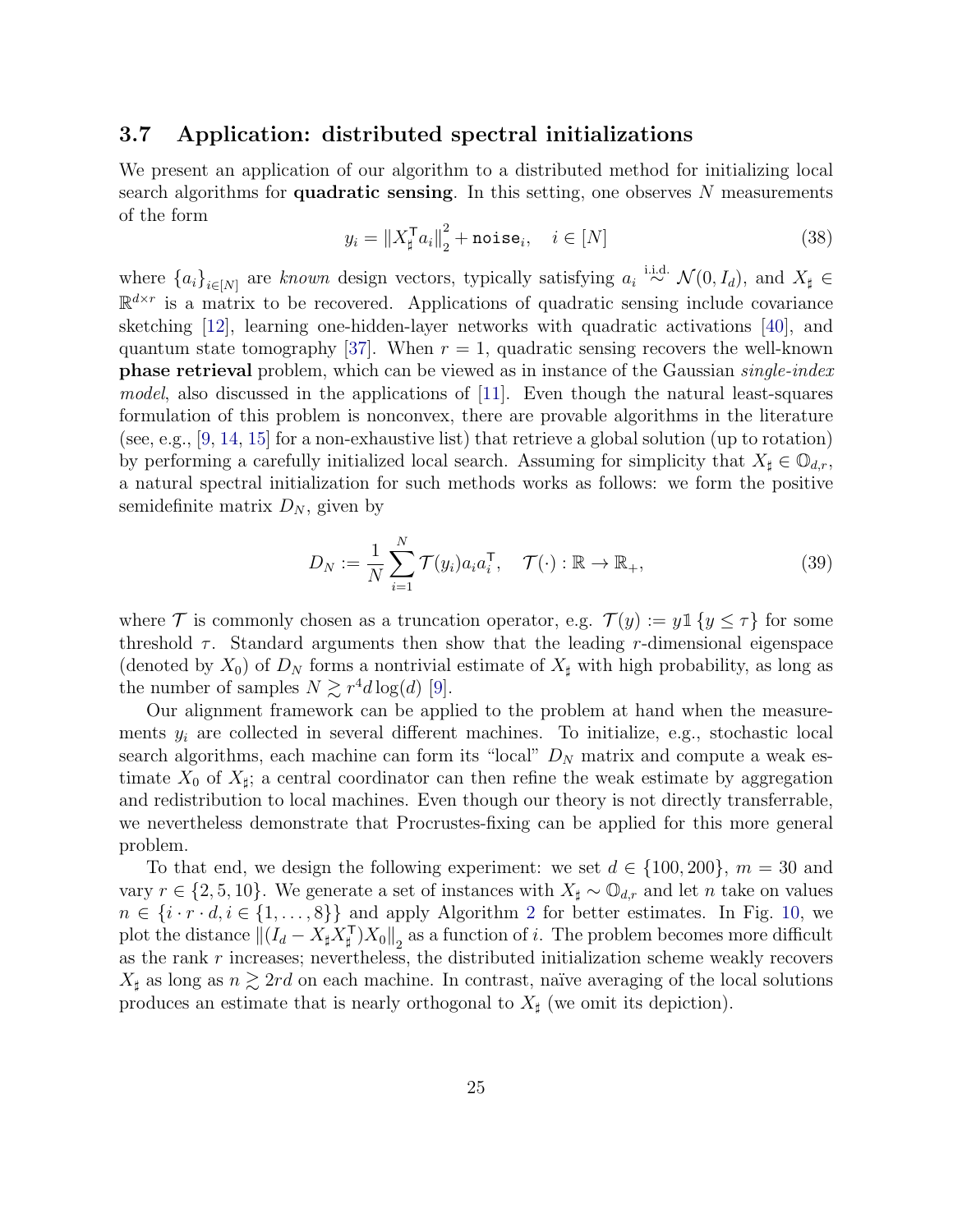#### 3.7 Application: distributed spectral initializations

We present an application of our algorithm to a distributed method for initializing local search algorithms for **quadratic sensing**. In this setting, one observes  $N$  measurements of the form

$$
y_i = \|X_{\sharp}^{\mathsf{T}} a_i\|_2^2 + \text{noise}_i, \quad i \in [N]
$$
 (38)

where  ${a_i}_{i\in[N]}$  are known design vectors, typically satisfying  $a_i \stackrel{\text{i.i.d.}}{\sim} \mathcal{N}(0, I_d)$ , and  $X_\sharp \in$  $\mathbb{R}^{d \times r}$  is a matrix to be recovered. Applications of quadratic sensing include covariance sketching [\[12\]](#page-27-6), learning one-hidden-layer networks with quadratic activations [\[40\]](#page-30-10), and quantum state tomography [\[37\]](#page-29-10). When  $r = 1$ , quadratic sensing recovers the well-known phase retrieval problem, which can be viewed as in instance of the Gaussian single-index model, also discussed in the applications of [\[11\]](#page-27-2). Even though the natural least-squares formulation of this problem is nonconvex, there are provable algorithms in the literature (see, e.g.,  $[9, 14, 15]$  $[9, 14, 15]$  $[9, 14, 15]$  $[9, 14, 15]$  $[9, 14, 15]$  for a non-exhaustive list) that retrieve a global solution (up to rotation) by performing a carefully initialized local search. Assuming for simplicity that  $X_{\sharp} \in \mathbb{O}_{d,r}$ , a natural spectral initialization for such methods works as follows: we form the positive semidefinite matrix  $D_N$ , given by

$$
D_N := \frac{1}{N} \sum_{i=1}^N \mathcal{T}(y_i) a_i a_i^{\mathsf{T}}, \quad \mathcal{T}(\cdot) : \mathbb{R} \to \mathbb{R}_+, \tag{39}
$$

where T is commonly chosen as a truncation operator, e.g.  $\mathcal{T}(y) := y \mathbb{1} \{y \leq \tau\}$  for some threshold  $\tau$ . Standard arguments then show that the leading r-dimensional eigenspace (denoted by  $X_0$ ) of  $D_N$  forms a nontrivial estimate of  $X_{\sharp}$  with high probability, as long as the number of samples  $N \gtrsim r^4 d \log(d)$  [\[9\]](#page-27-7).

Our alignment framework can be applied to the problem at hand when the measurements  $y_i$  are collected in several different machines. To initialize, e.g., stochastic local search algorithms, each machine can form its "local"  $D<sub>N</sub>$  matrix and compute a weak estimate  $X_0$  of  $X_{\sharp}$ ; a central coordinator can then refine the weak estimate by aggregation and redistribution to local machines. Even though our theory is not directly transferrable, we nevertheless demonstrate that Procrustes-fixing can be applied for this more general problem.

To that end, we design the following experiment: we set  $d \in \{100, 200\}$ ,  $m = 30$  and vary  $r \in \{2, 5, 10\}$ . We generate a set of instances with  $X_{\sharp} \sim \mathbb{O}_{d,r}$  and let n take on values  $n \in \{i \cdot r \cdot d, i \in \{1, \ldots, 8\}\}\$ and apply Algorithm [2](#page-17-1) for better estimates. In Fig. [10,](#page-25-0) we plot the distance  $||(I_d - X_{\sharp}X_{\sharp}^{\mathsf{T}})X_0||_2$  as a function of i. The problem becomes more difficult as the rank  $r$  increases; nevertheless, the distributed initialization scheme weakly recovers  $X_{\sharp}$  as long as  $n \gtrsim 2rd$  on each machine. In contrast, naïve averaging of the local solutions produces an estimate that is nearly orthogonal to  $X_{\sharp}$  (we omit its depiction).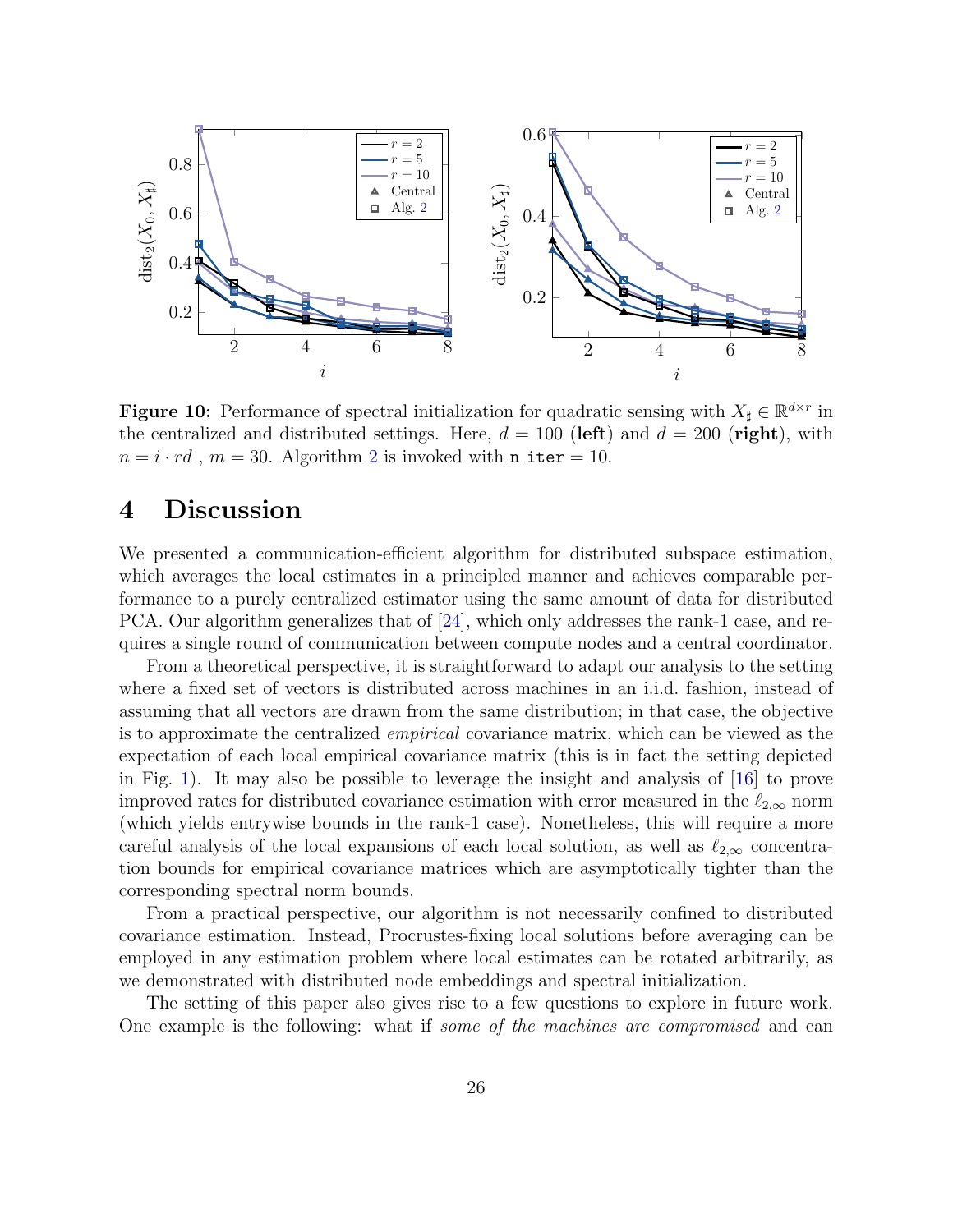<span id="page-25-0"></span>

**Figure 10:** Performance of spectral initialization for quadratic sensing with  $X_{\sharp} \in \mathbb{R}^{d \times r}$  in the centralized and distributed settings. Here,  $d = 100$  (left) and  $d = 200$  (right), with  $n = i \cdot rd$ ,  $m = 30$ . Algorithm [2](#page-17-1) is invoked with n\_iter = 10.

# 4 Discussion

We presented a communication-efficient algorithm for distributed subspace estimation, which averages the local estimates in a principled manner and achieves comparable performance to a purely centralized estimator using the same amount of data for distributed PCA. Our algorithm generalizes that of [\[24\]](#page-28-0), which only addresses the rank-1 case, and requires a single round of communication between compute nodes and a central coordinator.

From a theoretical perspective, it is straightforward to adapt our analysis to the setting where a fixed set of vectors is distributed across machines in an i.i.d. fashion, instead of assuming that all vectors are drawn from the same distribution; in that case, the objective is to approximate the centralized empirical covariance matrix, which can be viewed as the expectation of each local empirical covariance matrix (this is in fact the setting depicted in Fig. [1\)](#page-2-0). It may also be possible to leverage the insight and analysis of [\[16\]](#page-28-10) to prove improved rates for distributed covariance estimation with error measured in the  $\ell_{2,\infty}$  norm (which yields entrywise bounds in the rank-1 case). Nonetheless, this will require a more careful analysis of the local expansions of each local solution, as well as  $\ell_{2,\infty}$  concentration bounds for empirical covariance matrices which are asymptotically tighter than the corresponding spectral norm bounds.

From a practical perspective, our algorithm is not necessarily confined to distributed covariance estimation. Instead, Procrustes-fixing local solutions before averaging can be employed in any estimation problem where local estimates can be rotated arbitrarily, as we demonstrated with distributed node embeddings and spectral initialization.

The setting of this paper also gives rise to a few questions to explore in future work. One example is the following: what if some of the machines are compromised and can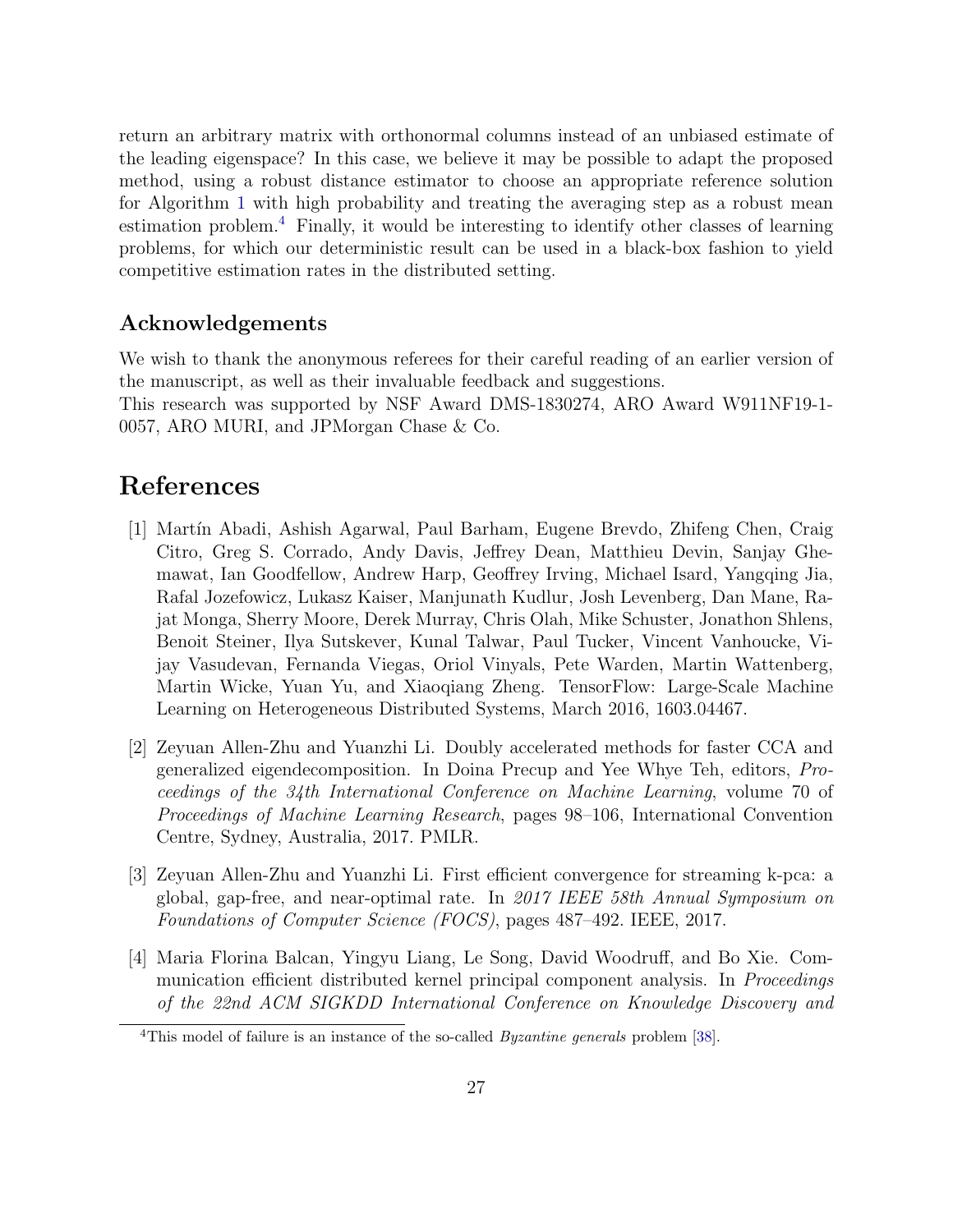return an arbitrary matrix with orthonormal columns instead of an unbiased estimate of the leading eigenspace? In this case, we believe it may be possible to adapt the proposed method, using a robust distance estimator to choose an appropriate reference solution for Algorithm [1](#page-7-0) with high probability and treating the averaging step as a robust mean estimation problem.[4](#page-26-4) Finally, it would be interesting to identify other classes of learning problems, for which our deterministic result can be used in a black-box fashion to yield competitive estimation rates in the distributed setting.

### Acknowledgements

We wish to thank the anonymous referees for their careful reading of an earlier version of the manuscript, as well as their invaluable feedback and suggestions. This research was supported by NSF Award DMS-1830274, ARO Award W911NF19-1- 0057, ARO MURI, and JPMorgan Chase & Co.

# References

- <span id="page-26-0"></span>[1] Martín Abadi, Ashish Agarwal, Paul Barham, Eugene Brevdo, Zhifeng Chen, Craig Citro, Greg S. Corrado, Andy Davis, Jeffrey Dean, Matthieu Devin, Sanjay Ghemawat, Ian Goodfellow, Andrew Harp, Geoffrey Irving, Michael Isard, Yangqing Jia, Rafal Jozefowicz, Lukasz Kaiser, Manjunath Kudlur, Josh Levenberg, Dan Mane, Rajat Monga, Sherry Moore, Derek Murray, Chris Olah, Mike Schuster, Jonathon Shlens, Benoit Steiner, Ilya Sutskever, Kunal Talwar, Paul Tucker, Vincent Vanhoucke, Vijay Vasudevan, Fernanda Viegas, Oriol Vinyals, Pete Warden, Martin Wattenberg, Martin Wicke, Yuan Yu, and Xiaoqiang Zheng. TensorFlow: Large-Scale Machine Learning on Heterogeneous Distributed Systems, March 2016, 1603.04467.
- <span id="page-26-1"></span>[2] Zeyuan Allen-Zhu and Yuanzhi Li. Doubly accelerated methods for faster CCA and generalized eigendecomposition. In Doina Precup and Yee Whye Teh, editors, Proceedings of the 34th International Conference on Machine Learning, volume 70 of Proceedings of Machine Learning Research, pages 98–106, International Convention Centre, Sydney, Australia, 2017. PMLR.
- <span id="page-26-2"></span>[3] Zeyuan Allen-Zhu and Yuanzhi Li. First efficient convergence for streaming k-pca: a global, gap-free, and near-optimal rate. In 2017 IEEE 58th Annual Symposium on Foundations of Computer Science (FOCS), pages 487–492. IEEE, 2017.
- <span id="page-26-3"></span>[4] Maria Florina Balcan, Yingyu Liang, Le Song, David Woodruff, and Bo Xie. Communication efficient distributed kernel principal component analysis. In Proceedings of the 22nd ACM SIGKDD International Conference on Knowledge Discovery and

<span id="page-26-4"></span><sup>&</sup>lt;sup>4</sup>This model of failure is an instance of the so-called *Byzantine generals* problem [\[38\]](#page-29-11).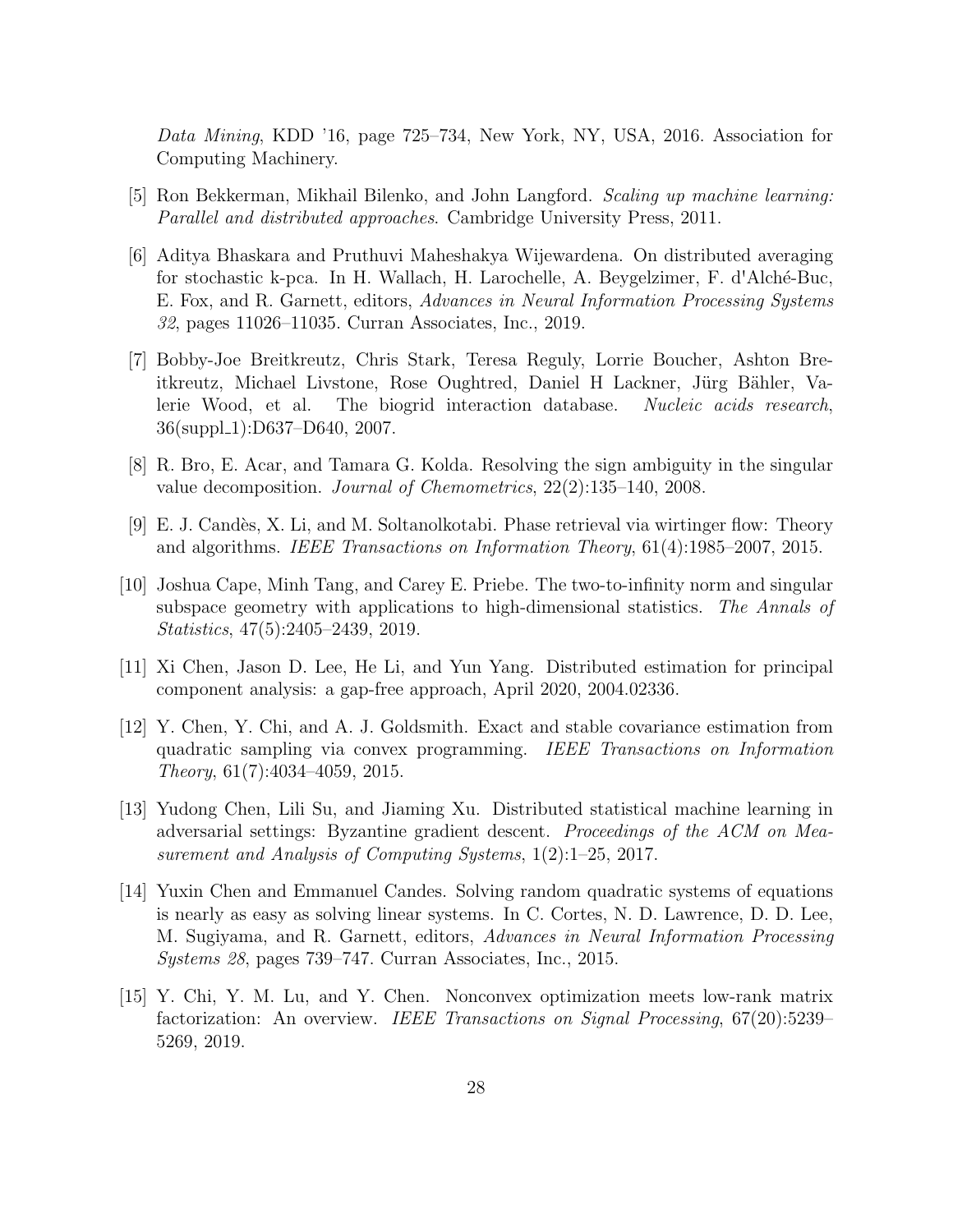Data Mining, KDD '16, page 725–734, New York, NY, USA, 2016. Association for Computing Machinery.

- <span id="page-27-0"></span>[5] Ron Bekkerman, Mikhail Bilenko, and John Langford. Scaling up machine learning: Parallel and distributed approaches. Cambridge University Press, 2011.
- <span id="page-27-4"></span>[6] Aditya Bhaskara and Pruthuvi Maheshakya Wijewardena. On distributed averaging for stochastic k-pca. In H. Wallach, H. Larochelle, A. Beygelzimer, F. d'Alch´e-Buc, E. Fox, and R. Garnett, editors, Advances in Neural Information Processing Systems 32, pages 11026–11035. Curran Associates, Inc., 2019.
- <span id="page-27-5"></span>[7] Bobby-Joe Breitkreutz, Chris Stark, Teresa Reguly, Lorrie Boucher, Ashton Breitkreutz, Michael Livstone, Rose Oughtred, Daniel H Lackner, Jürg Bähler, Valerie Wood, et al. The biogrid interaction database. Nucleic acids research, 36(suppl 1):D637–D640, 2007.
- <span id="page-27-3"></span>[8] R. Bro, E. Acar, and Tamara G. Kolda. Resolving the sign ambiguity in the singular value decomposition. Journal of Chemometrics, 22(2):135–140, 2008.
- <span id="page-27-7"></span>[9] E. J. Cand`es, X. Li, and M. Soltanolkotabi. Phase retrieval via wirtinger flow: Theory and algorithms. IEEE Transactions on Information Theory, 61(4):1985–2007, 2015.
- <span id="page-27-10"></span>[10] Joshua Cape, Minh Tang, and Carey E. Priebe. The two-to-infinity norm and singular subspace geometry with applications to high-dimensional statistics. The Annals of Statistics, 47(5):2405–2439, 2019.
- <span id="page-27-2"></span>[11] Xi Chen, Jason D. Lee, He Li, and Yun Yang. Distributed estimation for principal component analysis: a gap-free approach, April 2020, 2004.02336.
- <span id="page-27-6"></span>[12] Y. Chen, Y. Chi, and A. J. Goldsmith. Exact and stable covariance estimation from quadratic sampling via convex programming. IEEE Transactions on Information Theory, 61(7):4034–4059, 2015.
- <span id="page-27-1"></span>[13] Yudong Chen, Lili Su, and Jiaming Xu. Distributed statistical machine learning in adversarial settings: Byzantine gradient descent. Proceedings of the ACM on Measurement and Analysis of Computing Systems, 1(2):1–25, 2017.
- <span id="page-27-8"></span>[14] Yuxin Chen and Emmanuel Candes. Solving random quadratic systems of equations is nearly as easy as solving linear systems. In C. Cortes, N. D. Lawrence, D. D. Lee, M. Sugiyama, and R. Garnett, editors, Advances in Neural Information Processing Systems 28, pages 739–747. Curran Associates, Inc., 2015.
- <span id="page-27-9"></span>[15] Y. Chi, Y. M. Lu, and Y. Chen. Nonconvex optimization meets low-rank matrix factorization: An overview. IEEE Transactions on Signal Processing, 67(20):5239– 5269, 2019.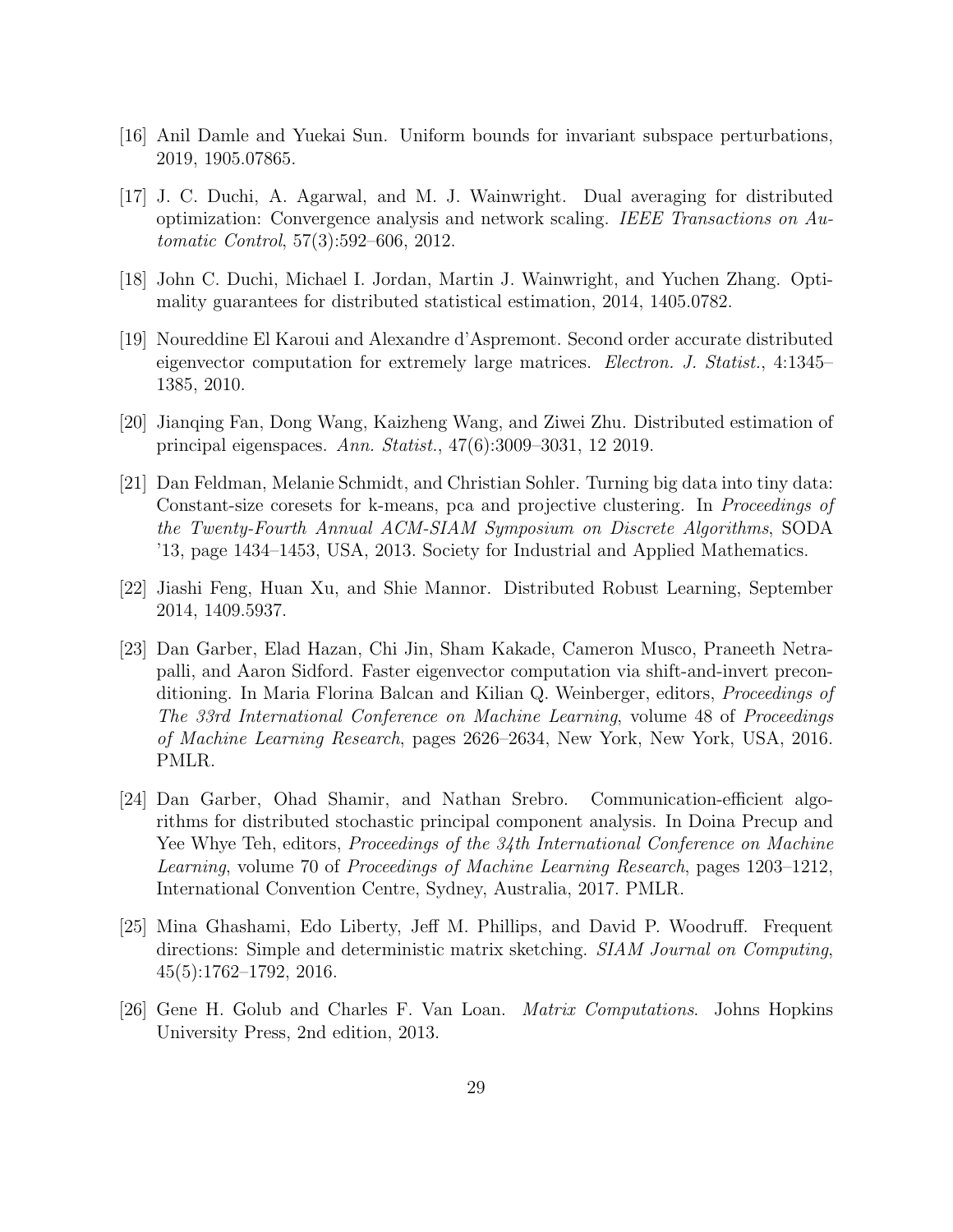- <span id="page-28-10"></span>[16] Anil Damle and Yuekai Sun. Uniform bounds for invariant subspace perturbations, 2019, 1905.07865.
- <span id="page-28-2"></span>[17] J. C. Duchi, A. Agarwal, and M. J. Wainwright. Dual averaging for distributed optimization: Convergence analysis and network scaling. IEEE Transactions on Automatic Control, 57(3):592–606, 2012.
- <span id="page-28-3"></span>[18] John C. Duchi, Michael I. Jordan, Martin J. Wainwright, and Yuchen Zhang. Optimality guarantees for distributed statistical estimation, 2014, 1405.0782.
- <span id="page-28-8"></span>[19] Noureddine El Karoui and Alexandre d'Aspremont. Second order accurate distributed eigenvector computation for extremely large matrices. Electron. J. Statist., 4:1345– 1385, 2010.
- <span id="page-28-1"></span>[20] Jianqing Fan, Dong Wang, Kaizheng Wang, and Ziwei Zhu. Distributed estimation of principal eigenspaces. Ann. Statist., 47(6):3009–3031, 12 2019.
- <span id="page-28-6"></span>[21] Dan Feldman, Melanie Schmidt, and Christian Sohler. Turning big data into tiny data: Constant-size coresets for k-means, pca and projective clustering. In Proceedings of the Twenty-Fourth Annual ACM-SIAM Symposium on Discrete Algorithms, SODA '13, page 1434–1453, USA, 2013. Society for Industrial and Applied Mathematics.
- <span id="page-28-4"></span>[22] Jiashi Feng, Huan Xu, and Shie Mannor. Distributed Robust Learning, September 2014, 1409.5937.
- <span id="page-28-5"></span>[23] Dan Garber, Elad Hazan, Chi Jin, Sham Kakade, Cameron Musco, Praneeth Netrapalli, and Aaron Sidford. Faster eigenvector computation via shift-and-invert preconditioning. In Maria Florina Balcan and Kilian Q. Weinberger, editors, Proceedings of The 33rd International Conference on Machine Learning, volume 48 of Proceedings of Machine Learning Research, pages 2626–2634, New York, New York, USA, 2016. PMLR.
- <span id="page-28-0"></span>[24] Dan Garber, Ohad Shamir, and Nathan Srebro. Communication-efficient algorithms for distributed stochastic principal component analysis. In Doina Precup and Yee Whye Teh, editors, *Proceedings of the 34th International Conference on Machine* Learning, volume 70 of Proceedings of Machine Learning Research, pages 1203–1212, International Convention Centre, Sydney, Australia, 2017. PMLR.
- <span id="page-28-7"></span>[25] Mina Ghashami, Edo Liberty, Jeff M. Phillips, and David P. Woodruff. Frequent directions: Simple and deterministic matrix sketching. SIAM Journal on Computing, 45(5):1762–1792, 2016.
- <span id="page-28-9"></span>[26] Gene H. Golub and Charles F. Van Loan. Matrix Computations. Johns Hopkins University Press, 2nd edition, 2013.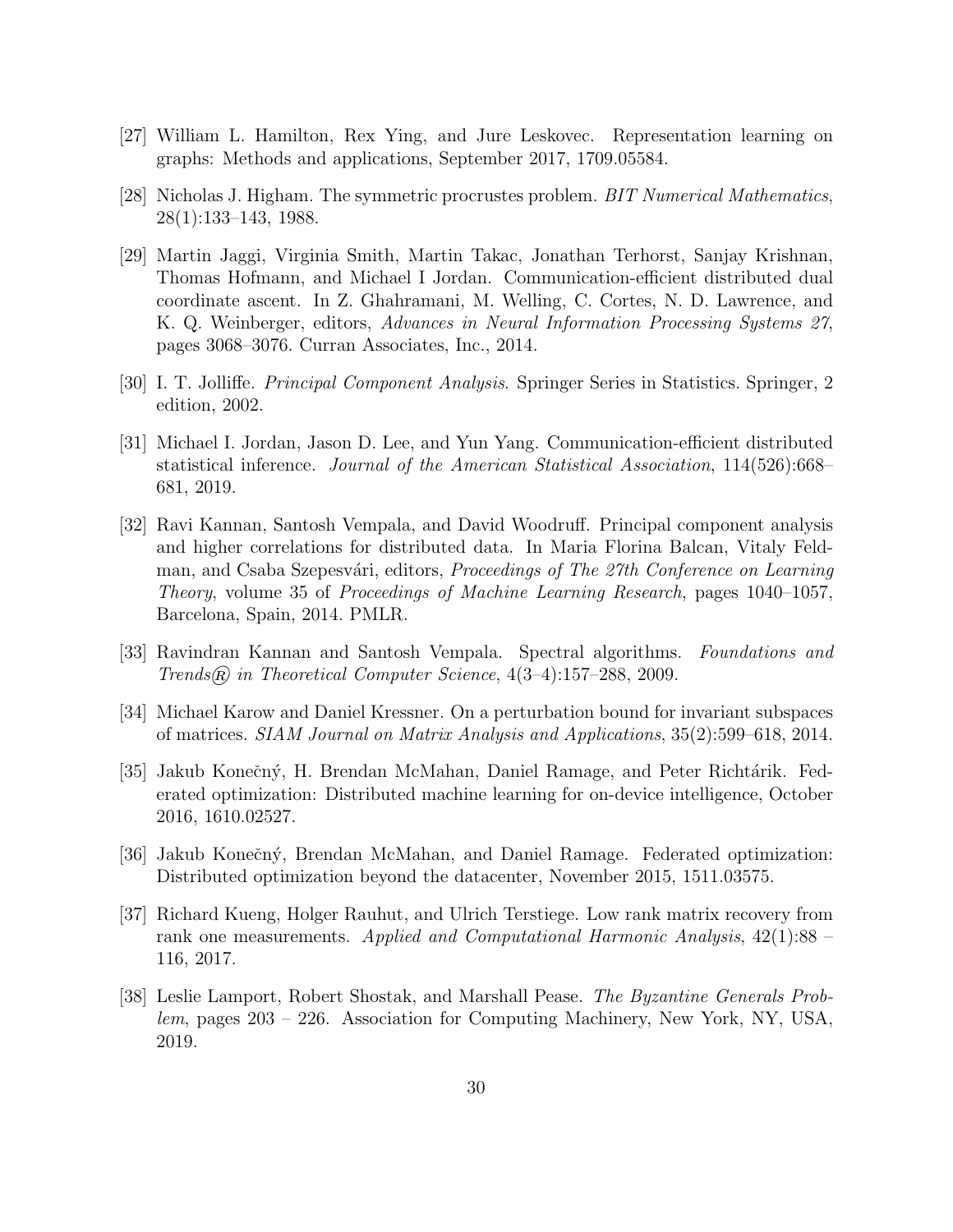- <span id="page-29-9"></span>[27] William L. Hamilton, Rex Ying, and Jure Leskovec. Representation learning on graphs: Methods and applications, September 2017, 1709.05584.
- <span id="page-29-7"></span>[28] Nicholas J. Higham. The symmetric procrustes problem. BIT Numerical Mathematics, 28(1):133–143, 1988.
- <span id="page-29-4"></span>[29] Martin Jaggi, Virginia Smith, Martin Takac, Jonathan Terhorst, Sanjay Krishnan, Thomas Hofmann, and Michael I Jordan. Communication-efficient distributed dual coordinate ascent. In Z. Ghahramani, M. Welling, C. Cortes, N. D. Lawrence, and K. Q. Weinberger, editors, Advances in Neural Information Processing Systems 27, pages 3068–3076. Curran Associates, Inc., 2014.
- <span id="page-29-2"></span>[30] I. T. Jolliffe. Principal Component Analysis. Springer Series in Statistics. Springer, 2 edition, 2002.
- <span id="page-29-5"></span>[31] Michael I. Jordan, Jason D. Lee, and Yun Yang. Communication-efficient distributed statistical inference. Journal of the American Statistical Association, 114(526):668– 681, 2019.
- <span id="page-29-6"></span>[32] Ravi Kannan, Santosh Vempala, and David Woodruff. Principal component analysis and higher correlations for distributed data. In Maria Florina Balcan, Vitaly Feldman, and Csaba Szepesvári, editors, *Proceedings of The 27th Conference on Learning* Theory, volume 35 of Proceedings of Machine Learning Research, pages 1040–1057, Barcelona, Spain, 2014. PMLR.
- <span id="page-29-3"></span>[33] Ravindran Kannan and Santosh Vempala. Spectral algorithms. Foundations and Trends $(R)$  in Theoretical Computer Science,  $4(3-4):157-288$ , 2009.
- <span id="page-29-8"></span>[34] Michael Karow and Daniel Kressner. On a perturbation bound for invariant subspaces of matrices. SIAM Journal on Matrix Analysis and Applications, 35(2):599–618, 2014.
- <span id="page-29-0"></span>[35] Jakub Konečný, H. Brendan McMahan, Daniel Ramage, and Peter Richtárik. Federated optimization: Distributed machine learning for on-device intelligence, October 2016, 1610.02527.
- <span id="page-29-1"></span>[36] Jakub Konečný, Brendan McMahan, and Daniel Ramage. Federated optimization: Distributed optimization beyond the datacenter, November 2015, 1511.03575.
- <span id="page-29-10"></span>[37] Richard Kueng, Holger Rauhut, and Ulrich Terstiege. Low rank matrix recovery from rank one measurements. Applied and Computational Harmonic Analysis, 42(1):88 – 116, 2017.
- <span id="page-29-11"></span>[38] Leslie Lamport, Robert Shostak, and Marshall Pease. The Byzantine Generals Problem, pages 203 – 226. Association for Computing Machinery, New York, NY, USA, 2019.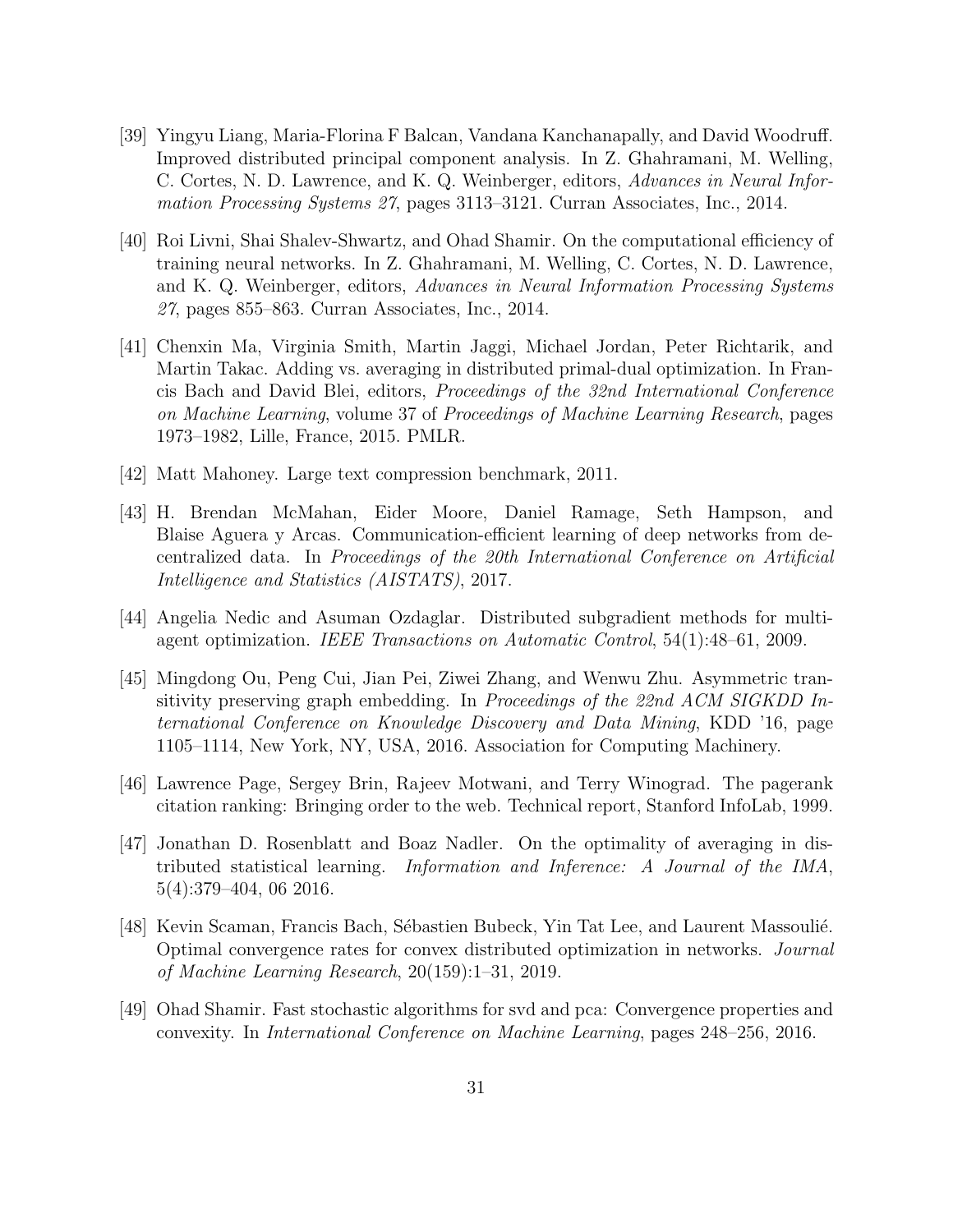- <span id="page-30-7"></span>[39] Yingyu Liang, Maria-Florina F Balcan, Vandana Kanchanapally, and David Woodruff. Improved distributed principal component analysis. In Z. Ghahramani, M. Welling, C. Cortes, N. D. Lawrence, and K. Q. Weinberger, editors, Advances in Neural Information Processing Systems 27, pages 3113–3121. Curran Associates, Inc., 2014.
- <span id="page-30-10"></span>[40] Roi Livni, Shai Shalev-Shwartz, and Ohad Shamir. On the computational efficiency of training neural networks. In Z. Ghahramani, M. Welling, C. Cortes, N. D. Lawrence, and K. Q. Weinberger, editors, Advances in Neural Information Processing Systems 27, pages 855–863. Curran Associates, Inc., 2014.
- <span id="page-30-2"></span>[41] Chenxin Ma, Virginia Smith, Martin Jaggi, Michael Jordan, Peter Richtarik, and Martin Takac. Adding vs. averaging in distributed primal-dual optimization. In Francis Bach and David Blei, editors, Proceedings of the 32nd International Conference on Machine Learning, volume 37 of Proceedings of Machine Learning Research, pages 1973–1982, Lille, France, 2015. PMLR.
- <span id="page-30-9"></span>[42] Matt Mahoney. Large text compression benchmark, 2011.
- <span id="page-30-1"></span>[43] H. Brendan McMahan, Eider Moore, Daniel Ramage, Seth Hampson, and Blaise Aguera y Arcas. Communication-efficient learning of deep networks from decentralized data. In Proceedings of the 20th International Conference on Artificial Intelligence and Statistics (AISTATS), 2017.
- <span id="page-30-3"></span>[44] Angelia Nedic and Asuman Ozdaglar. Distributed subgradient methods for multiagent optimization. IEEE Transactions on Automatic Control, 54(1):48–61, 2009.
- <span id="page-30-8"></span>[45] Mingdong Ou, Peng Cui, Jian Pei, Ziwei Zhang, and Wenwu Zhu. Asymmetric transitivity preserving graph embedding. In Proceedings of the 22nd ACM SIGKDD International Conference on Knowledge Discovery and Data Mining, KDD '16, page 1105–1114, New York, NY, USA, 2016. Association for Computing Machinery.
- <span id="page-30-0"></span>[46] Lawrence Page, Sergey Brin, Rajeev Motwani, and Terry Winograd. The pagerank citation ranking: Bringing order to the web. Technical report, Stanford InfoLab, 1999.
- <span id="page-30-5"></span>[47] Jonathan D. Rosenblatt and Boaz Nadler. On the optimality of averaging in distributed statistical learning. Information and Inference: A Journal of the IMA, 5(4):379–404, 06 2016.
- <span id="page-30-4"></span>[48] Kevin Scaman, Francis Bach, Sébastien Bubeck, Yin Tat Lee, and Laurent Massoulié. Optimal convergence rates for convex distributed optimization in networks. Journal of Machine Learning Research, 20(159):1–31, 2019.
- <span id="page-30-6"></span>[49] Ohad Shamir. Fast stochastic algorithms for svd and pca: Convergence properties and convexity. In International Conference on Machine Learning, pages 248–256, 2016.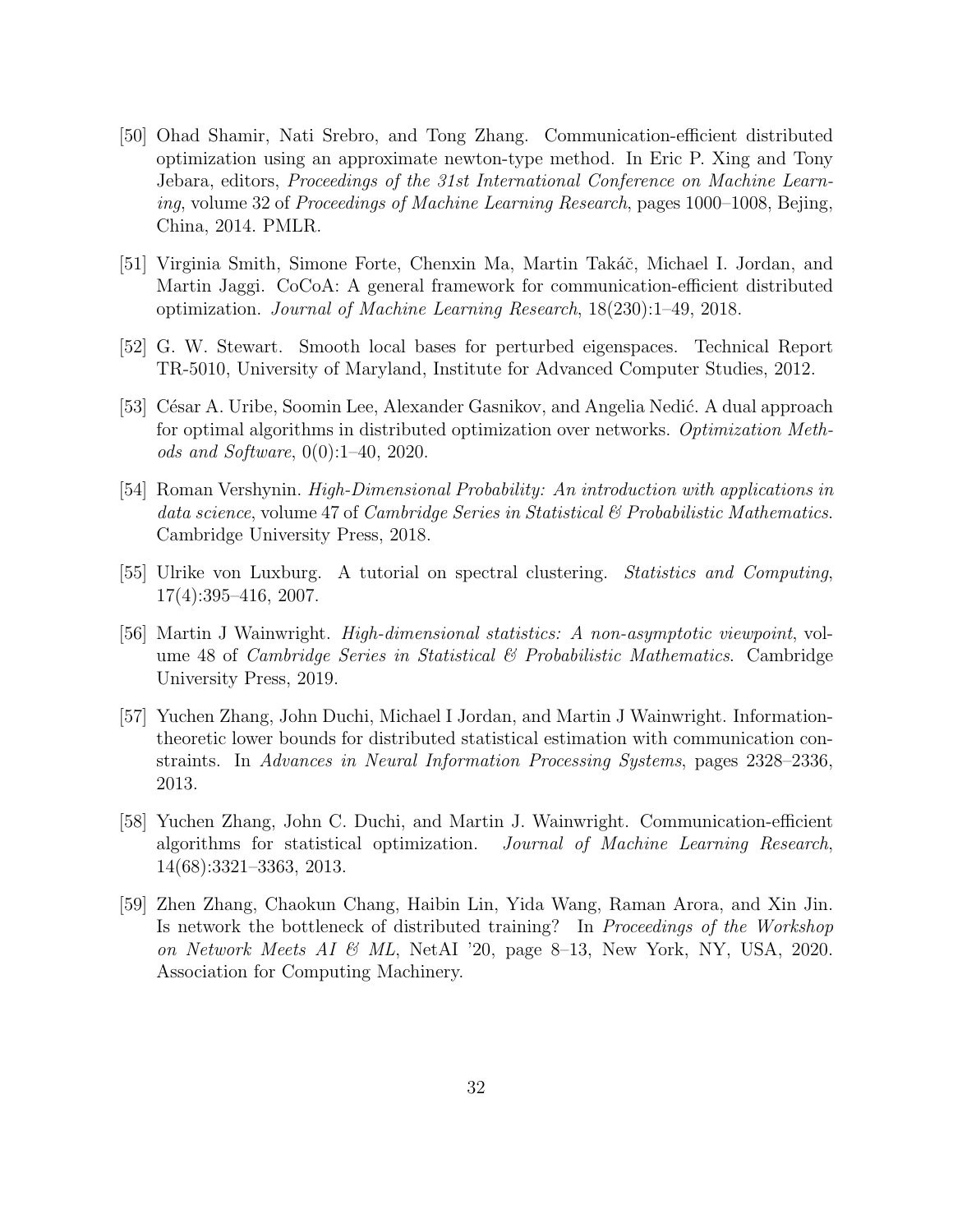- <span id="page-31-3"></span>[50] Ohad Shamir, Nati Srebro, and Tong Zhang. Communication-efficient distributed optimization using an approximate newton-type method. In Eric P. Xing and Tony Jebara, editors, Proceedings of the 31st International Conference on Machine Learning, volume 32 of Proceedings of Machine Learning Research, pages 1000–1008, Bejing, China, 2014. PMLR.
- <span id="page-31-4"></span>[51] Virginia Smith, Simone Forte, Chenxin Ma, Martin Takáč, Michael I. Jordan, and Martin Jaggi. CoCoA: A general framework for communication-efficient distributed optimization. Journal of Machine Learning Research, 18(230):1–49, 2018.
- <span id="page-31-8"></span>[52] G. W. Stewart. Smooth local bases for perturbed eigenspaces. Technical Report TR-5010, University of Maryland, Institute for Advanced Computer Studies, 2012.
- <span id="page-31-5"></span>[53] César A. Uribe, Soomin Lee, Alexander Gasnikov, and Angelia Nedić. A dual approach for optimal algorithms in distributed optimization over networks. Optimization Methods and Software, 0(0):1–40, 2020.
- <span id="page-31-9"></span>[54] Roman Vershynin. High-Dimensional Probability: An introduction with applications in data science, volume 47 of *Cambridge Series in Statistical & Probabilistic Mathematics*. Cambridge University Press, 2018.
- <span id="page-31-2"></span>[55] Ulrike von Luxburg. A tutorial on spectral clustering. Statistics and Computing, 17(4):395–416, 2007.
- <span id="page-31-7"></span>[56] Martin J Wainwright. High-dimensional statistics: A non-asymptotic viewpoint, volume 48 of *Cambridge Series in Statistical & Probabilistic Mathematics.* Cambridge University Press, 2019.
- <span id="page-31-6"></span>[57] Yuchen Zhang, John Duchi, Michael I Jordan, and Martin J Wainwright. Informationtheoretic lower bounds for distributed statistical estimation with communication constraints. In Advances in Neural Information Processing Systems, pages 2328–2336, 2013.
- <span id="page-31-1"></span>[58] Yuchen Zhang, John C. Duchi, and Martin J. Wainwright. Communication-efficient algorithms for statistical optimization. Journal of Machine Learning Research, 14(68):3321–3363, 2013.
- <span id="page-31-0"></span>[59] Zhen Zhang, Chaokun Chang, Haibin Lin, Yida Wang, Raman Arora, and Xin Jin. Is network the bottleneck of distributed training? In Proceedings of the Workshop on Network Meets AI  $\mathcal{B}$  ML, NetAI '20, page 8–13, New York, NY, USA, 2020. Association for Computing Machinery.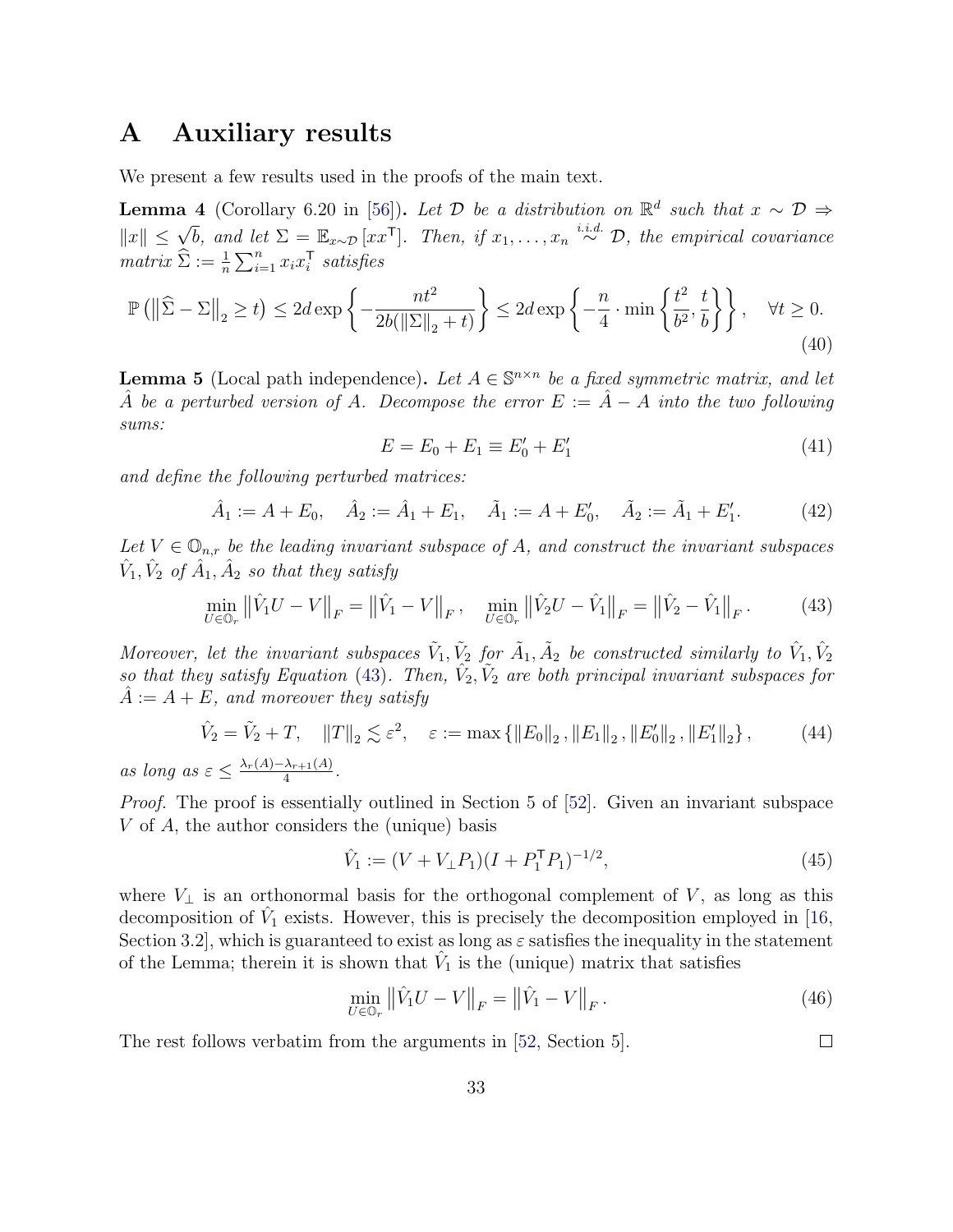# A Auxiliary results

We present a few results used in the proofs of the main text.

<span id="page-32-2"></span>**Lemma 4** (Corollary 6.20 in [\[56\]](#page-31-7)). Let  $\mathcal{D}$  be a distribution on  $\mathbb{R}^d$  such that  $x \sim \mathcal{D} \Rightarrow$  $||x|| \leq \sqrt{b}$ , and let  $\Sigma = \mathbb{E}_{x \sim \mathcal{D}}[xx^{\mathsf{T}}]$ . Then, if  $x_1, \ldots, x_n \stackrel{i.i.d.}{\sim} \mathcal{D}$ , the empirical covariance  $matrix \ \hat{\Sigma} := \frac{1}{n} \sum_{i=1}^{n} x_i x_i^{\mathsf{T}} \ \ satisfies$ 

$$
\mathbb{P}\left(\left\|\widehat{\Sigma} - \Sigma\right\|_{2} \geq t\right) \leq 2d \exp\left\{-\frac{nt^{2}}{2b(\left\|\Sigma\right\|_{2} + t)}\right\} \leq 2d \exp\left\{-\frac{n}{4} \cdot \min\left\{\frac{t^{2}}{b^{2}}, \frac{t}{b}\right\}\right\}, \quad \forall t \geq 0.
$$
\n(40)

<span id="page-32-3"></span>**Lemma 5** (Local path independence). Let  $A \in \mathbb{S}^{n \times n}$  be a fixed symmetric matrix, and let A be a perturbed version of A. Decompose the error  $E := \hat{A} - A$  into the two following sums:

$$
E = E_0 + E_1 \equiv E'_0 + E'_1 \tag{41}
$$

and define the following perturbed matrices:

$$
\hat{A}_1 := A + E_0, \quad \hat{A}_2 := \hat{A}_1 + E_1, \quad \tilde{A}_1 := A + E'_0, \quad \tilde{A}_2 := \tilde{A}_1 + E'_1.
$$
 (42)

Let  $V \in \mathbb{O}_{n,r}$  be the leading invariant subspace of A, and construct the invariant subspaces  $\hat{V}_1, \hat{V}_2$  of  $\hat{A}_1, \hat{A}_2$  so that they satisfy

<span id="page-32-1"></span>
$$
\min_{U \in \mathbb{O}_r} \left\| \hat{V}_1 U - V \right\|_F = \left\| \hat{V}_1 - V \right\|_F, \quad \min_{U \in \mathbb{O}_r} \left\| \hat{V}_2 U - \hat{V}_1 \right\|_F = \left\| \hat{V}_2 - \hat{V}_1 \right\|_F. \tag{43}
$$

Moreover, let the invariant subspaces  $\tilde{V}_1, \tilde{V}_2$  for  $\tilde{A}_1, \tilde{A}_2$  be constructed similarly to  $\hat{V}_1, \hat{V}_2$ so that they satisfy Equation [\(43\)](#page-32-1). Then,  $\hat{V}_2, \tilde{V}_2$  are both principal invariant subspaces for  $\tilde{A} := A + E$ , and moreover they satisfy

$$
\hat{V}_2 = \tilde{V}_2 + T, \quad ||T||_2 \lesssim \varepsilon^2, \quad \varepsilon := \max \left\{ ||E_0||_2, ||E_1||_2, ||E_0'||_2, ||E_1'||_2 \right\}, \tag{44}
$$

as long as  $\varepsilon \leq \frac{\lambda_r(A) - \lambda_{r+1}(A)}{4}$  $\frac{\lambda_{r+1}(A)}{4}.$ 

Proof. The proof is essentially outlined in Section 5 of [\[52\]](#page-31-8). Given an invariant subspace V of A, the author considers the (unique) basis

$$
\hat{V}_1 := (V + V_\perp P_1)(I + P_1^\mathsf{T} P_1)^{-1/2},\tag{45}
$$

where  $V_{\perp}$  is an orthonormal basis for the orthogonal complement of V, as long as this decomposition of  $\hat{V}_1$  exists. However, this is precisely the decomposition employed in [\[16,](#page-28-10) Section 3.2, which is guaranteed to exist as long as  $\varepsilon$  satisfies the inequality in the statement of the Lemma; therein it is shown that  $\hat{V}_1$  is the (unique) matrix that satisfies

$$
\min_{U \in \mathbb{O}_r} \left\| \hat{V}_1 U - V \right\|_F = \left\| \hat{V}_1 - V \right\|_F. \tag{46}
$$

 $\Box$ 

<span id="page-32-0"></span>The rest follows verbatim from the arguments in [\[52,](#page-31-8) Section 5].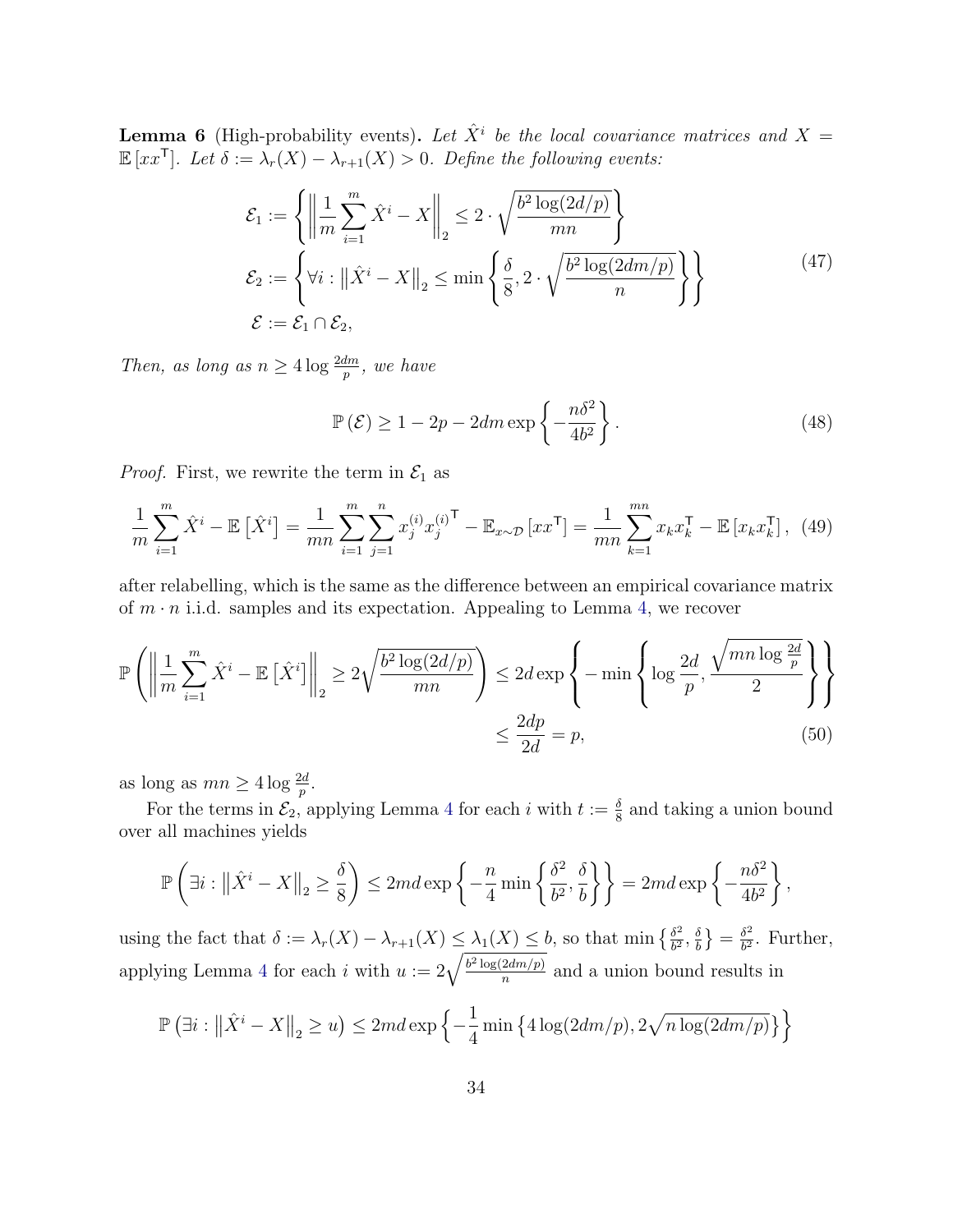**Lemma 6** (High-probability events). Let  $\hat{X}^i$  be the local covariance matrices and  $X =$  $\mathbb{E}\left[xx^{\mathsf{T}}\right]$ . Let  $\delta := \lambda_r(X) - \lambda_{r+1}(X) > 0$ . Define the following events:

$$
\mathcal{E}_1 := \left\{ \left\| \frac{1}{m} \sum_{i=1}^m \hat{X}^i - X \right\|_2 \le 2 \cdot \sqrt{\frac{b^2 \log(2d/p)}{mn}} \right\}
$$
  
\n
$$
\mathcal{E}_2 := \left\{ \forall i : \left\| \hat{X}^i - X \right\|_2 \le \min \left\{ \frac{\delta}{8}, 2 \cdot \sqrt{\frac{b^2 \log(2dm/p)}{n}} \right\} \right\}
$$
(47)  
\n
$$
\mathcal{E} := \mathcal{E}_1 \cap \mathcal{E}_2,
$$

Then, as long as  $n \geq 4 \log \frac{2dm}{p}$ , we have

<span id="page-33-0"></span>
$$
\mathbb{P}\left(\mathcal{E}\right) \ge 1 - 2p - 2dm \exp\left\{-\frac{n\delta^2}{4b^2}\right\}.
$$
\n(48)

*Proof.* First, we rewrite the term in  $\mathcal{E}_1$  as

$$
\frac{1}{m}\sum_{i=1}^{m}\hat{X}^{i} - \mathbb{E}\left[\hat{X}^{i}\right] = \frac{1}{mn}\sum_{i=1}^{m}\sum_{j=1}^{n}x_{j}^{(i)}x_{j}^{(i)\mathsf{T}} - \mathbb{E}_{x\sim\mathcal{D}}\left[xx^{\mathsf{T}}\right] = \frac{1}{mn}\sum_{k=1}^{mn}x_{k}x_{k}^{\mathsf{T}} - \mathbb{E}\left[x_{k}x_{k}^{\mathsf{T}}\right],\tag{49}
$$

after relabelling, which is the same as the difference between an empirical covariance matrix of  $m \cdot n$  i.i.d. samples and its expectation. Appealing to Lemma [4,](#page-32-2) we recover

$$
\mathbb{P}\left(\left\|\frac{1}{m}\sum_{i=1}^{m}\hat{X}^{i} - \mathbb{E}\left[\hat{X}^{i}\right]\right\|_{2} \ge 2\sqrt{\frac{b^{2}\log(2d/p)}{mn}}\right) \le 2d\exp\left\{-\min\left\{\log\frac{2d}{p}, \frac{\sqrt{mn\log\frac{2d}{p}}}{2}\right\}\right\}
$$

$$
\le \frac{2dp}{2d} = p,\tag{50}
$$

as long as  $mn \geq 4 \log \frac{2d}{p}$ .

For the terms in  $\mathcal{E}_2$ , applying Lemma [4](#page-32-2) for each i with  $t := \frac{\delta}{8}$  and taking a union bound over all machines yields

$$
\mathbb{P}\left(\exists i:\left\|\hat{X}^i - X\right\|_2 \ge \frac{\delta}{8}\right) \le 2md\exp\left\{-\frac{n}{4}\min\left\{\frac{\delta^2}{b^2}, \frac{\delta}{b}\right\}\right\} = 2md\exp\left\{-\frac{n\delta^2}{4b^2}\right\},\
$$

using the fact that  $\delta := \lambda_r(X) - \lambda_{r+1}(X) \leq \lambda_1(X) \leq b$ , so that min  $\{\frac{\delta^2}{b^2}\}$  $\frac{\delta^2}{b^2}, \frac{\delta}{b}$  $\left\{\fracdelta}{b}\right\} = \frac{\delta^2}{b^2}$  $\frac{\partial^2}{\partial^2}$ . Further, applying Lemma [4](#page-32-2) for each i with  $u := 2\sqrt{\frac{b^2 \log(2dm/p)}{n}}$  $\frac{2am/p)}{n}$  and a union bound results in

$$
\mathbb{P}\left(\exists i:\left\|\hat{X}^{i}-X\right\|_{2}\geq u\right)\leq 2md\exp\left\{-\frac{1}{4}\min\left\{4\log(2dm/p),2\sqrt{n\log(2dm/p)}\right\}\right\}
$$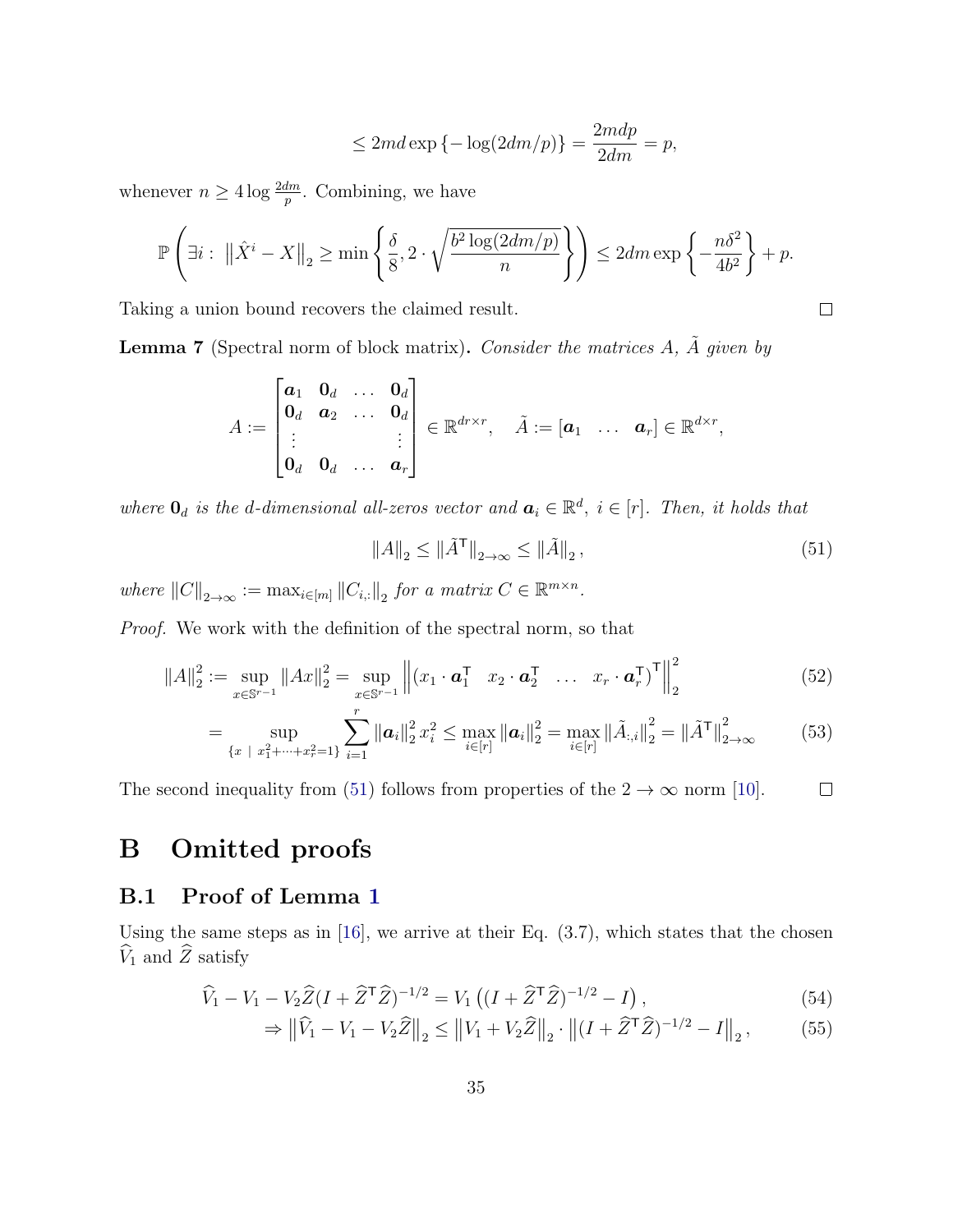$$
\leq 2md\exp\left\{-\log(2dm/p)\right\} = \frac{2mdp}{2dm} = p,
$$

whenever  $n \geq 4 \log \frac{2dm}{p}$ . Combining, we have

$$
\mathbb{P}\left(\exists i:\ \left\|\hat{X}^i-X\right\|_2\ge \min\left\{\frac{\delta}{8},2\cdot\sqrt{\frac{b^2\log(2dm/p)}{n}}\right\}\right)\le 2dm\exp\left\{-\frac{n\delta^2}{4b^2}\right\}+p.
$$

Taking a union bound recovers the claimed result.

<span id="page-34-3"></span>**Lemma 7** (Spectral norm of block matrix). Consider the matrices  $A$ ,  $\tilde{A}$  given by

$$
A:=\begin{bmatrix} {\boldsymbol a}_1 & {\boldsymbol 0}_d & \ldots & {\boldsymbol 0}_d \\ {\boldsymbol 0}_d & {\boldsymbol a}_2 & \ldots & {\boldsymbol 0}_d \\ \vdots & & & \vdots \\ {\boldsymbol 0}_d & {\boldsymbol 0}_d & \ldots & {\boldsymbol a}_r \end{bmatrix}\in{\mathbb R}^{d r \times r},\quad \tilde{A}:=\begin{bmatrix} {\boldsymbol a}_1 & \ldots & {\boldsymbol a}_r \end{bmatrix}\in{\mathbb R}^{d\times r},
$$

where  $\mathbf{0}_d$  is the d-dimensional all-zeros vector and  $\mathbf{a}_i \in \mathbb{R}^d$ ,  $i \in [r]$ . Then, it holds that

<span id="page-34-1"></span>
$$
||A||_2 \le ||\tilde{A}^\mathsf{T}||_{2 \to \infty} \le ||\tilde{A}||_2,\tag{51}
$$

where  $||C||_{2\to\infty} := \max_{i \in [m]} ||C_{i,:}||_2$  for a matrix  $C \in \mathbb{R}^{m \times n}$ .

Proof. We work with the definition of the spectral norm, so that

$$
||A||_2^2 := \sup_{x \in \mathbb{S}^{r-1}} ||Ax||_2^2 = \sup_{x \in \mathbb{S}^{r-1}} \left\| (x_1 \cdot \mathbf{a}_1^\mathsf{T} \quad x_2 \cdot \mathbf{a}_2^\mathsf{T} \quad \dots \quad x_r \cdot \mathbf{a}_r^\mathsf{T})^\mathsf{T} \right\|_2^2 \tag{52}
$$

$$
= \sup_{\{x \ |\ x_1^{2} + \dots + x_r^{2} = 1\}} \sum_{i=1}^{r} \|\boldsymbol{a}_{i}\|_{2}^{2} x_{i}^{2} \leq \max_{i \in [r]} \|\boldsymbol{a}_{i}\|_{2}^{2} = \max_{i \in [r]} \|\tilde{A}_{:,i}\|_{2}^{2} = \|\tilde{A}^{\mathsf{T}}\|_{2 \to \infty}^{2}
$$
(53)

The second inequality from [\(51\)](#page-34-1) follows from properties of the  $2 \to \infty$  norm [\[10\]](#page-27-10).  $\Box$ 

# B Omitted proofs

### <span id="page-34-0"></span>B.1 Proof of Lemma [1](#page-9-2)

Using the same steps as in  $[16]$ , we arrive at their Eq.  $(3.7)$ , which states that the chosen  $\hat{V}_1$  and  $\hat{Z}$  satisfy

$$
\widehat{V}_1 - V_1 - V_2 \widehat{Z} (I + \widehat{Z}^\mathsf{T} \widehat{Z})^{-1/2} = V_1 \left( (I + \widehat{Z}^\mathsf{T} \widehat{Z})^{-1/2} - I \right),\tag{54}
$$

<span id="page-34-2"></span>
$$
\Rightarrow \left\| \widehat{V}_1 - V_1 - V_2 \widehat{Z} \right\|_2 \le \left\| V_1 + V_2 \widehat{Z} \right\|_2 \cdot \left\| (I + \widehat{Z}^\mathsf{T} \widehat{Z})^{-1/2} - I \right\|_2, \tag{55}
$$

 $\Box$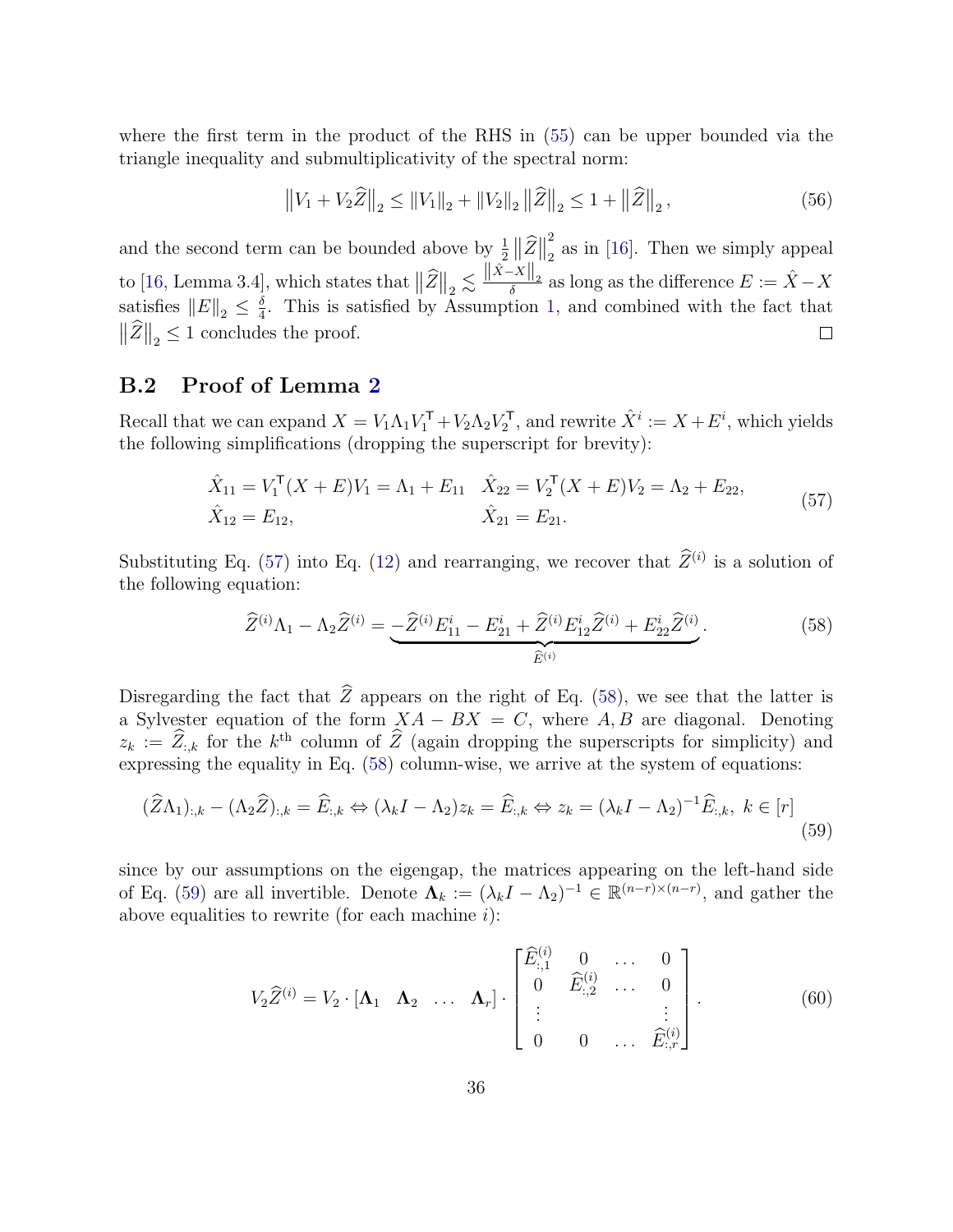where the first term in the product of the RHS in [\(55\)](#page-34-2) can be upper bounded via the triangle inequality and submultiplicativity of the spectral norm:

$$
||V_1 + V_2 \hat{Z}||_2 \le ||V_1||_2 + ||V_2||_2 ||\hat{Z}||_2 \le 1 + ||\hat{Z}||_2,
$$
\n(56)

2 and the second term can be bounded above by  $\frac{1}{2} \|\hat{Z}\|$  $\frac{2}{2}$  as in [\[16\]](#page-28-10). Then we simply appeal to [\[16,](#page-28-10) Lemma 3.4], which states that  $\|\widehat{Z}\|_2 \lesssim \frac{\|\hat{X}-X\|_2}{\delta}$  as long as the difference  $E := \hat{X} - X$ satisfies  $||E||_2 \leq \frac{\delta}{4}$  $\frac{\delta}{4}$ . This is satisfied by Assumption [1,](#page-8-1) and combined with the fact that  $\|\widehat{Z}\|_2 \leq 1$  concludes the proof.  $\Box$ 

### <span id="page-35-0"></span>B.2 Proof of Lemma [2](#page-10-2)

Recall that we can expand  $X = V_1 \Lambda_1 V_1^{\mathsf{T}} + V_2 \Lambda_2 V_2^{\mathsf{T}}$ , and rewrite  $\hat{X}^i := X + E^i$ , which yields the following simplifications (dropping the superscript for brevity):

$$
\hat{X}_{11} = V_1^{\mathsf{T}}(X + E)V_1 = \Lambda_1 + E_{11} \quad \hat{X}_{22} = V_2^{\mathsf{T}}(X + E)V_2 = \Lambda_2 + E_{22},
$$
\n
$$
\hat{X}_{12} = E_{12}, \qquad \hat{X}_{21} = E_{21}.
$$
\n(57)

Substituting Eq. [\(57\)](#page-35-1) into Eq. [\(12\)](#page-10-4) and rearranging, we recover that  $\hat{Z}^{(i)}$  is a solution of the following equation:

<span id="page-35-2"></span><span id="page-35-1"></span>
$$
\widehat{Z}^{(i)}\Lambda_1 - \Lambda_2 \widehat{Z}^{(i)} = \underbrace{-\widehat{Z}^{(i)}E_{11}^i - E_{21}^i + \widehat{Z}^{(i)}E_{12}^i \widehat{Z}^{(i)} + E_{22}^i \widehat{Z}^{(i)}}_{\widehat{E}^{(i)}}.
$$
\n(58)

Disregarding the fact that  $\widehat{Z}$  appears on the right of Eq. [\(58\)](#page-35-2), we see that the latter is a Sylvester equation of the form  $XA - BX = C$ , where A, B are diagonal. Denoting  $z_k := \hat{Z}_{:,k}$  for the  $k^{\text{th}}$  column of  $\hat{Z}$  (again dropping the superscripts for simplicity) and expressing the equality in Eq. [\(58\)](#page-35-2) column-wise, we arrive at the system of equations:

$$
(\widehat{Z}\Lambda_1)_{:,k} - (\Lambda_2\widehat{Z})_{:,k} = \widehat{E}_{:,k} \Leftrightarrow (\lambda_k I - \Lambda_2)z_k = \widehat{E}_{:,k} \Leftrightarrow z_k = (\lambda_k I - \Lambda_2)^{-1}\widehat{E}_{:,k}, \ k \in [r]
$$
\n(59)

since by our assumptions on the eigengap, the matrices appearing on the left-hand side of Eq. [\(59\)](#page-35-3) are all invertible. Denote  $\Lambda_k := (\lambda_k I - \Lambda_2)^{-1} \in \mathbb{R}^{(n-r)\times (n-r)}$ , and gather the above equalities to rewrite (for each machine  $i$ ):

<span id="page-35-4"></span><span id="page-35-3"></span>
$$
V_2\widehat{Z}^{(i)} = V_2 \cdot [\mathbf{\Lambda}_1 \quad \mathbf{\Lambda}_2 \quad \dots \quad \mathbf{\Lambda}_r] \cdot \begin{bmatrix} \widehat{E}^{(i)}_{:,1} & 0 & \cdots & 0 \\ 0 & \widehat{E}^{(i)}_{:,2} & \cdots & 0 \\ \vdots & & & \vdots \\ 0 & 0 & \cdots & \widehat{E}^{(i)}_{:,r} \end{bmatrix} . \tag{60}
$$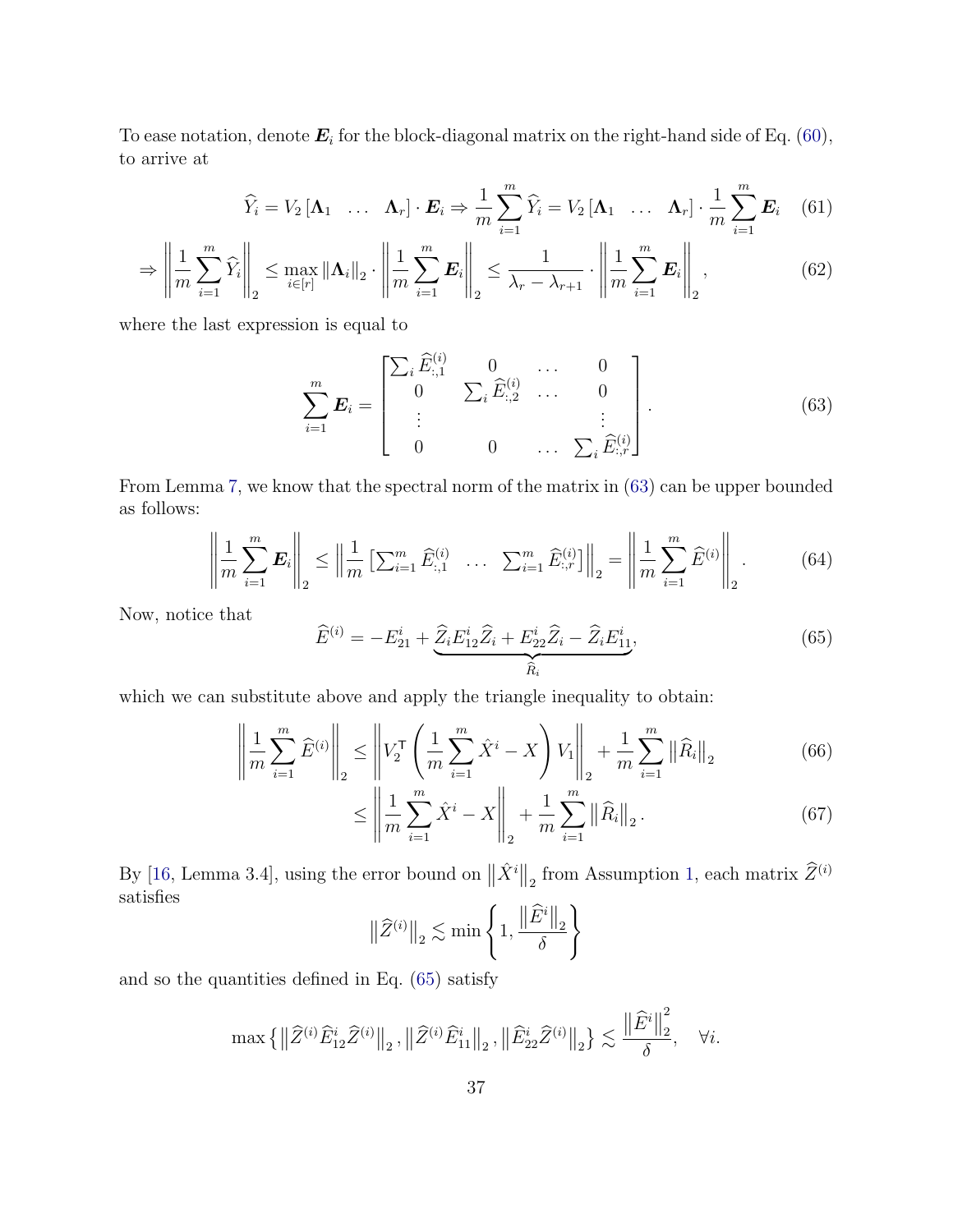To ease notation, denote  $\boldsymbol{E}_i$  for the block-diagonal matrix on the right-hand side of Eq. [\(60\)](#page-35-4), to arrive at

$$
\widehat{Y}_i = V_2 \begin{bmatrix} \mathbf{\Lambda}_1 & \dots & \mathbf{\Lambda}_r \end{bmatrix} \cdot \boldsymbol{E}_i \Rightarrow \frac{1}{m} \sum_{i=1}^m \widehat{Y}_i = V_2 \begin{bmatrix} \mathbf{\Lambda}_1 & \dots & \mathbf{\Lambda}_r \end{bmatrix} \cdot \frac{1}{m} \sum_{i=1}^m \boldsymbol{E}_i \tag{61}
$$

$$
\Rightarrow \left\| \frac{1}{m} \sum_{i=1}^{m} \widehat{Y}_i \right\|_2 \le \max_{i \in [r]} \left\| \Lambda_i \right\|_2 \cdot \left\| \frac{1}{m} \sum_{i=1}^{m} \bm{E}_i \right\|_2 \le \frac{1}{\lambda_r - \lambda_{r+1}} \cdot \left\| \frac{1}{m} \sum_{i=1}^{m} \bm{E}_i \right\|_2, \tag{62}
$$

where the last expression is equal to

<span id="page-36-4"></span><span id="page-36-0"></span>
$$
\sum_{i=1}^{m} E_i = \begin{bmatrix} \sum_i \widehat{E}_{:,1}^{(i)} & 0 & \cdots & 0 \\ 0 & \sum_i \widehat{E}_{:,2}^{(i)} & \cdots & 0 \\ \vdots & & & \vdots \\ 0 & 0 & \cdots & \sum_i \widehat{E}_{:,r}^{(i)} \end{bmatrix} .
$$
 (63)

From Lemma [7,](#page-34-3) we know that the spectral norm of the matrix in [\(63\)](#page-36-0) can be upper bounded as follows:

<span id="page-36-3"></span>
$$
\left\| \frac{1}{m} \sum_{i=1}^{m} \boldsymbol{E}_i \right\|_2 \le \left\| \frac{1}{m} \left[ \sum_{i=1}^{m} \widehat{E}_{:,1}^{(i)} \right] \right\|_2 = \left\| \frac{1}{m} \sum_{i=1}^{m} \widehat{E}^{(i)} \right\|_2. \tag{64}
$$

Now, notice that

<span id="page-36-1"></span>
$$
\widehat{E}^{(i)} = -E_{21}^i + \underbrace{\widehat{Z}_i E_{12}^i \widehat{Z}_i + E_{22}^i \widehat{Z}_i - \widehat{Z}_i E_{11}^i}_{\widehat{R}_i},\tag{65}
$$

which we can substitute above and apply the triangle inequality to obtain:

$$
\left\| \frac{1}{m} \sum_{i=1}^{m} \widehat{E}^{(i)} \right\|_{2} \le \left\| V_{2}^{\mathsf{T}} \left( \frac{1}{m} \sum_{i=1}^{m} \hat{X}^{i} - X \right) V_{1} \right\|_{2} + \frac{1}{m} \sum_{i=1}^{m} \left\| \widehat{R}_{i} \right\|_{2} \tag{66}
$$

$$
\leq \left\| \frac{1}{m} \sum_{i=1}^{m} \hat{X}^{i} - X \right\|_{2} + \frac{1}{m} \sum_{i=1}^{m} \left\| \widehat{R}_{i} \right\|_{2}.
$$
 (67)

By [\[16,](#page-28-10) Lemma 3.4], using the error bound on  $\|\hat{X}^i\|_2$  from Assumption [1,](#page-8-1) each matrix  $\widehat{Z}^{(i)}$ satisfies

<span id="page-36-2"></span>
$$
\left\|\widehat{Z}^{(i)}\right\|_2 \lesssim \min\left\{1, \frac{\left\|\widehat{E}^i\right\|_2}{\delta}\right\}
$$

and so the quantities defined in Eq. [\(65\)](#page-36-1) satisfy

$$
\max\left\{\left\|\widehat{Z}^{(i)}\widehat{E}_{12}^{i}\widehat{Z}^{(i)}\right\|_{2},\left\|\widehat{Z}^{(i)}\widehat{E}_{11}^{i}\right\|_{2},\left\|\widehat{E}_{22}^{i}\widehat{Z}^{(i)}\right\|_{2}\right\}\lesssim\frac{\left\|\widehat{E}^{i}\right\|_{2}^{2}}{\delta},\quad\forall i.
$$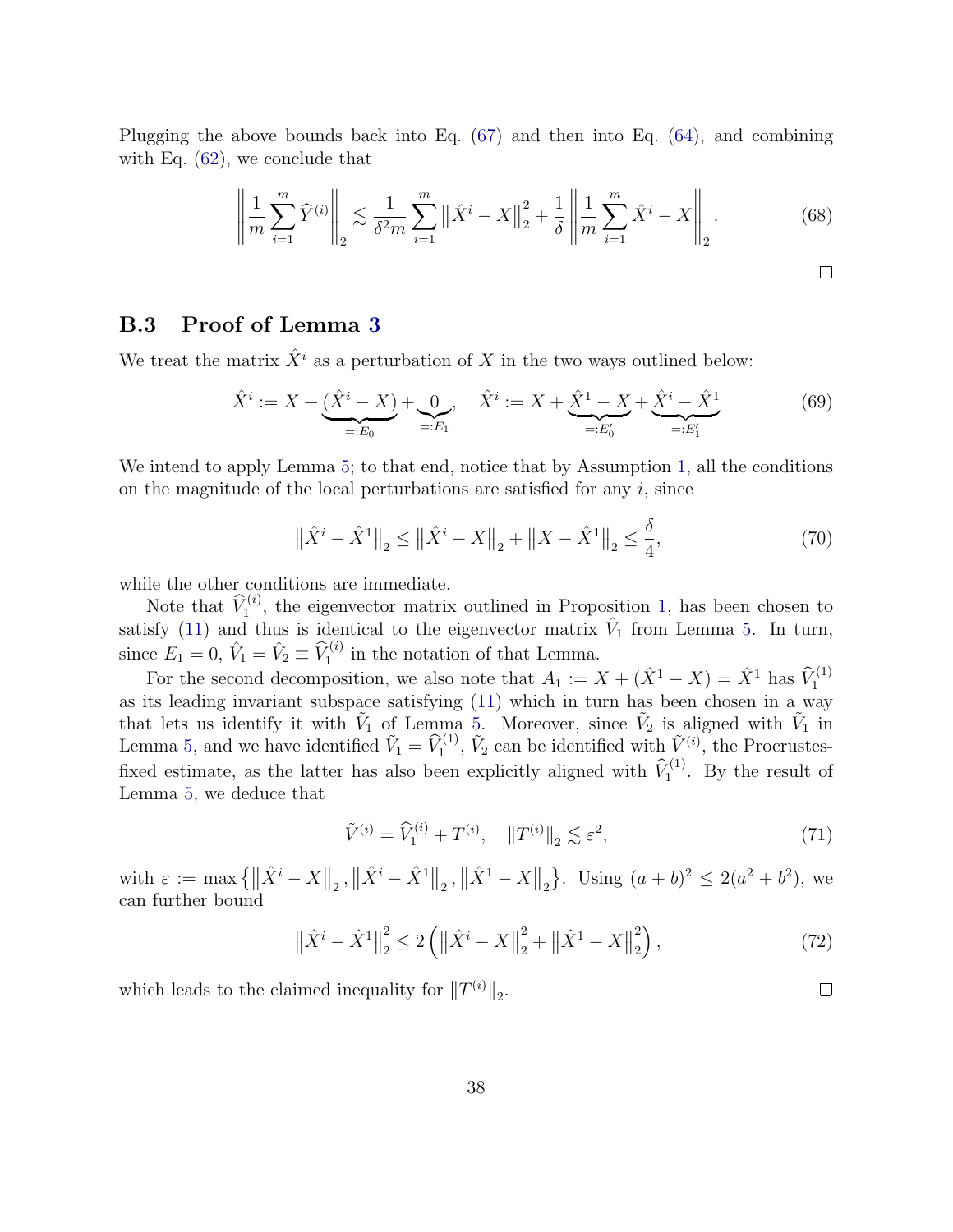Plugging the above bounds back into Eq. [\(67\)](#page-36-2) and then into Eq. [\(64\)](#page-36-3), and combining with Eq.  $(62)$ , we conclude that

$$
\left\| \frac{1}{m} \sum_{i=1}^{m} \hat{Y}^{(i)} \right\|_{2} \lesssim \frac{1}{\delta^{2} m} \sum_{i=1}^{m} \left\| \hat{X}^{i} - X \right\|_{2}^{2} + \frac{1}{\delta} \left\| \frac{1}{m} \sum_{i=1}^{m} \hat{X}^{i} - X \right\|_{2}.
$$
 (68)

#### <span id="page-37-0"></span>B.3 Proof of Lemma [3](#page-11-0)

We treat the matrix  $\hat{X}^i$  as a perturbation of X in the two ways outlined below:

$$
\hat{X}^i := X + \underbrace{(\hat{X}^i - X)}_{=:E_0} + \underbrace{0}_{=:E_1}, \quad \hat{X}^i := X + \underbrace{\hat{X}^1 - X}_{=:E'_0} + \underbrace{\hat{X}^i - \hat{X}^1}_{=:E'_1}
$$
(69)

We intend to apply Lemma [5;](#page-32-3) to that end, notice that by Assumption [1,](#page-8-1) all the conditions on the magnitude of the local perturbations are satisfied for any  $i$ , since

$$
\left\|\hat{X}^{i} - \hat{X}^{1}\right\|_{2} \le \left\|\hat{X}^{i} - X\right\|_{2} + \left\|X - \hat{X}^{1}\right\|_{2} \le \frac{\delta}{4},\tag{70}
$$

while the other conditions are immediate.

Note that  $\widehat{V}_1^{(i)}$ , the eigenvector matrix outlined in Proposition [1,](#page-10-3) has been chosen to satisfy [\(11\)](#page-10-5) and thus is identical to the eigenvector matrix  $\hat{V}_1$  from Lemma [5.](#page-32-3) In turn, since  $E_1 = 0$ ,  $\hat{V}_1 = \hat{V}_2 \equiv \hat{V}_1^{(i)}$  in the notation of that Lemma.

For the second decomposition, we also note that  $A_1 := X + (\hat{X}^1 - X) = \hat{X}^1$  has  $\hat{V}_1^{(1)}$ as its leading invariant subspace satisfying [\(11\)](#page-10-5) which in turn has been chosen in a way that lets us identify it with  $V_1$  of Lemma [5.](#page-32-3) Moreover, since  $V_2$  is aligned with  $V_1$  in Lemma [5,](#page-32-3) and we have identified  $\tilde{V}_1 = \hat{V}_1^{(1)}$ ,  $\tilde{V}_2$  can be identified with  $\tilde{V}^{(i)}$ , the Procrustesfixed estimate, as the latter has also been explicitly aligned with  $\widehat{V}_1^{(1)}$ . By the result of Lemma [5,](#page-32-3) we deduce that

$$
\tilde{V}^{(i)} = \hat{V}_1^{(i)} + T^{(i)}, \quad ||T^{(i)}||_2 \lesssim \varepsilon^2,\tag{71}
$$

with  $\varepsilon := \max \{ ||\hat{X}^i - X||_2, ||\hat{X}^i - \hat{X}^1||_2, ||\hat{X}^1 - X||_2 \}$ . Using  $(a + b)^2 \le 2(a^2 + b^2)$ , we can further bound

$$
\left\|\hat{X}^{i} - \hat{X}^{1}\right\|_{2}^{2} \le 2\left(\left\|\hat{X}^{i} - X\right\|_{2}^{2} + \left\|\hat{X}^{1} - X\right\|_{2}^{2}\right),\tag{72}
$$

which leads to the claimed inequality for  $||T^{(i)}||_2$ .

 $\Box$